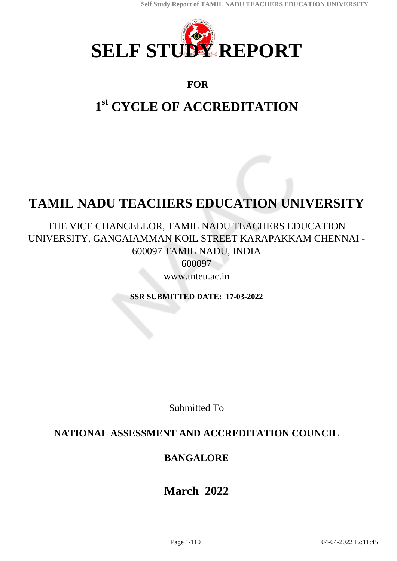

## **FOR**

# **1 st CYCLE OF ACCREDITATION**

# **TAMIL NADU TEACHERS EDUCATION UNIVERSITY**

THE VICE CHANCELLOR, TAMIL NADU TEACHERS EDUCATION UNIVERSITY, GANGAIAMMAN KOIL STREET KARAPAKKAM CHENNAI - 600097 TAMIL NADU, INDIA 600097

www.tnteu.ac.in

**SSR SUBMITTED DATE: 17-03-2022**

Submitted To

## **NATIONAL ASSESSMENT AND ACCREDITATION COUNCIL**

## **BANGALORE**

## **March 2022**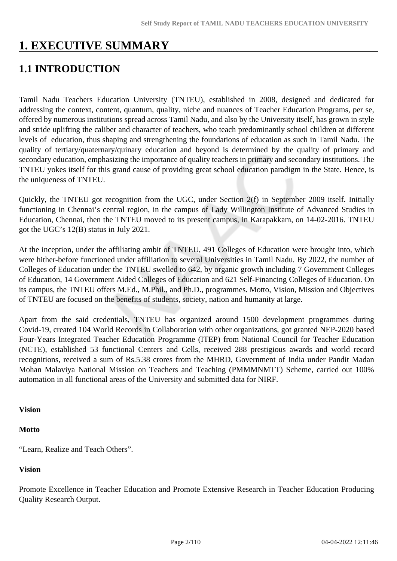## **1. EXECUTIVE SUMMARY**

## **1.1 INTRODUCTION**

Tamil Nadu Teachers Education University (TNTEU), established in 2008, designed and dedicated for addressing the context, content, quantum, quality, niche and nuances of Teacher Education Programs, per se, offered by numerous institutions spread across Tamil Nadu, and also by the University itself, has grown in style and stride uplifting the caliber and character of teachers, who teach predominantly school children at different levels of education, thus shaping and strengthening the foundations of education as such in Tamil Nadu. The quality of tertiary/quaternary/quinary education and beyond is determined by the quality of primary and secondary education, emphasizing the importance of quality teachers in primary and secondary institutions. The TNTEU yokes itself for this grand cause of providing great school education paradigm in the State. Hence, is the uniqueness of TNTEU.

Quickly, the TNTEU got recognition from the UGC, under Section 2(f) in September 2009 itself. Initially functioning in Chennai's central region, in the campus of Lady Willington Institute of Advanced Studies in Education, Chennai, then the TNTEU moved to its present campus, in Karapakkam, on 14-02-2016. TNTEU got the UGC's 12(B) status in July 2021.

At the inception, under the affiliating ambit of TNTEU, 491 Colleges of Education were brought into, which were hither-before functioned under affiliation to several Universities in Tamil Nadu. By 2022, the number of Colleges of Education under the TNTEU swelled to 642, by organic growth including 7 Government Colleges of Education, 14 Government Aided Colleges of Education and 621 Self-Financing Colleges of Education. On its campus, the TNTEU offers M.Ed., M.Phil., and Ph.D., programmes. Motto, Vision, Mission and Objectives of TNTEU are focused on the benefits of students, society, nation and humanity at large.

Apart from the said credentials, TNTEU has organized around 1500 development programmes during Covid-19, created 104 World Records in Collaboration with other organizations, got granted NEP-2020 based Four-Years Integrated Teacher Education Programme (ITEP) from National Council for Teacher Education (NCTE), established 53 functional Centers and Cells, received 288 prestigious awards and world record recognitions, received a sum of Rs.5.38 crores from the MHRD, Government of India under Pandit Madan Mohan Malaviya National Mission on Teachers and Teaching (PMMMNMTT) Scheme, carried out 100% automation in all functional areas of the University and submitted data for NIRF.

#### **Vision**

#### **Motto**

"Learn, Realize and Teach Others".

#### **Vision**

Promote Excellence in Teacher Education and Promote Extensive Research in Teacher Education Producing Quality Research Output.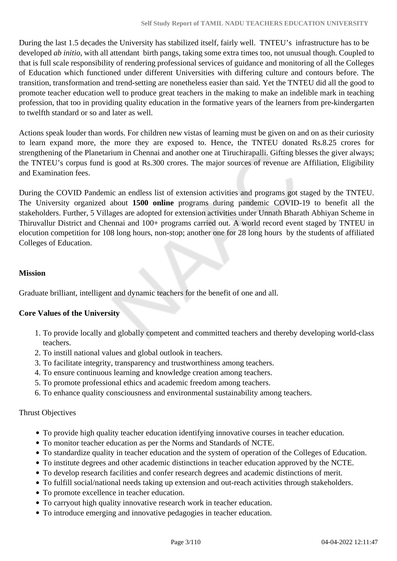During the last 1.5 decades the University has stabilized itself, fairly well. TNTEU's infrastructure has to be developed *ab initio*, with all attendant birth pangs, taking some extra times too, not unusual though. Coupled to that is full scale responsibility of rendering professional services of guidance and monitoring of all the Colleges of Education which functioned under different Universities with differing culture and contours before. The transition, transformation and trend-setting are nonetheless easier than said. Yet the TNTEU did all the good to promote teacher education well to produce great teachers in the making to make an indelible mark in teaching profession, that too in providing quality education in the formative years of the learners from pre-kindergarten to twelfth standard or so and later as well.

Actions speak louder than words. For children new vistas of learning must be given on and on as their curiosity to learn expand more, the more they are exposed to. Hence, the TNTEU donated Rs.8.25 crores for strengthening of the Planetarium in Chennai and another one at Tiruchirapalli. Gifting blesses the giver always; the TNTEU's corpus fund is good at Rs.300 crores. The major sources of revenue are Affiliation, Eligibility and Examination fees.

During the COVID Pandemic an endless list of extension activities and programs got staged by the TNTEU. The University organized about **1500 online** programs during pandemic COVID-19 to benefit all the stakeholders. Further, 5 Villages are adopted for extension activities under Unnath Bharath Abhiyan Scheme in Thiruvallur District and Chennai and 100+ programs carried out. A world record event staged by TNTEU in elocution competition for 108 long hours, non-stop; another one for 28 long hours by the students of affiliated Colleges of Education.

#### **Mission**

Graduate brilliant, intelligent and dynamic teachers for the benefit of one and all.

#### **Core Values of the University**

- 1. To provide locally and globally competent and committed teachers and thereby developing world-class teachers.
- 2. To instill national values and global outlook in teachers.
- 3. To facilitate integrity, transparency and trustworthiness among teachers.
- 4. To ensure continuous learning and knowledge creation among teachers.
- 5. To promote professional ethics and academic freedom among teachers.
- 6. To enhance quality consciousness and environmental sustainability among teachers.

#### Thrust Objectives

- To provide high quality teacher education identifying innovative courses in teacher education.
- To monitor teacher education as per the Norms and Standards of NCTE.
- To standardize quality in teacher education and the system of operation of the Colleges of Education.
- To institute degrees and other academic distinctions in teacher education approved by the NCTE.
- To develop research facilities and confer research degrees and academic distinctions of merit.
- To fulfill social/national needs taking up extension and out-reach activities through stakeholders.
- To promote excellence in teacher education.
- To carryout high quality innovative research work in teacher education.
- To introduce emerging and innovative pedagogies in teacher education.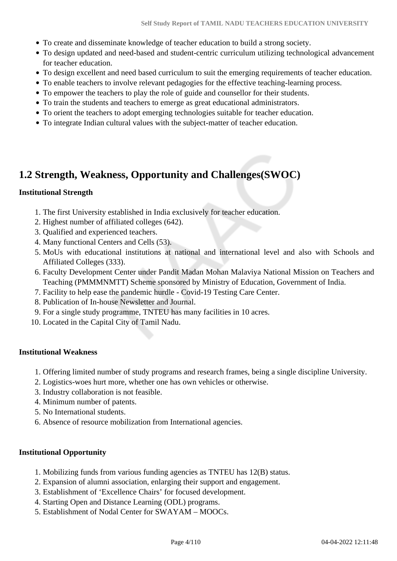- To create and disseminate knowledge of teacher education to build a strong society.
- To design updated and need-based and student-centric curriculum utilizing technological advancement for teacher education.
- To design excellent and need based curriculum to suit the emerging requirements of teacher education.
- To enable teachers to involve relevant pedagogies for the effective teaching-learning process.
- To empower the teachers to play the role of guide and counsellor for their students.
- To train the students and teachers to emerge as great educational administrators.
- To orient the teachers to adopt emerging technologies suitable for teacher education.
- To integrate Indian cultural values with the subject-matter of teacher education.

## **1.2 Strength, Weakness, Opportunity and Challenges(SWOC)**

#### **Institutional Strength**

- 1. The first University established in India exclusively for teacher education.
- 2. Highest number of affiliated colleges (642).
- 3. Qualified and experienced teachers.
- 4. Many functional Centers and Cells (53).
- 5. MoUs with educational institutions at national and international level and also with Schools and Affiliated Colleges (333).
- 6. Faculty Development Center under Pandit Madan Mohan Malaviya National Mission on Teachers and Teaching (PMMMNMTT) Scheme sponsored by Ministry of Education, Government of India.
- 7. Facility to help ease the pandemic hurdle Covid-19 Testing Care Center.
- 8. Publication of In-house Newsletter and Journal.
- 9. For a single study programme, TNTEU has many facilities in 10 acres.
- 10. Located in the Capital City of Tamil Nadu.

#### **Institutional Weakness**

- 1. Offering limited number of study programs and research frames, being a single discipline University.
- 2. Logistics-woes hurt more, whether one has own vehicles or otherwise.
- 3. Industry collaboration is not feasible.
- 4. Minimum number of patents.
- 5. No International students.
- 6. Absence of resource mobilization from International agencies.

#### **Institutional Opportunity**

- 1. Mobilizing funds from various funding agencies as TNTEU has 12(B) status.
- 2. Expansion of alumni association, enlarging their support and engagement.
- 3. Establishment of 'Excellence Chairs' for focused development.
- 4. Starting Open and Distance Learning (ODL) programs.
- 5. Establishment of Nodal Center for SWAYAM MOOCs.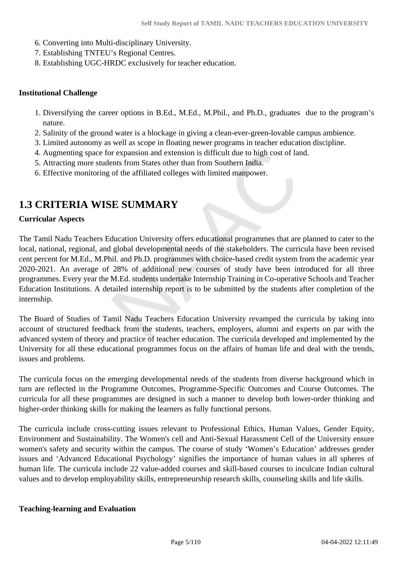- 6. Converting into Multi-disciplinary University.
- 7. Establishing TNTEU's Regional Centres.
- 8. Establishing UGC-HRDC exclusively for teacher education.

#### **Institutional Challenge**

- 1. Diversifying the career options in B.Ed., M.Ed., M.Phil., and Ph.D., graduates due to the program's nature.
- 2. Salinity of the ground water is a blockage in giving a clean-ever-green-lovable campus ambience.
- 3. Limited autonomy as well as scope in floating newer programs in teacher education discipline.
- 4. Augmenting space for expansion and extension is difficult due to high cost of land.
- 5. Attracting more students from States other than from Southern India.
- 6. Effective monitoring of the affiliated colleges with limited manpower.

## **1.3 CRITERIA WISE SUMMARY**

#### **Curricular Aspects**

The Tamil Nadu Teachers Education University offers educational programmes that are planned to cater to the local, national, regional, and global developmental needs of the stakeholders. The curricula have been revised cent percent for M.Ed., M.Phil. and Ph.D. programmes with choice-based credit system from the academic year 2020-2021. An average of 28% of additional new courses of study have been introduced for all three programmes. Every year the M.Ed. students undertake Internship Training in Co-operative Schools and Teacher Education Institutions. A detailed internship report is to be submitted by the students after completion of the internship.

The Board of Studies of Tamil Nadu Teachers Education University revamped the curricula by taking into account of structured feedback from the students, teachers, employers, alumni and experts on par with the advanced system of theory and practice of teacher education. The curricula developed and implemented by the University for all these educational programmes focus on the affairs of human life and deal with the trends, issues and problems.

The curricula focus on the emerging developmental needs of the students from diverse background which in turn are reflected in the Programme Outcomes, Programme-Specific Outcomes and Course Outcomes. The curricula for all these programmes are designed in such a manner to develop both lower-order thinking and higher-order thinking skills for making the learners as fully functional persons.

The curricula include cross-cutting issues relevant to Professional Ethics, Human Values, Gender Equity, Environment and Sustainability. The Women's cell and Anti-Sexual Harassment Cell of the University ensure women's safety and security within the campus. The course of study 'Women's Education' addresses gender issues and 'Advanced Educational Psychology' signifies the importance of human values in all spheres of human life. The curricula include 22 value-added courses and skill-based courses to inculcate Indian cultural values and to develop employability skills, entrepreneurship research skills, counseling skills and life skills.

#### **Teaching-learning and Evaluation**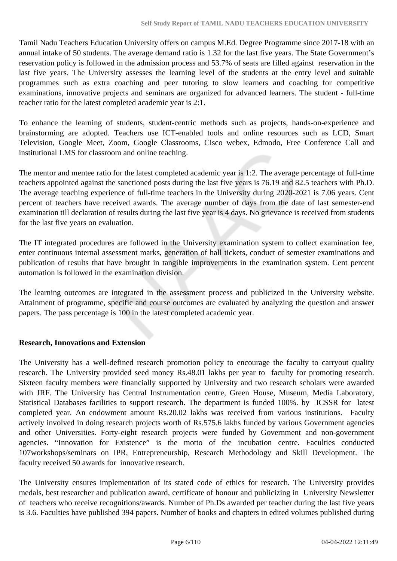Tamil Nadu Teachers Education University offers on campus M.Ed. Degree Programme since 2017-18 with an annual intake of 50 students. The average demand ratio is 1.32 for the last five years. The State Government's reservation policy is followed in the admission process and 53.7% of seats are filled against reservation in the last five years. The University assesses the learning level of the students at the entry level and suitable programmes such as extra coaching and peer tutoring to slow learners and coaching for competitive examinations, innovative projects and seminars are organized for advanced learners. The student - full-time teacher ratio for the latest completed academic year is 2:1.

To enhance the learning of students, student-centric methods such as projects, hands-on-experience and brainstorming are adopted. Teachers use ICT-enabled tools and online resources such as LCD, Smart Television, Google Meet, Zoom, Google Classrooms, Cisco webex, Edmodo, Free Conference Call and institutional LMS for classroom and online teaching.

The mentor and mentee ratio for the latest completed academic year is 1:2. The average percentage of full-time teachers appointed against the sanctioned posts during the last five years is 76.19 and 82.5 teachers with Ph.D. The average teaching experience of full-time teachers in the University during 2020-2021 is 7.06 years. Cent percent of teachers have received awards. The average number of days from the date of last semester-end examination till declaration of results during the last five year is 4 days. No grievance is received from students for the last five years on evaluation.

The IT integrated procedures are followed in the University examination system to collect examination fee, enter continuous internal assessment marks, generation of hall tickets, conduct of semester examinations and publication of results that have brought in tangible improvements in the examination system. Cent percent automation is followed in the examination division.

The learning outcomes are integrated in the assessment process and publicized in the University website. Attainment of programme, specific and course outcomes are evaluated by analyzing the question and answer papers. The pass percentage is 100 in the latest completed academic year.

#### **Research, Innovations and Extension**

The University has a well-defined research promotion policy to encourage the faculty to carryout quality research. The University provided seed money Rs.48.01 lakhs per year to faculty for promoting research. Sixteen faculty members were financially supported by University and two research scholars were awarded with JRF. The University has Central Instrumentation centre, Green House, Museum, Media Laboratory, Statistical Databases facilities to support research. The department is funded 100%. by ICSSR for latest completed year. An endowment amount Rs.20.02 lakhs was received from various institutions. Faculty actively involved in doing research projects worth of Rs.575.6 lakhs funded by various Government agencies and other Universities. Forty-eight research projects were funded by Government and non-government agencies. "Innovation for Existence" is the motto of the incubation centre. Faculties conducted 107workshops/seminars on IPR, Entrepreneurship, Research Methodology and Skill Development. The faculty received 50 awards for innovative research.

The University ensures implementation of its stated code of ethics for research. The University provides medals, best researcher and publication award, certificate of honour and publicizing in University Newsletter of teachers who receive recognitions/awards. Number of Ph.Ds awarded per teacher during the last five years is 3.6. Faculties have published 394 papers. Number of books and chapters in edited volumes published during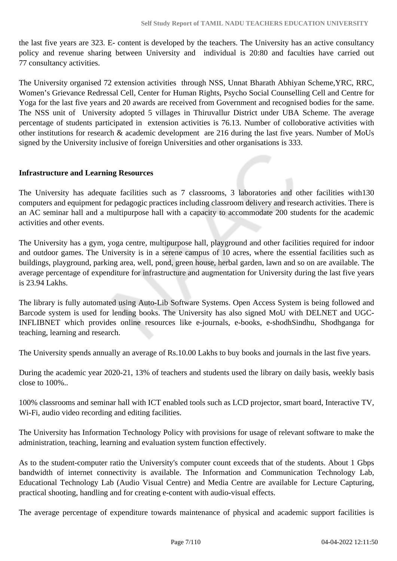the last five years are 323. E- content is developed by the teachers. The University has an active consultancy policy and revenue sharing between University and individual is 20:80 and faculties have carried out 77 consultancy activities.

The University organised 72 extension activities through NSS, Unnat Bharath Abhiyan Scheme,YRC, RRC, Women's Grievance Redressal Cell, Center for Human Rights, Psycho Social Counselling Cell and Centre for Yoga for the last five years and 20 awards are received from Government and recognised bodies for the same. The NSS unit of University adopted 5 villages in Thiruvallur District under UBA Scheme. The average percentage of students participated in extension activities is 76.13. Number of colloborative activities with other institutions for research & academic development are 216 during the last five years. Number of MoUs signed by the University inclusive of foreign Universities and other organisations is 333.

#### **Infrastructure and Learning Resources**

The University has adequate facilities such as 7 classrooms, 3 laboratories and other facilities with130 computers and equipment for pedagogic practices including classroom delivery and research activities. There is an AC seminar hall and a multipurpose hall with a capacity to accommodate 200 students for the academic activities and other events.

The University has a gym, yoga centre, multipurpose hall, playground and other facilities required for indoor and outdoor games. The University is in a serene campus of 10 acres, where the essential facilities such as buildings, playground, parking area, well, pond, green house, herbal garden, lawn and so on are available. The average percentage of expenditure for infrastructure and augmentation for University during the last five years is 23.94 Lakhs.

The library is fully automated using Auto-Lib Software Systems. Open Access System is being followed and Barcode system is used for lending books. The University has also signed MoU with DELNET and UGC-INFLIBNET which provides online resources like e-journals, e-books, e-shodhSindhu, Shodhganga for teaching, learning and research.

The University spends annually an average of Rs.10.00 Lakhs to buy books and journals in the last five years.

During the academic year 2020-21, 13% of teachers and students used the library on daily basis, weekly basis close to 100%..

100% classrooms and seminar hall with ICT enabled tools such as LCD projector, smart board, Interactive TV, Wi-Fi, audio video recording and editing facilities.

The University has Information Technology Policy with provisions for usage of relevant software to make the administration, teaching, learning and evaluation system function effectively.

As to the student-computer ratio the University's computer count exceeds that of the students. About 1 Gbps bandwidth of internet connectivity is available. The Information and Communication Technology Lab, Educational Technology Lab (Audio Visual Centre) and Media Centre are available for Lecture Capturing, practical shooting, handling and for creating e-content with audio-visual effects.

The average percentage of expenditure towards maintenance of physical and academic support facilities is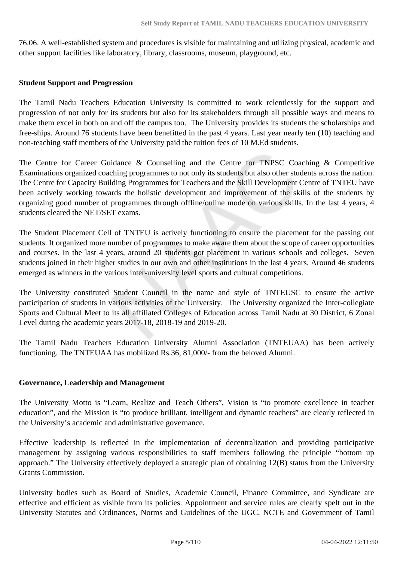76.06. A well-established system and procedures is visible for maintaining and utilizing physical, academic and other support facilities like laboratory, library, classrooms, museum, playground, etc.

#### **Student Support and Progression**

The Tamil Nadu Teachers Education University is committed to work relentlessly for the support and progression of not only for its students but also for its stakeholders through all possible ways and means to make them excel in both on and off the campus too. The University provides its students the scholarships and free-ships. Around 76 students have been benefitted in the past 4 years. Last year nearly ten (10) teaching and non-teaching staff members of the University paid the tuition fees of 10 M.Ed students.

The Centre for Career Guidance & Counselling and the Centre for TNPSC Coaching & Competitive Examinations organized coaching programmes to not only its students but also other students across the nation. The Centre for Capacity Building Programmes for Teachers and the Skill Development Centre of TNTEU have been actively working towards the holistic development and improvement of the skills of the students by organizing good number of programmes through offline/online mode on various skills. In the last 4 years, 4 students cleared the NET/SET exams.

The Student Placement Cell of TNTEU is actively functioning to ensure the placement for the passing out students. It organized more number of programmes to make aware them about the scope of career opportunities and courses. In the last 4 years, around 20 students got placement in various schools and colleges. Seven students joined in their higher studies in our own and other institutions in the last 4 years. Around 46 students emerged as winners in the various inter-university level sports and cultural competitions.

The University constituted Student Council in the name and style of TNTEUSC to ensure the active participation of students in various activities of the University. The University organized the Inter-collegiate Sports and Cultural Meet to its all affiliated Colleges of Education across Tamil Nadu at 30 District, 6 Zonal Level during the academic years 2017-18, 2018-19 and 2019-20.

The Tamil Nadu Teachers Education University Alumni Association (TNTEUAA) has been actively functioning. The TNTEUAA has mobilized Rs.36, 81,000/- from the beloved Alumni.

#### **Governance, Leadership and Management**

The University Motto is "Learn, Realize and Teach Others", Vision is "to promote excellence in teacher education", and the Mission is "to produce brilliant, intelligent and dynamic teachers" are clearly reflected in the University's academic and administrative governance.

Effective leadership is reflected in the implementation of decentralization and providing participative management by assigning various responsibilities to staff members following the principle "bottom up approach." The University effectively deployed a strategic plan of obtaining 12(B) status from the University Grants Commission.

University bodies such as Board of Studies, Academic Council, Finance Committee, and Syndicate are effective and efficient as visible from its policies. Appointment and service rules are clearly spelt out in the University Statutes and Ordinances, Norms and Guidelines of the UGC, NCTE and Government of Tamil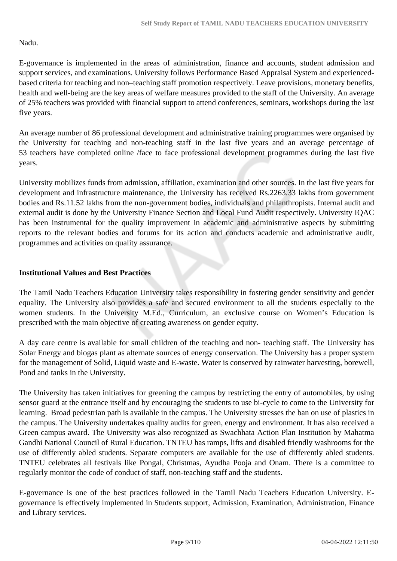#### Nadu.

E-governance is implemented in the areas of administration, finance and accounts, student admission and support services, and examinations. University follows Performance Based Appraisal System and experiencedbased criteria for teaching and non–teaching staff promotion respectively. Leave provisions, monetary benefits, health and well-being are the key areas of welfare measures provided to the staff of the University. An average of 25% teachers was provided with financial support to attend conferences, seminars, workshops during the last five years.

An average number of 86 professional development and administrative training programmes were organised by the University for teaching and non-teaching staff in the last five years and an average percentage of 53 teachers have completed online /face to face professional development programmes during the last five years.

University mobilizes funds from admission, affiliation, examination and other sources. In the last five years for development and infrastructure maintenance, the University has received Rs.2263.33 lakhs from government bodies and Rs.11.52 lakhs from the non-government bodies, individuals and philanthropists. Internal audit and external audit is done by the University Finance Section and Local Fund Audit respectively. University IQAC has been instrumental for the quality improvement in academic and administrative aspects by submitting reports to the relevant bodies and forums for its action and conducts academic and administrative audit, programmes and activities on quality assurance.

#### **Institutional Values and Best Practices**

The Tamil Nadu Teachers Education University takes responsibility in fostering gender sensitivity and gender equality. The University also provides a safe and secured environment to all the students especially to the women students. In the University M.Ed., Curriculum, an exclusive course on Women's Education is prescribed with the main objective of creating awareness on gender equity.

A day care centre is available for small children of the teaching and non- teaching staff. The University has Solar Energy and biogas plant as alternate sources of energy conservation. The University has a proper system for the management of Solid, Liquid waste and E-waste. Water is conserved by rainwater harvesting, borewell, Pond and tanks in the University.

The University has taken initiatives for greening the campus by restricting the entry of automobiles, by using sensor guard at the entrance itself and by encouraging the students to use bi-cycle to come to the University for learning. Broad pedestrian path is available in the campus. The University stresses the ban on use of plastics in the campus. The University undertakes quality audits for green, energy and environment. It has also received a Green campus award. The University was also recognized as Swachhata Action Plan Institution by Mahatma Gandhi National Council of Rural Education. TNTEU has ramps, lifts and disabled friendly washrooms for the use of differently abled students. Separate computers are available for the use of differently abled students. TNTEU celebrates all festivals like Pongal, Christmas, Ayudha Pooja and Onam. There is a committee to regularly monitor the code of conduct of staff, non-teaching staff and the students.

E-governance is one of the best practices followed in the Tamil Nadu Teachers Education University. Egovernance is effectively implemented in Students support, Admission, Examination, Administration, Finance and Library services.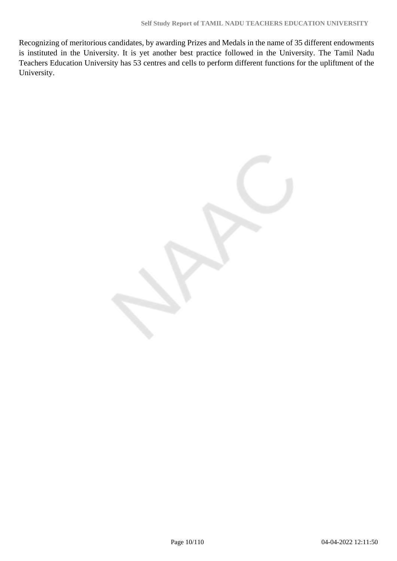Recognizing of meritorious candidates, by awarding Prizes and Medals in the name of 35 different endowments is instituted in the University. It is yet another best practice followed in the University. The Tamil Nadu Teachers Education University has 53 centres and cells to perform different functions for the upliftment of the University.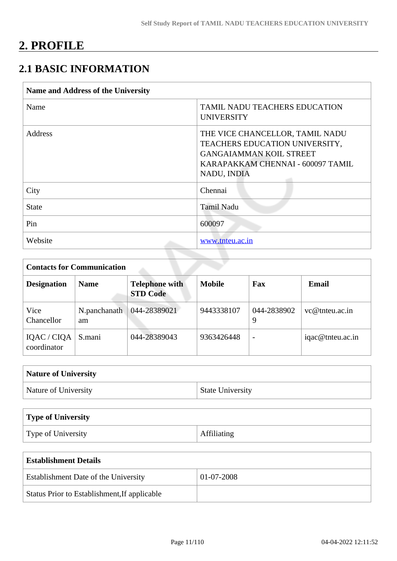## **2. PROFILE**

## **2.1 BASIC INFORMATION**

| <b>Name and Address of the University</b> |                                                                                                                                                         |  |  |  |  |
|-------------------------------------------|---------------------------------------------------------------------------------------------------------------------------------------------------------|--|--|--|--|
| Name                                      | <b>TAMIL NADU TEACHERS EDUCATION</b><br><b>UNIVERSITY</b>                                                                                               |  |  |  |  |
| Address                                   | THE VICE CHANCELLOR, TAMIL NADU<br>TEACHERS EDUCATION UNIVERSITY,<br><b>GANGAIAMMAN KOIL STREET</b><br>KARAPAKKAM CHENNAI - 600097 TAMIL<br>NADU, INDIA |  |  |  |  |
| City                                      | Chennai                                                                                                                                                 |  |  |  |  |
| <b>State</b>                              | <b>Tamil Nadu</b>                                                                                                                                       |  |  |  |  |
| Pin                                       | 600097                                                                                                                                                  |  |  |  |  |
| Website                                   | www.tnteu.ac.in                                                                                                                                         |  |  |  |  |

| <b>Contacts for Communication</b> |                    |                                          |               |                          |                    |  |  |  |
|-----------------------------------|--------------------|------------------------------------------|---------------|--------------------------|--------------------|--|--|--|
| <b>Designation</b>                | <b>Name</b>        | <b>Telephone with</b><br><b>STD Code</b> | <b>Mobile</b> | Fax                      | <b>Email</b>       |  |  |  |
| Vice<br>Chancellor                | N.panchanath<br>am | 044-28389021                             | 9443338107    | 044-2838902<br>9         | $vc@$ the u.ac. in |  |  |  |
| IQAC / CIQA<br>coordinator        | S.mani             | 044-28389043                             | 9363426448    | $\overline{\phantom{0}}$ | iqac@tnteu.ac.in   |  |  |  |

| <b>Nature of University</b> |                         |
|-----------------------------|-------------------------|
| Nature of University        | <b>State University</b> |

| Type of University |                    |
|--------------------|--------------------|
| Type of University | <b>Affiliating</b> |

| Establishment Details                        |            |  |  |  |  |
|----------------------------------------------|------------|--|--|--|--|
| <b>Establishment Date of the University</b>  | 01-07-2008 |  |  |  |  |
| Status Prior to Establishment, If applicable |            |  |  |  |  |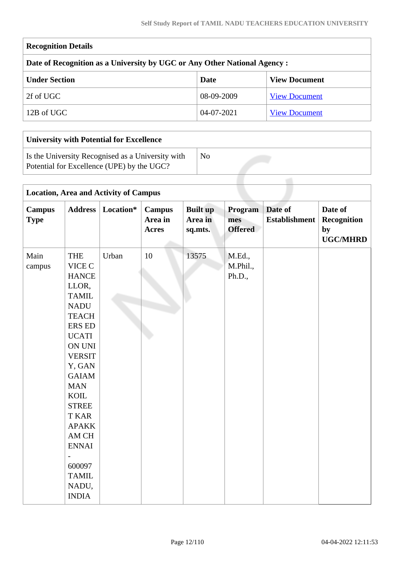| <b>Recognition Details</b>                                                |              |                      |  |  |  |  |  |  |
|---------------------------------------------------------------------------|--------------|----------------------|--|--|--|--|--|--|
| Date of Recognition as a University by UGC or Any Other National Agency : |              |                      |  |  |  |  |  |  |
| <b>Under Section</b>                                                      | Date         | <b>View Document</b> |  |  |  |  |  |  |
| 2f of UGC                                                                 | 08-09-2009   | <b>View Document</b> |  |  |  |  |  |  |
| 12B of UGC                                                                | $04-07-2021$ | <b>View Document</b> |  |  |  |  |  |  |
|                                                                           |              |                      |  |  |  |  |  |  |

| <b>University with Potential for Excellence</b>                                                 |     |  |  |  |  |  |  |
|-------------------------------------------------------------------------------------------------|-----|--|--|--|--|--|--|
| Is the University Recognised as a University with<br>Potential for Excellence (UPE) by the UGC? | No. |  |  |  |  |  |  |
|                                                                                                 |     |  |  |  |  |  |  |

| <b>Location, Area and Activity of Campus</b> |                                                                                                                                                                                                                                                                                                                                             |           |                                          |                                       |                                  |                                 |                                                 |  |
|----------------------------------------------|---------------------------------------------------------------------------------------------------------------------------------------------------------------------------------------------------------------------------------------------------------------------------------------------------------------------------------------------|-----------|------------------------------------------|---------------------------------------|----------------------------------|---------------------------------|-------------------------------------------------|--|
| <b>Campus</b><br><b>Type</b>                 | <b>Address</b>                                                                                                                                                                                                                                                                                                                              | Location* | <b>Campus</b><br>Area in<br><b>Acres</b> | <b>Built up</b><br>Area in<br>sq.mts. | Program<br>mes<br><b>Offered</b> | Date of<br><b>Establishment</b> | Date of<br>Recognition<br>by<br><b>UGC/MHRD</b> |  |
| Main<br>campus                               | <b>THE</b><br>VICE C<br><b>HANCE</b><br>LLOR,<br><b>TAMIL</b><br><b>NADU</b><br><b>TEACH</b><br><b>ERS ED</b><br><b>UCATI</b><br>ON UNI<br><b>VERSIT</b><br>Y, GAN<br><b>GAIAM</b><br><b>MAN</b><br><b>KOIL</b><br><b>STREE</b><br><b>T KAR</b><br><b>APAKK</b><br>AM CH<br><b>ENNAI</b><br>600097<br><b>TAMIL</b><br>NADU,<br><b>INDIA</b> | Urban     | 10                                       | 13575                                 | M.Ed.,<br>M.Phil.,<br>Ph.D.,     |                                 |                                                 |  |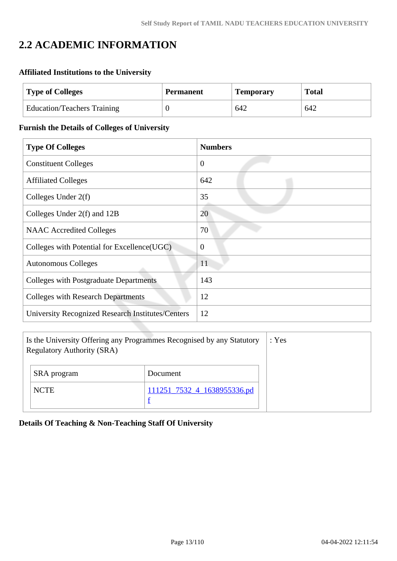## **2.2 ACADEMIC INFORMATION**

## **Affiliated Institutions to the University**

| <b>Type of Colleges</b>            | <b>Permanent</b> | <b>Temporary</b> | <b>Total</b> |  |
|------------------------------------|------------------|------------------|--------------|--|
| <b>Education/Teachers Training</b> |                  | 642              | 642          |  |

#### **Furnish the Details of Colleges of University**

| <b>Type Of Colleges</b>                                  | <b>Numbers</b> |
|----------------------------------------------------------|----------------|
| <b>Constituent Colleges</b>                              | $\overline{0}$ |
| <b>Affiliated Colleges</b>                               | 642            |
| Colleges Under $2(f)$                                    | 35             |
| Colleges Under 2(f) and 12B                              | 20             |
| <b>NAAC</b> Accredited Colleges                          | 70             |
| Colleges with Potential for Excellence (UGC)             | $\overline{0}$ |
| <b>Autonomous Colleges</b>                               | 11             |
| <b>Colleges with Postgraduate Departments</b>            | 143            |
| <b>Colleges with Research Departments</b>                | 12             |
| <b>University Recognized Research Institutes/Centers</b> | 12             |

| Is the University Offering any Programmes Recognised by any Statutory<br><b>Regulatory Authority (SRA)</b> | : Yes                       |  |
|------------------------------------------------------------------------------------------------------------|-----------------------------|--|
| SRA program                                                                                                | Document                    |  |
| <b>NCTE</b>                                                                                                | 111251_7532_4_1638955336.pd |  |

## **Details Of Teaching & Non-Teaching Staff Of University**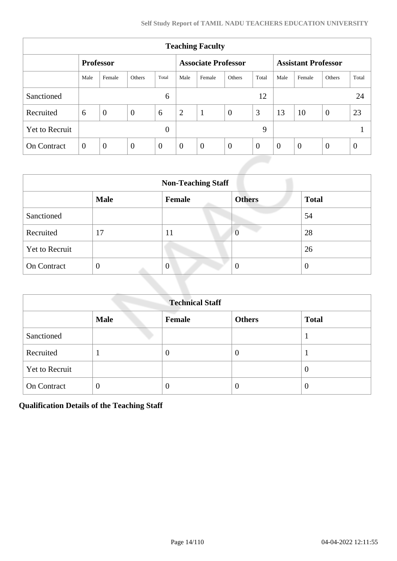| <b>Teaching Faculty</b> |                |                  |          |              |                |                            |                |                |                            |                |                |                  |
|-------------------------|----------------|------------------|----------|--------------|----------------|----------------------------|----------------|----------------|----------------------------|----------------|----------------|------------------|
|                         |                | <b>Professor</b> |          |              |                | <b>Associate Professor</b> |                |                | <b>Assistant Professor</b> |                |                |                  |
|                         | Male           | Female           | Others   | Total        | Male           | Female                     | Others         | Total          | Male                       | Female         | Others         | Total            |
| Sanctioned              |                |                  |          | 6            |                |                            |                | 12             |                            |                |                | 24               |
| Recruited               | 6              | $\overline{0}$   | $\theta$ | 6            | 2              | $\mathbf{1}$               | $\overline{0}$ | 3              | 13                         | 10             | $\overline{0}$ | 23               |
| <b>Yet to Recruit</b>   | $\overline{0}$ |                  |          |              |                |                            | 9              |                |                            |                |                |                  |
| <b>On Contract</b>      | $\overline{0}$ | $\overline{0}$   | $\theta$ | $\mathbf{0}$ | $\overline{0}$ | $\overline{0}$             | $\overline{0}$ | $\overline{0}$ | $\theta$                   | $\overline{0}$ | $\overline{0}$ | $\boldsymbol{0}$ |

| <b>Non-Teaching Staff</b> |                |                |                |              |  |
|---------------------------|----------------|----------------|----------------|--------------|--|
|                           | <b>Male</b>    | <b>Female</b>  | <b>Others</b>  | <b>Total</b> |  |
| Sanctioned                |                |                |                | 54           |  |
| Recruited                 | 17             | 11             | $\overline{0}$ | 28           |  |
| <b>Yet to Recruit</b>     |                |                |                | 26           |  |
| On Contract               | $\overline{0}$ | $\overline{0}$ | $\theta$       | O            |  |

| <b>Technical Staff</b> |                |        |               |              |  |
|------------------------|----------------|--------|---------------|--------------|--|
|                        | <b>Male</b>    | Female | <b>Others</b> | <b>Total</b> |  |
| Sanctioned             |                |        |               |              |  |
| Recruited              | T              | 0      | $\theta$      |              |  |
| <b>Yet to Recruit</b>  |                |        |               | $\theta$     |  |
| <b>On Contract</b>     | $\overline{0}$ | O      | $\theta$      | $\theta$     |  |

**Qualification Details of the Teaching Staff**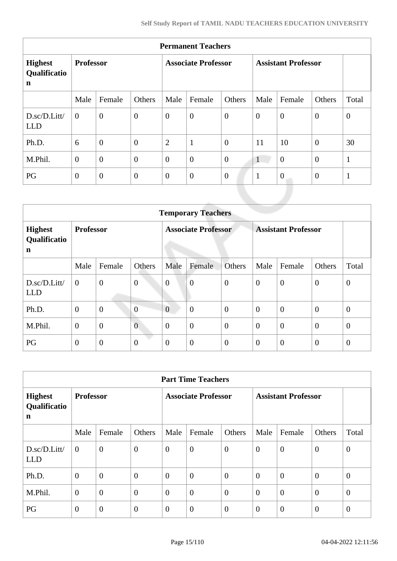| <b>Permanent Teachers</b>                     |                  |                |                            |                  |                            |                  |              |          |                  |                |
|-----------------------------------------------|------------------|----------------|----------------------------|------------------|----------------------------|------------------|--------------|----------|------------------|----------------|
| <b>Highest</b><br>Qualificatio<br>$\mathbf n$ | <b>Professor</b> |                | <b>Associate Professor</b> |                  | <b>Assistant Professor</b> |                  |              |          |                  |                |
|                                               | Male             | Female         | Others                     | Male             | Female                     | Others           | Male         | Female   | Others           | Total          |
| D.sc/D.Litt/<br><b>LLD</b>                    | $\theta$         | $\overline{0}$ | $\overline{0}$             | $\overline{0}$   | $\overline{0}$             | $\boldsymbol{0}$ | $\theta$     | $\theta$ | $\overline{0}$   | $\overline{0}$ |
| Ph.D.                                         | 6                | $\overline{0}$ | $\overline{0}$             | $\overline{2}$   | $\mathbf{1}$               | $\overline{0}$   | 11           | 10       | $\overline{0}$   | 30             |
| M.Phil.                                       | $\overline{0}$   | $\overline{0}$ | $\overline{0}$             | $\boldsymbol{0}$ | $\overline{0}$             | $\overline{0}$   | $\mathbf{1}$ | $\theta$ | $\mathbf{0}$     | $\mathbf{1}$   |
| PG                                            | $\overline{0}$   | $\theta$       | $\overline{0}$             | $\overline{0}$   | $\boldsymbol{0}$           | $\overline{0}$   | $\mathbf{1}$ | $\theta$ | $\boldsymbol{0}$ | $\mathbf{1}$   |
|                                               |                  |                |                            |                  | <b>THEFT</b>               |                  |              |          |                  |                |

|                                           | <b>Temporary Teachers</b> |                |                            |                  |                            |                  |                  |                  |                |                  |
|-------------------------------------------|---------------------------|----------------|----------------------------|------------------|----------------------------|------------------|------------------|------------------|----------------|------------------|
| <b>Highest</b><br>Qualificatio<br>n       | <b>Professor</b>          |                | <b>Associate Professor</b> |                  | <b>Assistant Professor</b> |                  |                  |                  |                |                  |
|                                           | Male                      | Female         | Others                     | Male             | Female                     | Others           | Male             | Female           | Others         | Total            |
| $D.\text{sc}/D.\text{Litt}$<br><b>LLD</b> | $\mathbf{0}$              | $\overline{0}$ | $\boldsymbol{0}$           | $\boldsymbol{0}$ | $\overline{0}$             | $\overline{0}$   | $\boldsymbol{0}$ | $\theta$         | $\overline{0}$ | $\boldsymbol{0}$ |
| Ph.D.                                     | $\overline{0}$            | $\mathbf{0}$   | $\overline{0}$             | $\overline{0}$   | $\overline{0}$             | $\overline{0}$   | $\theta$         | $\boldsymbol{0}$ | $\mathbf{0}$   | $\theta$         |
| M.Phil.                                   | $\theta$                  | $\mathbf{0}$   | $\overline{0}$             | $\overline{0}$   | $\boldsymbol{0}$           | $\boldsymbol{0}$ | $\theta$         | $\boldsymbol{0}$ | $\overline{0}$ | $\theta$         |
| PG                                        | $\mathbf{0}$              | $\mathbf{0}$   | $\boldsymbol{0}$           | $\theta$         | $\boldsymbol{0}$           | $\overline{0}$   | $\theta$         | $\overline{0}$   | $\theta$       | $\overline{0}$   |

|                                     | <b>Part Time Teachers</b> |                |                |                |                            |                |                |                            |                  |                  |
|-------------------------------------|---------------------------|----------------|----------------|----------------|----------------------------|----------------|----------------|----------------------------|------------------|------------------|
| <b>Highest</b><br>Qualificatio<br>n | <b>Professor</b>          |                |                |                | <b>Associate Professor</b> |                |                | <b>Assistant Professor</b> |                  |                  |
|                                     | Male                      | Female         | Others         | Male           | Female                     | Others         | Male           | Female                     | Others           | Total            |
| D.sc/D.Litt/<br><b>LLD</b>          | $\overline{0}$            | $\overline{0}$ | $\overline{0}$ | $\overline{0}$ | $\boldsymbol{0}$           | $\theta$       | $\overline{0}$ | $\overline{0}$             | $\overline{0}$   | $\boldsymbol{0}$ |
| Ph.D.                               | $\overline{0}$            | $\overline{0}$ | $\overline{0}$ | $\overline{0}$ | $\boldsymbol{0}$           | $\overline{0}$ | $\overline{0}$ | $\overline{0}$             | $\overline{0}$   | $\overline{0}$   |
| M.Phil.                             | $\theta$                  | $\overline{0}$ | $\overline{0}$ | $\theta$       | $\boldsymbol{0}$           | $\overline{0}$ | $\overline{0}$ | $\boldsymbol{0}$           | $\overline{0}$   | $\boldsymbol{0}$ |
| PG                                  | $\overline{0}$            | $\overline{0}$ | $\overline{0}$ | $\overline{0}$ | $\boldsymbol{0}$           | $\theta$       | $\overline{0}$ | $\theta$                   | $\boldsymbol{0}$ | $\overline{0}$   |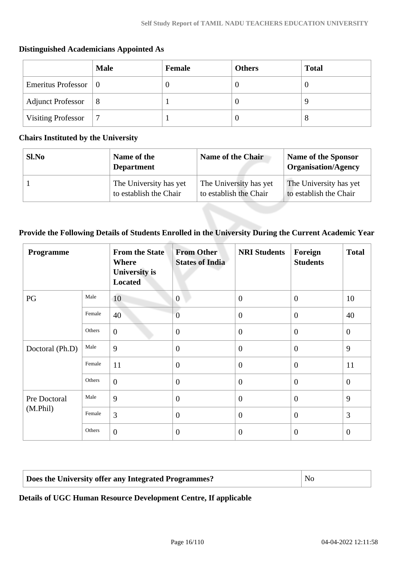|                                    | <b>Male</b>    | Female | <b>Others</b> | <b>Total</b> |
|------------------------------------|----------------|--------|---------------|--------------|
| Emeritus Professor $\vert 0 \vert$ |                |        | $\theta$      |              |
| Adjunct Professor                  | $\frac{18}{2}$ |        | $\theta$      |              |
| <b>Visiting Professor</b>          | ⇁              |        | $\theta$      |              |

## **Distinguished Academicians Appointed As**

#### **Chairs Instituted by the University**

| Sl.No | Name of the<br><b>Department</b> | Name of the Chair      | Name of the Sponsor<br><b>Organisation/Agency</b> |
|-------|----------------------------------|------------------------|---------------------------------------------------|
|       | The University has yet           | The University has yet | The University has yet                            |
|       | to establish the Chair           | to establish the Chair | to establish the Chair                            |

## **Provide the Following Details of Students Enrolled in the University During the Current Academic Year**

| Programme       |        | <b>From the State</b><br><b>Where</b><br><b>University</b> is<br><b>Located</b> | <b>From Other</b><br><b>States of India</b> | <b>NRI Students</b> | Foreign<br><b>Students</b> | <b>Total</b>   |
|-----------------|--------|---------------------------------------------------------------------------------|---------------------------------------------|---------------------|----------------------------|----------------|
| PG              | Male   | 10                                                                              | $\overline{0}$                              | $\theta$            | $\overline{0}$             | 10             |
|                 | Female | 40                                                                              | $\overline{0}$                              | $\overline{0}$      | $\mathbf{0}$               | 40             |
|                 | Others | $\boldsymbol{0}$                                                                | $\mathbf{0}$                                | $\overline{0}$      | $\overline{0}$             | $\overline{0}$ |
| Doctoral (Ph.D) | Male   | 9                                                                               | $\overline{0}$                              | $\theta$            | $\overline{0}$             | 9              |
|                 | Female | 11                                                                              | $\overline{0}$                              | $\overline{0}$      | $\theta$                   | 11             |
|                 | Others | $\overline{0}$                                                                  | $\overline{0}$                              | $\mathbf{0}$        | $\overline{0}$             | $\mathbf{0}$   |
| Pre Doctoral    | Male   | 9                                                                               | $\overline{0}$                              | $\overline{0}$      | $\overline{0}$             | 9              |
| (M. Phil)       | Female | 3                                                                               | $\overline{0}$                              | $\overline{0}$      | $\theta$                   | 3              |
|                 | Others | $\overline{0}$                                                                  | $\theta$                                    | $\theta$            | $\theta$                   | $\theta$       |

## **Does the University offer any Integrated Programmes?** No

**Details of UGC Human Resource Development Centre, If applicable**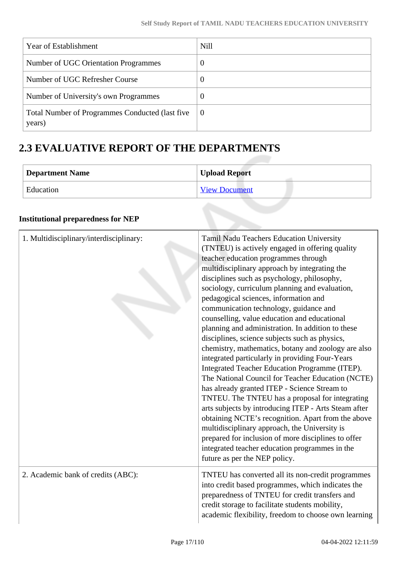| Year of Establishment                                      | <b>Nill</b>    |
|------------------------------------------------------------|----------------|
| Number of UGC Orientation Programmes                       | $\overline{0}$ |
| Number of UGC Refresher Course                             | $\overline{0}$ |
| Number of University's own Programmes                      | $\overline{0}$ |
| Total Number of Programmes Conducted (last five)<br>years) | $\theta$       |

## **2.3 EVALUATIVE REPORT OF THE DEPARTMENTS**

| Department Name | <b>Upload Report</b> |
|-----------------|----------------------|
| Education       | <b>View Document</b> |

## **Institutional preparedness for NEP**

| Tamil Nadu Teachers Education University<br>(TNTEU) is actively engaged in offering quality<br>teacher education programmes through<br>multidisciplinary approach by integrating the<br>disciplines such as psychology, philosophy,<br>sociology, curriculum planning and evaluation,<br>pedagogical sciences, information and<br>communication technology, guidance and<br>counselling, value education and educational<br>planning and administration. In addition to these<br>disciplines, science subjects such as physics,<br>chemistry, mathematics, botany and zoology are also<br>integrated particularly in providing Four-Years<br>Integrated Teacher Education Programme (ITEP).<br>The National Council for Teacher Education (NCTE)<br>has already granted ITEP - Science Stream to<br>TNTEU. The TNTEU has a proposal for integrating<br>arts subjects by introducing ITEP - Arts Steam after<br>obtaining NCTE's recognition. Apart from the above<br>multidisciplinary approach, the University is<br>prepared for inclusion of more disciplines to offer<br>integrated teacher education programmes in the<br>future as per the NEP policy. |
|--------------------------------------------------------------------------------------------------------------------------------------------------------------------------------------------------------------------------------------------------------------------------------------------------------------------------------------------------------------------------------------------------------------------------------------------------------------------------------------------------------------------------------------------------------------------------------------------------------------------------------------------------------------------------------------------------------------------------------------------------------------------------------------------------------------------------------------------------------------------------------------------------------------------------------------------------------------------------------------------------------------------------------------------------------------------------------------------------------------------------------------------------------------|
| TNTEU has converted all its non-credit programmes<br>into credit based programmes, which indicates the<br>preparedness of TNTEU for credit transfers and<br>credit storage to facilitate students mobility,<br>academic flexibility, freedom to choose own learning                                                                                                                                                                                                                                                                                                                                                                                                                                                                                                                                                                                                                                                                                                                                                                                                                                                                                          |
|                                                                                                                                                                                                                                                                                                                                                                                                                                                                                                                                                                                                                                                                                                                                                                                                                                                                                                                                                                                                                                                                                                                                                              |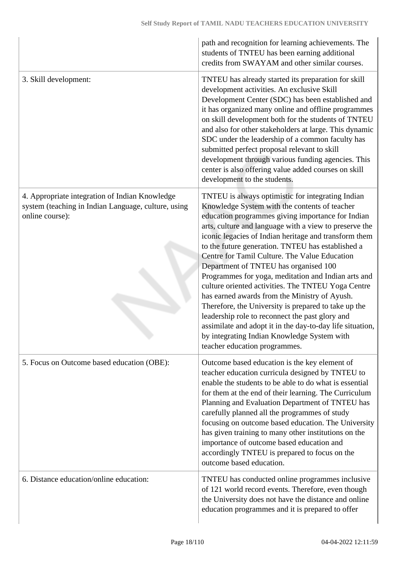|                                                                                                                          | path and recognition for learning achievements. The<br>students of TNTEU has been earning additional<br>credits from SWAYAM and other similar courses.                                                                                                                                                                                                                                                                                                                                                                                                                                                                                                                                                                                                                                                                                          |
|--------------------------------------------------------------------------------------------------------------------------|-------------------------------------------------------------------------------------------------------------------------------------------------------------------------------------------------------------------------------------------------------------------------------------------------------------------------------------------------------------------------------------------------------------------------------------------------------------------------------------------------------------------------------------------------------------------------------------------------------------------------------------------------------------------------------------------------------------------------------------------------------------------------------------------------------------------------------------------------|
| 3. Skill development:                                                                                                    | TNTEU has already started its preparation for skill<br>development activities. An exclusive Skill<br>Development Center (SDC) has been established and<br>it has organized many online and offline programmes<br>on skill development both for the students of TNTEU<br>and also for other stakeholders at large. This dynamic<br>SDC under the leadership of a common faculty has<br>submitted perfect proposal relevant to skill<br>development through various funding agencies. This<br>center is also offering value added courses on skill<br>development to the students.                                                                                                                                                                                                                                                                |
| 4. Appropriate integration of Indian Knowledge<br>system (teaching in Indian Language, culture, using<br>online course): | TNTEU is always optimistic for integrating Indian<br>Knowledge System with the contents of teacher<br>education programmes giving importance for Indian<br>arts, culture and language with a view to preserve the<br>iconic legacies of Indian heritage and transform them<br>to the future generation. TNTEU has established a<br>Centre for Tamil Culture. The Value Education<br>Department of TNTEU has organised 100<br>Programmes for yoga, meditation and Indian arts and<br>culture oriented activities. The TNTEU Yoga Centre<br>has earned awards from the Ministry of Ayush.<br>Therefore, the University is prepared to take up the<br>leadership role to reconnect the past glory and<br>assimilate and adopt it in the day-to-day life situation,<br>by integrating Indian Knowledge System with<br>teacher education programmes. |
| 5. Focus on Outcome based education (OBE):                                                                               | Outcome based education is the key element of<br>teacher education curricula designed by TNTEU to<br>enable the students to be able to do what is essential<br>for them at the end of their learning. The Curriculum<br>Planning and Evaluation Department of TNTEU has<br>carefully planned all the programmes of study<br>focusing on outcome based education. The University<br>has given training to many other institutions on the<br>importance of outcome based education and<br>accordingly TNTEU is prepared to focus on the<br>outcome based education.                                                                                                                                                                                                                                                                               |
| 6. Distance education/online education:                                                                                  | TNTEU has conducted online programmes inclusive<br>of 121 world record events. Therefore, even though<br>the University does not have the distance and online<br>education programmes and it is prepared to offer                                                                                                                                                                                                                                                                                                                                                                                                                                                                                                                                                                                                                               |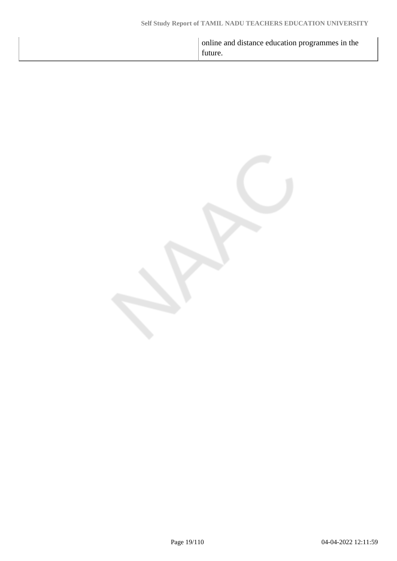|  | online and distance education programmes in the<br>future. |
|--|------------------------------------------------------------|
|--|------------------------------------------------------------|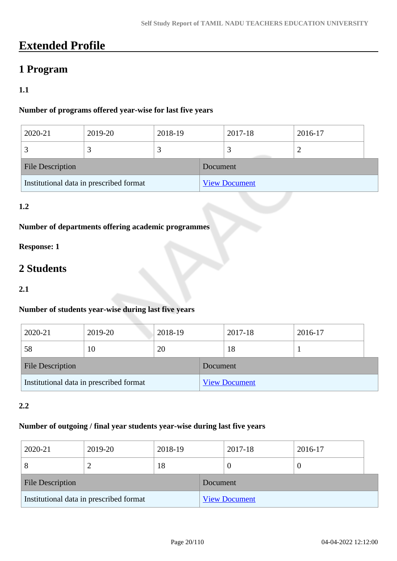## **Extended Profile**

## **1 Program**

## **1.1**

### **Number of programs offered year-wise for last five years**

| 2020-21                                 | 2019-20 | 2018-19 |                      | 2017-18 | 2016-17 |  |
|-----------------------------------------|---------|---------|----------------------|---------|---------|--|
|                                         |         |         |                      |         |         |  |
| <b>File Description</b>                 |         |         | Document             |         |         |  |
| Institutional data in prescribed format |         |         | <b>View Document</b> |         |         |  |

## **1.2**

## **Number of departments offering academic programmes**

## **Response: 1**

## **2 Students**

#### **2.1**

## **Number of students year-wise during last five years**

| 2020-21                                 | 2019-20 | 2018-19 |          | 2017-18              | 2016-17 |  |
|-----------------------------------------|---------|---------|----------|----------------------|---------|--|
| 58                                      | 10      | 20      |          | 18                   |         |  |
| <b>File Description</b>                 |         |         | Document |                      |         |  |
| Institutional data in prescribed format |         |         |          | <b>View Document</b> |         |  |

### **2.2**

### **Number of outgoing / final year students year-wise during last five years**

| 2020-21                                 | 2019-20 | 2018-19 |                      | 2017-18 | 2016-17 |
|-----------------------------------------|---------|---------|----------------------|---------|---------|
| 8                                       |         | 18      |                      |         | U       |
| <b>File Description</b>                 |         |         | Document             |         |         |
| Institutional data in prescribed format |         |         | <b>View Document</b> |         |         |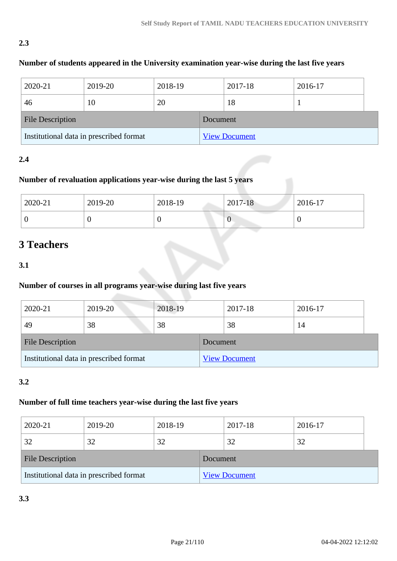## **2.3**

## **Number of students appeared in the University examination year-wise during the last five years**

| 2020-21                                 | 2019-20 | 2018-19 |          | 2017-18              | 2016-17 |
|-----------------------------------------|---------|---------|----------|----------------------|---------|
| 46                                      | 10      | 20      |          | 18                   |         |
| <b>File Description</b>                 |         |         | Document |                      |         |
| Institutional data in prescribed format |         |         |          | <b>View Document</b> |         |

### **2.4**

## **Number of revaluation applications year-wise during the last 5 years**

| 2020-21 | 2019-20 | 2018-19 | 2017-18 | 2016-17 |
|---------|---------|---------|---------|---------|
| ◡       |         |         | v       |         |

## **3 Teachers**

#### **3.1**

## **Number of courses in all programs year-wise during last five years**

| 2020-21                                 | 2019-20 | 2018-19 |          | 2017-18              | 2016-17 |
|-----------------------------------------|---------|---------|----------|----------------------|---------|
| 49                                      | 38      | 38      |          | 38                   | 14      |
| <b>File Description</b>                 |         |         | Document |                      |         |
| Institutional data in prescribed format |         |         |          | <b>View Document</b> |         |

## **3.2**

## **Number of full time teachers year-wise during the last five years**

| 2020-21                                 | 2019-20 | 2018-19 |          | 2017-18              | 2016-17 |  |
|-----------------------------------------|---------|---------|----------|----------------------|---------|--|
| 32                                      | 32      | 32      |          | 32                   | 32      |  |
| <b>File Description</b>                 |         |         | Document |                      |         |  |
| Institutional data in prescribed format |         |         |          | <b>View Document</b> |         |  |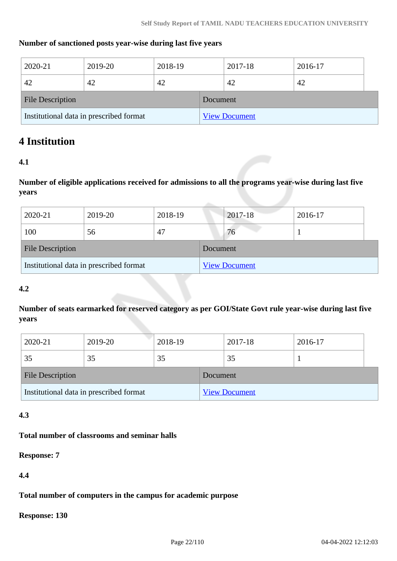### **Number of sanctioned posts year-wise during last five years**

| 2020-21                                 | 2019-20 | 2018-19 |          | 2017-18              | 2016-17 |
|-----------------------------------------|---------|---------|----------|----------------------|---------|
| 42                                      | 42      | 42      |          | 42                   | 42      |
| <b>File Description</b>                 |         |         | Document |                      |         |
| Institutional data in prescribed format |         |         |          | <b>View Document</b> |         |

## **4 Institution**

### **4.1**

**Number of eligible applications received for admissions to all the programs year-wise during last five years**

| 2020-21                                 | 2019-20 | 2018-19 |          | 2017-18              | 2016-17 |
|-----------------------------------------|---------|---------|----------|----------------------|---------|
| 100                                     | 56      | 47      |          | 76                   |         |
| <b>File Description</b>                 |         |         | Document |                      |         |
| Institutional data in prescribed format |         |         |          | <b>View Document</b> |         |

#### **4.2**

**Number of seats earmarked for reserved category as per GOI/State Govt rule year-wise during last five years**

| 2020-21                                 | 2019-20 | 2018-19 |                      | 2017-18 | 2016-17 |  |
|-----------------------------------------|---------|---------|----------------------|---------|---------|--|
| 35                                      | 35      | 35      |                      | 35      |         |  |
| <b>File Description</b>                 |         |         | Document             |         |         |  |
| Institutional data in prescribed format |         |         | <b>View Document</b> |         |         |  |

## **4.3**

### **Total number of classrooms and seminar halls**

**Response: 7**

**4.4**

**Total number of computers in the campus for academic purpose**

**Response: 130**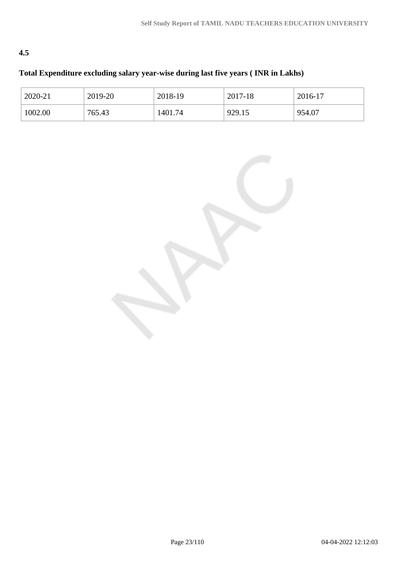## **4.5**

## **Total Expenditure excluding salary year-wise during last five years ( INR in Lakhs)**

| 2020-21 | 2019-20 | 2018-19 | 2017-18 | 2016-17 |
|---------|---------|---------|---------|---------|
| 1002.00 | 765.43  | 1401.74 | 929.15  | 954.07  |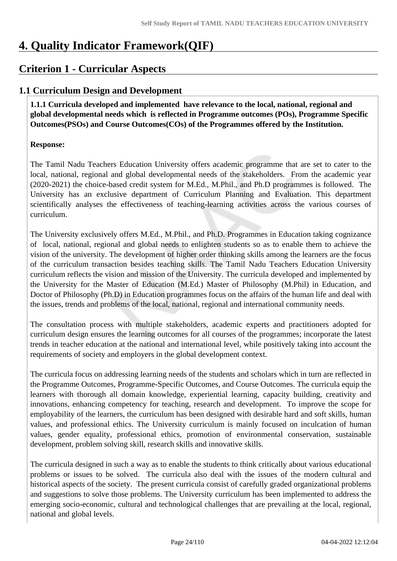## **4. Quality Indicator Framework(QIF)**

## **Criterion 1 - Curricular Aspects**

## **1.1 Curriculum Design and Development**

 **1.1.1 Curricula developed and implemented have relevance to the local, national, regional and global developmental needs which is reflected in Programme outcomes (POs), Programme Specific Outcomes(PSOs) and Course Outcomes(COs) of the Programmes offered by the Institution.**

## **Response:**

The Tamil Nadu Teachers Education University offers academic programme that are set to cater to the local, national, regional and global developmental needs of the stakeholders. From the academic year (2020-2021) the choice-based credit system for M.Ed., M.Phil., and Ph.D programmes is followed. The University has an exclusive department of Curriculum Planning and Evaluation. This department scientifically analyses the effectiveness of teaching-learning activities across the various courses of curriculum.

The University exclusively offers M.Ed., M.Phil., and Ph.D. Programmes in Education taking cognizance of local, national, regional and global needs to enlighten students so as to enable them to achieve the vision of the university. The development of higher order thinking skills among the learners are the focus of the curriculum transaction besides teaching skills. The Tamil Nadu Teachers Education University curriculum reflects the vision and mission of the University. The curricula developed and implemented by the University for the Master of Education (M.Ed.) Master of Philosophy (M.Phil) in Education, and Doctor of Philosophy (Ph.D) in Education programmes focus on the affairs of the human life and deal with the issues, trends and problems of the local, national, regional and international community needs.

The consultation process with multiple stakeholders, academic experts and practitioners adopted for curriculum design ensures the learning outcomes for all courses of the programmes; incorporate the latest trends in teacher education at the national and international level, while positively taking into account the requirements of society and employers in the global development context.

The curricula focus on addressing learning needs of the students and scholars which in turn are reflected in the Programme Outcomes, Programme-Specific Outcomes, and Course Outcomes. The curricula equip the learners with thorough all domain knowledge, experiential learning, capacity building, creativity and innovations, enhancing competency for teaching, research and development. To improve the scope for employability of the learners, the curriculum has been designed with desirable hard and soft skills, human values, and professional ethics. The University curriculum is mainly focused on inculcation of human values, gender equality, professional ethics, promotion of environmental conservation, sustainable development, problem solving skill, research skills and innovative skills.

The curricula designed in such a way as to enable the students to think critically about various educational problems or issues to be solved. The curricula also deal with the issues of the modern cultural and historical aspects of the society. The present curricula consist of carefully graded organizational problems and suggestions to solve those problems. The University curriculum has been implemented to address the emerging socio-economic, cultural and technological challenges that are prevailing at the local, regional, national and global levels.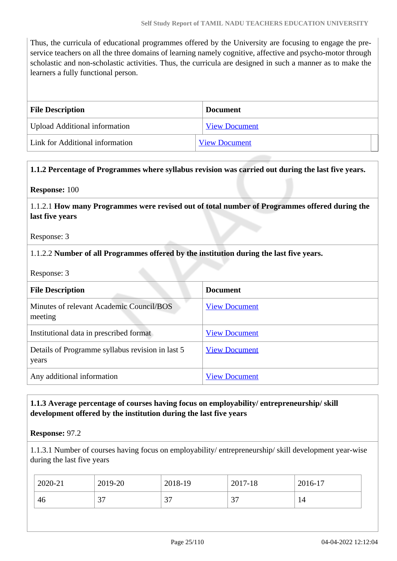Thus, the curricula of educational programmes offered by the University are focusing to engage the preservice teachers on all the three domains of learning namely cognitive, affective and psycho-motor through scholastic and non-scholastic activities. Thus, the curricula are designed in such a manner as to make the learners a fully functional person.

| <b>File Description</b>              | <b>Document</b>      |
|--------------------------------------|----------------------|
| <b>Upload Additional information</b> | <b>View Document</b> |
| Link for Additional information      | <b>View Document</b> |

#### **1.1.2 Percentage of Programmes where syllabus revision was carried out during the last five years.**

**Response:** 100

1.1.2.1 **How many Programmes were revised out of total number of Programmes offered during the last five years**

Response: 3

#### 1.1.2.2 **Number of all Programmes offered by the institution during the last five years.**

Response: 3

| <b>File Description</b>                                   | <b>Document</b>      |
|-----------------------------------------------------------|----------------------|
| Minutes of relevant Academic Council/BOS<br>meeting       | <b>View Document</b> |
| Institutional data in prescribed format                   | <b>View Document</b> |
| Details of Programme syllabus revision in last 5<br>years | <b>View Document</b> |
| Any additional information                                | <b>View Document</b> |

### **1.1.3 Average percentage of courses having focus on employability/ entrepreneurship/ skill development offered by the institution during the last five years**

#### **Response:** 97.2

1.1.3.1 Number of courses having focus on employability/ entrepreneurship/ skill development year-wise during the last five years

| 2020-21           | 2019-20 | 2018-19       | 2017-18     | 2016-17 |
|-------------------|---------|---------------|-------------|---------|
| $\sim$<br>46<br>◡ |         | $\sim$<br>، ب | $\sim$<br>ັ | 14      |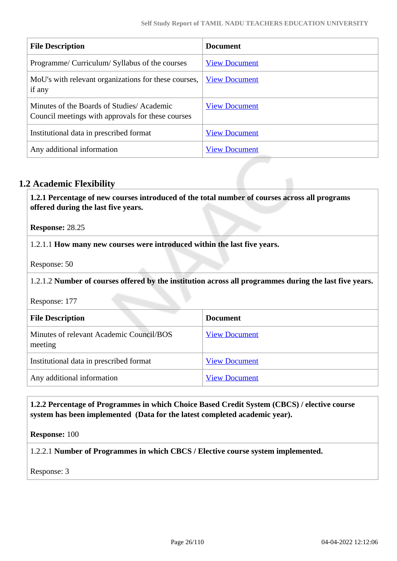| <b>File Description</b>                                                                        | <b>Document</b>      |
|------------------------------------------------------------------------------------------------|----------------------|
| Programme/ Curriculum/ Syllabus of the courses                                                 | <b>View Document</b> |
| MoU's with relevant organizations for these courses,<br>if any                                 | <b>View Document</b> |
| Minutes of the Boards of Studies/Academic<br>Council meetings with approvals for these courses | <b>View Document</b> |
| Institutional data in prescribed format                                                        | <b>View Document</b> |
| Any additional information                                                                     | <b>View Document</b> |

## **1.2 Academic Flexibility**

 **1.2.1 Percentage of new courses introduced of the total number of courses across all programs offered during the last five years.**

**Response:** 28.25

1.2.1.1 **How many new courses were introduced within the last five years.**

Response: 50

1.2.1.2 **Number of courses offered by the institution across all programmes during the last five years.**

Response: 177

| <b>File Description</b>                             | <b>Document</b>      |
|-----------------------------------------------------|----------------------|
| Minutes of relevant Academic Council/BOS<br>meeting | <b>View Document</b> |
| Institutional data in prescribed format             | <b>View Document</b> |
| Any additional information                          | <b>View Document</b> |

#### **1.2.2 Percentage of Programmes in which Choice Based Credit System (CBCS) / elective course system has been implemented (Data for the latest completed academic year).**

**Response:** 100

1.2.2.1 **Number of Programmes in which CBCS / Elective course system implemented.**

Response: 3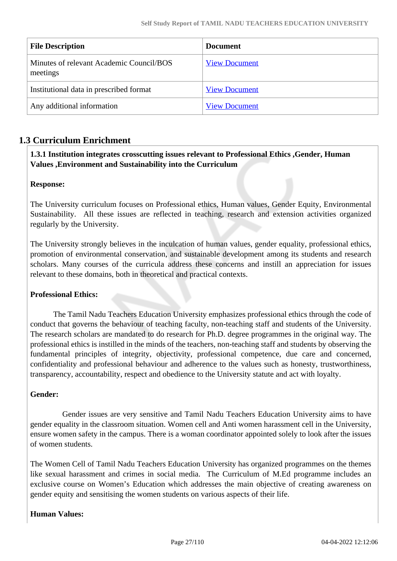| <b>File Description</b>                              | <b>Document</b>      |
|------------------------------------------------------|----------------------|
| Minutes of relevant Academic Council/BOS<br>meetings | <b>View Document</b> |
| Institutional data in prescribed format              | <b>View Document</b> |
| Any additional information                           | <b>View Document</b> |

## **1.3 Curriculum Enrichment**

### **1.3.1 Institution integrates crosscutting issues relevant to Professional Ethics ,Gender, Human Values ,Environment and Sustainability into the Curriculum**

#### **Response:**

The University curriculum focuses on Professional ethics, Human values, Gender Equity, Environmental Sustainability. All these issues are reflected in teaching, research and extension activities organized regularly by the University.

The University strongly believes in the inculcation of human values, gender equality, professional ethics, promotion of environmental conservation, and sustainable development among its students and research scholars. Many courses of the curricula address these concerns and instill an appreciation for issues relevant to these domains, both in theoretical and practical contexts.

#### **Professional Ethics:**

 The Tamil Nadu Teachers Education University emphasizes professional ethics through the code of conduct that governs the behaviour of teaching faculty, non-teaching staff and students of the University. The research scholars are mandated to do research for Ph.D. degree programmes in the original way. The professional ethics is instilled in the minds of the teachers, non-teaching staff and students by observing the fundamental principles of integrity, objectivity, professional competence, due care and concerned, confidentiality and professional behaviour and adherence to the values such as honesty, trustworthiness, transparency, accountability, respect and obedience to the University statute and act with loyalty.

## **Gender:**

 Gender issues are very sensitive and Tamil Nadu Teachers Education University aims to have gender equality in the classroom situation. Women cell and Anti women harassment cell in the University, ensure women safety in the campus. There is a woman coordinator appointed solely to look after the issues of women students.

The Women Cell of Tamil Nadu Teachers Education University has organized programmes on the themes like sexual harassment and crimes in social media. The Curriculum of M.Ed programme includes an exclusive course on Women's Education which addresses the main objective of creating awareness on gender equity and sensitising the women students on various aspects of their life.

## **Human Values:**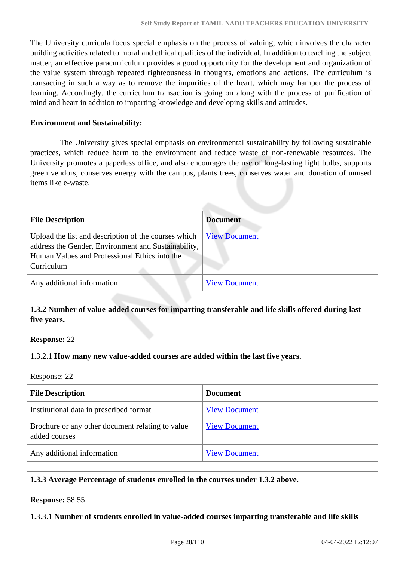The University curricula focus special emphasis on the process of valuing, which involves the character building activities related to moral and ethical qualities of the individual. In addition to teaching the subject matter, an effective paracurriculum provides a good opportunity for the development and organization of the value system through repeated righteousness in thoughts, emotions and actions. The curriculum is transacting in such a way as to remove the impurities of the heart, which may hamper the process of learning. Accordingly, the curriculum transaction is going on along with the process of purification of mind and heart in addition to imparting knowledge and developing skills and attitudes.

#### **Environment and Sustainability:**

 The University gives special emphasis on environmental sustainability by following sustainable practices, which reduce harm to the environment and reduce waste of non-renewable resources. The University promotes a paperless office, and also encourages the use of long-lasting light bulbs, supports green vendors, conserves energy with the campus, plants trees, conserves water and donation of unused items like e-waste.

| <b>File Description</b>                                                                                                                                                    | <b>Document</b>      |
|----------------------------------------------------------------------------------------------------------------------------------------------------------------------------|----------------------|
| Upload the list and description of the courses which<br>address the Gender, Environment and Sustainability,<br>Human Values and Professional Ethics into the<br>Curriculum | <b>View Document</b> |
| Any additional information                                                                                                                                                 | <b>View Document</b> |

 **1.3.2 Number of value-added courses for imparting transferable and life skills offered during last five years.**

**Response:** 22

#### 1.3.2.1 **How many new value-added courses are added within the last five years.**

Response: 22

| <b>File Description</b>                                           | <b>Document</b>      |
|-------------------------------------------------------------------|----------------------|
| Institutional data in prescribed format                           | <b>View Document</b> |
| Brochure or any other document relating to value<br>added courses | <b>View Document</b> |
| Any additional information                                        | <b>View Document</b> |

#### **1.3.3 Average Percentage of students enrolled in the courses under 1.3.2 above.**

**Response:** 58.55

1.3.3.1 **Number of students enrolled in value-added courses imparting transferable and life skills**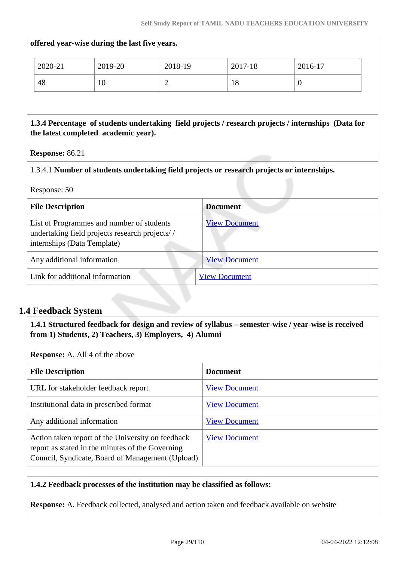# **offered year-wise during the last five years.** 2020-21 2019-20 2018-19 2017-18 2016-17 48 | 10 | 2 | 18 | 0 **1.3.4 Percentage of students undertaking field projects / research projects / internships (Data for the latest completed academic year). Response:** 86.21 1.3.4.1 **Number of students undertaking field projects or research projects or internships.** Response: 50 **File Description Document** List of Programmes and number of students undertaking field projects research projects/ / internships (Data Template) [View Document](https://assessmentonline.naac.gov.in/storage/app/hei/SSR/111251/1.3.4_1647304344_7532.xlsx) Any additional information [View Document](https://assessmentonline.naac.gov.in/storage/app/hei/SSR/111251/1.3.4_1647073913_7532.pdf) Link for additional information [View Document](http://www.tnteu.ac.in/pdf/Criteria1/Criteria1.3/1.3.4/internship.pdf)

## **1.4 Feedback System**

 **1.4.1 Structured feedback for design and review of syllabus – semester-wise / year-wise is received from 1) Students, 2) Teachers, 3) Employers, 4) Alumni**

**Response:** A. All 4 of the above

| <b>File Description</b>                                                                                                                                   | <b>Document</b>      |
|-----------------------------------------------------------------------------------------------------------------------------------------------------------|----------------------|
| URL for stakeholder feedback report                                                                                                                       | <b>View Document</b> |
| Institutional data in prescribed format                                                                                                                   | <b>View Document</b> |
| Any additional information                                                                                                                                | <b>View Document</b> |
| Action taken report of the University on feedback<br>report as stated in the minutes of the Governing<br>Council, Syndicate, Board of Management (Upload) | <b>View Document</b> |

#### **1.4.2 Feedback processes of the institution may be classified as follows:**

**Response:** A. Feedback collected, analysed and action taken and feedback available on website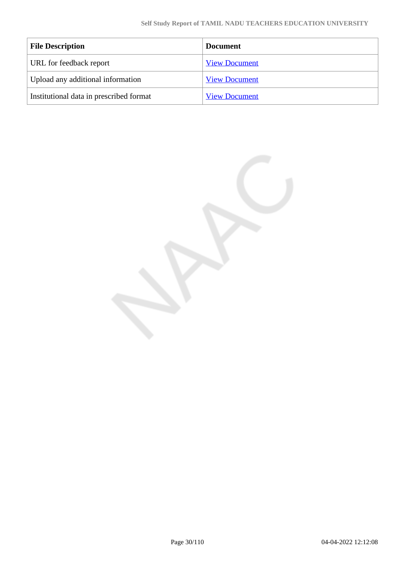| <b>File Description</b>                 | <b>Document</b>      |
|-----------------------------------------|----------------------|
| URL for feedback report                 | <b>View Document</b> |
| Upload any additional information       | <b>View Document</b> |
| Institutional data in prescribed format | <b>View Document</b> |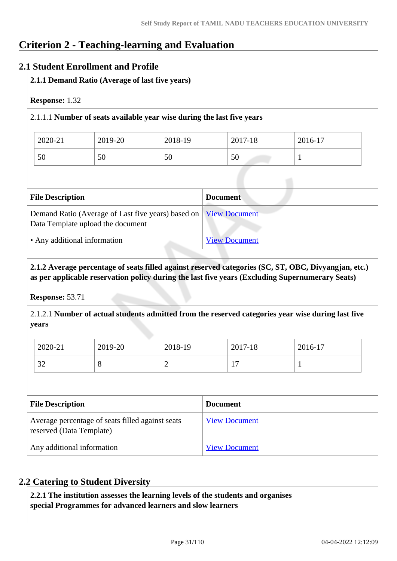## **Criterion 2 - Teaching-learning and Evaluation**

## **2.1 Student Enrollment and Profile**

|                         | 2.1.1 Demand Ratio (Average of last five years)                                         |         |                      |         |  |
|-------------------------|-----------------------------------------------------------------------------------------|---------|----------------------|---------|--|
| <b>Response: 1.32</b>   |                                                                                         |         |                      |         |  |
|                         | 2.1.1.1 Number of seats available year wise during the last five years                  |         |                      |         |  |
| 2020-21                 | 2019-20                                                                                 | 2018-19 | 2017-18              | 2016-17 |  |
| 50                      | 50                                                                                      | 50      | 50                   |         |  |
|                         |                                                                                         |         |                      |         |  |
| <b>File Description</b> |                                                                                         |         | <b>Document</b>      |         |  |
|                         | Demand Ratio (Average of Last five years) based on<br>Data Template upload the document |         | <b>View Document</b> |         |  |
|                         | • Any additional information                                                            |         | <b>View Document</b> |         |  |

## **2.1.2 Average percentage of seats filled against reserved categories (SC, ST, OBC, Divyangjan, etc.) as per applicable reservation policy during the last five years (Excluding Supernumerary Seats)**

**Response:** 53.71

2.1.2.1 **Number of actual students admitted from the reserved categories year wise during last five years**

| 2020-21          | 2019-20 | 2018-19 | 2017-18                          | 2016-17 |
|------------------|---------|---------|----------------------------------|---------|
| $\bigcap$<br>ے ر | O       | ∽       | $\overline{ }$<br>$\overline{ }$ |         |

| <b>File Description</b>                                                      | <b>Document</b>      |
|------------------------------------------------------------------------------|----------------------|
| Average percentage of seats filled against seats<br>reserved (Data Template) | <b>View Document</b> |
| Any additional information                                                   | <b>View Document</b> |

## **2.2 Catering to Student Diversity**

 **2.2.1 The institution assesses the learning levels of the students and organises special Programmes for advanced learners and slow learners**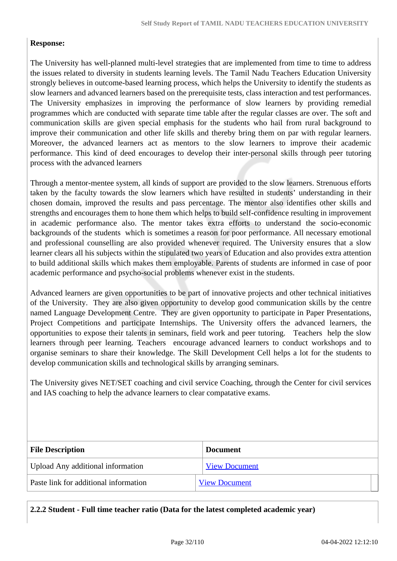### **Response:**

The University has well-planned multi-level strategies that are implemented from time to time to address the issues related to diversity in students learning levels. The Tamil Nadu Teachers Education University strongly believes in outcome-based learning process, which helps the University to identify the students as slow learners and advanced learners based on the prerequisite tests, class interaction and test performances. The University emphasizes in improving the performance of slow learners by providing remedial programmes which are conducted with separate time table after the regular classes are over. The soft and communication skills are given special emphasis for the students who hail from rural background to improve their communication and other life skills and thereby bring them on par with regular learners. Moreover, the advanced learners act as mentors to the slow learners to improve their academic performance. This kind of deed encourages to develop their inter-personal skills through peer tutoring process with the advanced learners

Through a mentor-mentee system, all kinds of support are provided to the slow learners. Strenuous efforts taken by the faculty towards the slow learners which have resulted in students' understanding in their chosen domain, improved the results and pass percentage. The mentor also identifies other skills and strengths and encourages them to hone them which helps to build self-confidence resulting in improvement in academic performance also. The mentor takes extra efforts to understand the socio-economic backgrounds of the students which is sometimes a reason for poor performance. All necessary emotional and professional counselling are also provided whenever required. The University ensures that a slow learner clears all his subjects within the stipulated two years of Education and also provides extra attention to build additional skills which makes them employable. Parents of students are informed in case of poor academic performance and psycho-social problems whenever exist in the students.

Advanced learners are given opportunities to be part of innovative projects and other technical initiatives of the University. They are also given opportunity to develop good communication skills by the centre named Language Development Centre. They are given opportunity to participate in Paper Presentations, Project Competitions and participate Internships. The University offers the advanced learners, the opportunities to expose their talents in seminars, field work and peer tutoring. Teachers help the slow learners through peer learning. Teachers encourage advanced learners to conduct workshops and to organise seminars to share their knowledge. The Skill Development Cell helps a lot for the students to develop communication skills and technological skills by arranging seminars.

The University gives NET/SET coaching and civil service Coaching, through the Center for civil services and IAS coaching to help the advance learners to clear compatative exams.

| <b>File Description</b>               | <b>Document</b>      |  |
|---------------------------------------|----------------------|--|
| Upload Any additional information     | <b>View Document</b> |  |
| Paste link for additional information | <b>View Document</b> |  |

**2.2.2 Student - Full time teacher ratio (Data for the latest completed academic year)**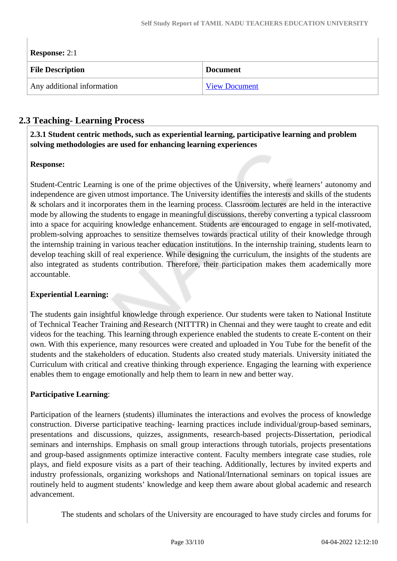| <b>Response:</b> $2:1$     |                      |  |
|----------------------------|----------------------|--|
| <b>File Description</b>    | <b>Document</b>      |  |
| Any additional information | <b>View Document</b> |  |

## **2.3 Teaching- Learning Process**

 **2.3.1 Student centric methods, such as experiential learning, participative learning and problem solving methodologies are used for enhancing learning experiences**

## **Response:**

Student-Centric Learning is one of the prime objectives of the University, where learners' autonomy and independence are given utmost importance. The University identifies the interests and skills of the students & scholars and it incorporates them in the learning process. Classroom lectures are held in the interactive mode by allowing the students to engage in meaningful discussions, thereby converting a typical classroom into a space for acquiring knowledge enhancement. Students are encouraged to engage in self-motivated, problem-solving approaches to sensitize themselves towards practical utility of their knowledge through the internship training in various teacher education institutions. In the internship training, students learn to develop teaching skill of real experience. While designing the curriculum, the insights of the students are also integrated as students contribution. Therefore, their participation makes them academically more accountable.

## **Experiential Learning:**

The students gain insightful knowledge through experience. Our students were taken to National Institute of Technical Teacher Training and Research (NITTTR) in Chennai and they were taught to create and edit videos for the teaching. This learning through experience enabled the students to create E-content on their own. With this experience, many resources were created and uploaded in You Tube for the benefit of the students and the stakeholders of education. Students also created study materials. University initiated the Curriculum with critical and creative thinking through experience. Engaging the learning with experience enables them to engage emotionally and help them to learn in new and better way.

## **Participative Learning**:

Participation of the learners (students) illuminates the interactions and evolves the process of knowledge construction. Diverse participative teaching- learning practices include individual/group-based seminars, presentations and discussions, quizzes, assignments, research-based projects-Dissertation, periodical seminars and internships. Emphasis on small group interactions through tutorials, projects presentations and group-based assignments optimize interactive content. Faculty members integrate case studies, role plays, and field exposure visits as a part of their teaching. Additionally, lectures by invited experts and industry professionals, organizing workshops and National/International seminars on topical issues are routinely held to augment students' knowledge and keep them aware about global academic and research advancement.

The students and scholars of the University are encouraged to have study circles and forums for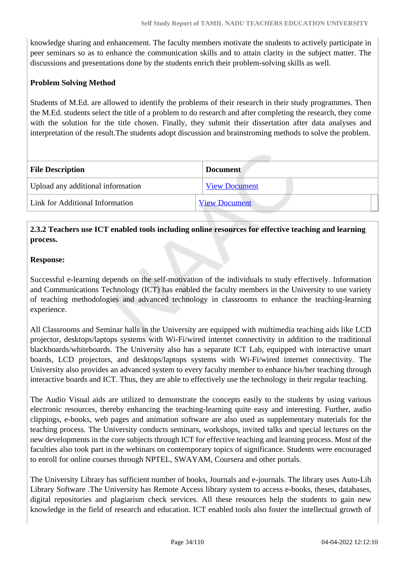knowledge sharing and enhancement. The faculty members motivate the students to actively participate in peer seminars so as to enhance the communication skills and to attain clarity in the subject matter. The discussions and presentations done by the students enrich their problem-solving skills as well.

### **Problem Solving Method**

Students of M.Ed. are allowed to identify the problems of their research in their study programmes. Then the M.Ed. students select the title of a problem to do research and after completing the research, they come with the solution for the title chosen. Finally, they submit their dissertation after data analyses and interpretation of the result.The students adopt discussion and brainstroming methods to solve the problem.

| <b>File Description</b>           | <b>Document</b>      |  |
|-----------------------------------|----------------------|--|
| Upload any additional information | <b>View Document</b> |  |
| Link for Additional Information   | <b>View Document</b> |  |

## **2.3.2 Teachers use ICT enabled tools including online resources for effective teaching and learning process.**

#### **Response:**

Successful e-learning depends on the self-motivation of the individuals to study effectively. Information and Communications Technology (ICT) has enabled the faculty members in the University to use variety of teaching methodologies and advanced technology in classrooms to enhance the teaching-learning experience.

All Classrooms and Seminar halls in the University are equipped with multimedia teaching aids like LCD projector, desktops/laptops systems with Wi-Fi/wired internet connectivity in addition to the traditional blackboards/whiteboards. The University also has a separate ICT Lab, equipped with interactive smart boards, LCD projectors, and desktops/laptops systems with Wi-Fi/wired internet connectivity. The University also provides an advanced system to every faculty member to enhance his/her teaching through interactive boards and ICT. Thus, they are able to effectively use the technology in their regular teaching.

The Audio Visual aids are utilized to demonstrate the concepts easily to the students by using various electronic resources, thereby enhancing the teaching-learning quite easy and interesting. Further, audio clippings, e-books, web pages and animation software are also used as supplementary materials for the teaching process. The University conducts seminars, workshops, invited talks and special lectures on the new developments in the core subjects through ICT for effective teaching and learning process. Most of the faculties also took part in the webinars on contemporary topics of significance. Students were encouraged to enroll for online courses through NPTEL, SWAYAM, Coursera and other portals.

The University Library has sufficient number of books, Journals and e-journals. The library uses Auto-Lib Library Software .The University has Remote Access library system to access e-books, theses, databases, digital repositories and plagiarism check services. All these resources help the students to gain new knowledge in the field of research and education. ICT enabled tools also foster the intellectual growth of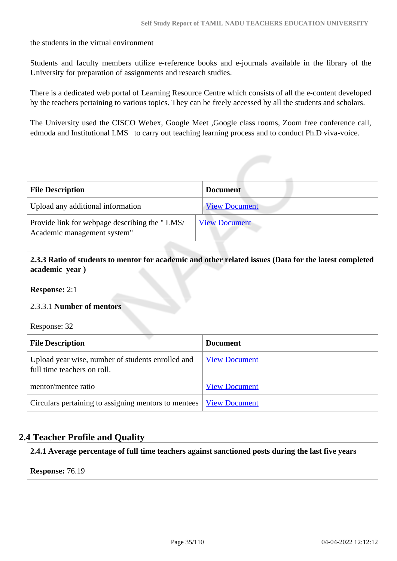the students in the virtual environment

Students and faculty members utilize e-reference books and e-journals available in the library of the University for preparation of assignments and research studies.

There is a dedicated web portal of Learning Resource Centre which consists of all the e-content developed by the teachers pertaining to various topics. They can be freely accessed by all the students and scholars.

The University used the CISCO Webex, Google Meet ,Google class rooms, Zoom free conference call, edmoda and Institutional LMS to carry out teaching learning process and to conduct Ph.D viva-voice.

| <b>File Description</b>                                                      | <b>Document</b>      |
|------------------------------------------------------------------------------|----------------------|
| Upload any additional information                                            | <b>View Document</b> |
| Provide link for webpage describing the "LMS/<br>Academic management system" | <b>View Document</b> |

 **2.3.3 Ratio of students to mentor for academic and other related issues (Data for the latest completed academic year )**

**Response:** 2:1

#### 2.3.3.1 **Number of mentors**

Response: 32

| <b>File Description</b>                                                          | <b>Document</b>      |
|----------------------------------------------------------------------------------|----------------------|
| Upload year wise, number of students enrolled and<br>full time teachers on roll. | <b>View Document</b> |
| mentor/mentee ratio                                                              | <b>View Document</b> |
| Circulars pertaining to assigning mentors to mentees   <u>View Document</u>      |                      |

## **2.4 Teacher Profile and Quality**

**2.4.1 Average percentage of full time teachers against sanctioned posts during the last five years**

**Response:** 76.19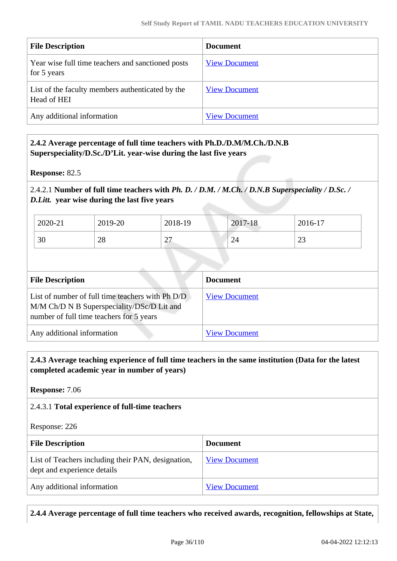| <b>File Description</b>                                          | <b>Document</b>      |
|------------------------------------------------------------------|----------------------|
| Year wise full time teachers and sanctioned posts<br>for 5 years | <b>View Document</b> |
| List of the faculty members authenticated by the<br>Head of HEI  | <b>View Document</b> |
| Any additional information                                       | <b>View Document</b> |

### **2.4.2 Average percentage of full time teachers with Ph.D./D.M/M.Ch./D.N.B Superspeciality/D.Sc./D'Lit. year-wise during the last five years**

**Response:** 82.5

## 2.4.2.1 **Number of full time teachers with** *Ph. D. / D.M. / M.Ch. / D.N.B Superspeciality / D.Sc. / D.Litt.* **year wise during the last five years**

| 2020-21 | 2019-20  | 2018-19        | 2017-18 | 2016-17       |
|---------|----------|----------------|---------|---------------|
| 30      | nο<br>∠٥ | n.<br>$\sim$ 1 | 24      | $\cap$<br>ر ے |

| <b>File Description</b>                                                                                                                    | <b>Document</b>      |
|--------------------------------------------------------------------------------------------------------------------------------------------|----------------------|
| List of number of full time teachers with Ph D/D<br>M/M Ch/D N B Superspeciality/DSc/D Lit and<br>number of full time teachers for 5 years | <b>View Document</b> |
| Any additional information                                                                                                                 | <b>View Document</b> |

### **2.4.3 Average teaching experience of full time teachers in the same institution (Data for the latest completed academic year in number of years)**

**Response:** 7.06

#### 2.4.3.1 **Total experience of full-time teachers**

Response: 226

| <b>File Description</b>                                                           | Document             |
|-----------------------------------------------------------------------------------|----------------------|
| List of Teachers including their PAN, designation,<br>dept and experience details | <b>View Document</b> |
| Any additional information                                                        | <b>View Document</b> |

**2.4.4 Average percentage of full time teachers who received awards, recognition, fellowships at State,**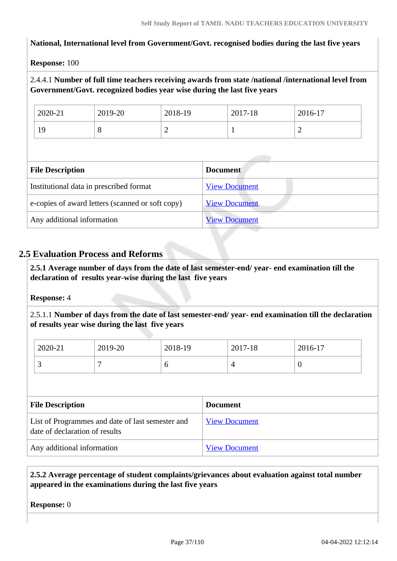#### **National, International level from Government/Govt. recognised bodies during the last five years**

#### **Response:** 100

# 2.4.4.1 **Number of full time teachers receiving awards from state /national /international level from Government/Govt. recognized bodies year wise during the last five years**

| 2020-21       | 2019-20 | 2018-19 | 2017-18 | 2016-17 |
|---------------|---------|---------|---------|---------|
| $\Omega$<br>∼ | ◡       | ∼       |         | ∽       |

| <b>File Description</b>                          | <b>Document</b>      |
|--------------------------------------------------|----------------------|
| Institutional data in prescribed format          | <b>View Document</b> |
| e-copies of award letters (scanned or soft copy) | <b>View Document</b> |
| Any additional information                       | <b>View Document</b> |

# **2.5 Evaluation Process and Reforms**

 **2.5.1 Average number of days from the date of last semester-end/ year- end examination till the declaration of results year-wise during the last five years**

**Response:** 4

2.5.1.1 **Number of days from the date of last semester-end/ year- end examination till the declaration of results year wise during the last five years** 

| 2020-21  | 2019-20 | 2018-19 | 2017-18 | 2016-17 |
|----------|---------|---------|---------|---------|
| <u>ب</u> |         | ິ       | ∼       | υ       |

| <b>File Description</b>                                                            | <b>Document</b>      |
|------------------------------------------------------------------------------------|----------------------|
| List of Programmes and date of last semester and<br>date of declaration of results | <b>View Document</b> |
| Any additional information                                                         | <b>View Document</b> |

# **2.5.2 Average percentage of student complaints/grievances about evaluation against total number appeared in the examinations during the last five years**

**Response:** 0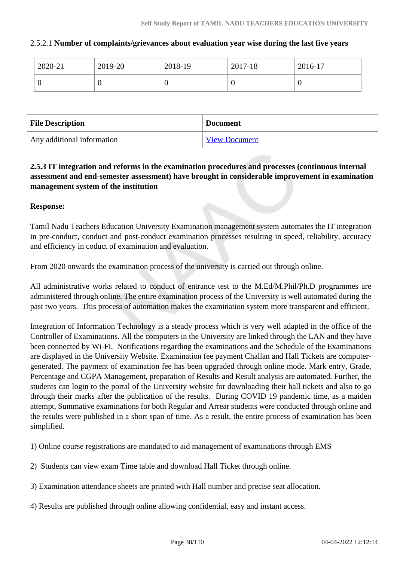| 2020-21                 |  | 2019-20  | 2018-19          |                 | 2017-18  | 2016-17          |
|-------------------------|--|----------|------------------|-----------------|----------|------------------|
| U                       |  | $\theta$ | $\boldsymbol{0}$ |                 | $\theta$ | $\boldsymbol{0}$ |
|                         |  |          |                  |                 |          |                  |
|                         |  |          |                  |                 |          |                  |
| <b>File Description</b> |  |          |                  | <b>Document</b> |          |                  |

#### 2.5.2.1 **Number of complaints/grievances about evaluation year wise during the last five years**

 **2.5.3 IT integration and reforms in the examination procedures and processes (continuous internal assessment and end-semester assessment) have brought in considerable improvement in examination management system of the institution**

#### **Response:**

Tamil Nadu Teachers Education University Examination management system automates the IT integration in pre-conduct, conduct and post-conduct examination processes resulting in speed, reliability, accuracy and efficiency in coduct of examination and evaluation.

From 2020 onwards the examination process of the university is carried out through online.

All administrative works related to conduct of entrance test to the M.Ed/M.Phil/Ph.D programmes are administered through online. The entire examination process of the University is well automated during the past two years. This process of automation makes the examination system more transparent and efficient.

Integration of Information Technology is a steady process which is very well adapted in the office of the Controller of Examinations. All the computers in the University are linked through the LAN and they have been connected by Wi-Fi. Notifications regarding the examinations and the Schedule of the Examinations are displayed in the University Website. Examination fee payment Challan and Hall Tickets are computergenerated. The payment of examination fee has been upgraded through online mode. Mark entry, Grade, Percentage and CGPA Management, preparation of Results and Result analysis are automated. Further, the students can login to the portal of the University website for downloading their hall tickets and also to go through their marks after the publication of the results. During COVID 19 pandemic time, as a maiden attempt, Summative examinations for both Regular and Arrear students were conducted through online and the results were published in a short span of time. As a result, the entire process of examination has been simplified.

1) Online course registrations are mandated to aid management of examinations through EMS

2) Students can view exam Time table and download Hall Ticket through online.

3) Examination attendance sheets are printed with Hall number and precise seat allocation.

4) Results are published through online allowing confidential, easy and instant access.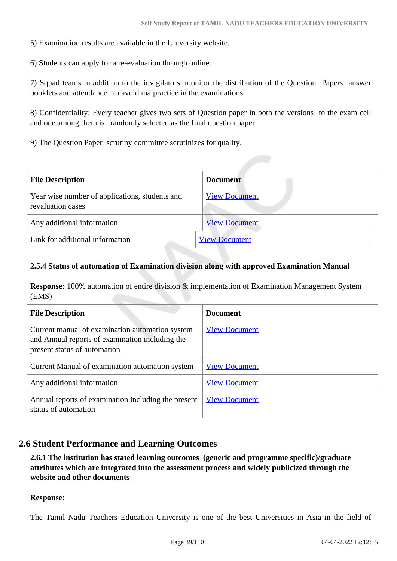5) Examination results are available in the University website.

6) Students can apply for a re-evaluation through online.

7) Squad teams in addition to the invigilators, monitor the distribution of the Question Papers answer booklets and attendance to avoid malpractice in the examinations.

8) Confidentiality: Every teacher gives two sets of Question paper in both the versions to the exam cell and one among them is randomly selected as the final question paper.

9) The Question Paper scrutiny committee scrutinizes for quality.

| <b>File Description</b>                                             | <b>Document</b>      |
|---------------------------------------------------------------------|----------------------|
| Year wise number of applications, students and<br>revaluation cases | <b>View Document</b> |
| Any additional information                                          | <b>View Document</b> |
| Link for additional information                                     | <b>View Document</b> |

#### **2.5.4 Status of automation of Examination division along with approved Examination Manual**

**Response:** 100% automation of entire division & implementation of Examination Management System (EMS)

| <b>File Description</b>                                                                                                            | <b>Document</b>      |
|------------------------------------------------------------------------------------------------------------------------------------|----------------------|
| Current manual of examination automation system<br>and Annual reports of examination including the<br>present status of automation | <b>View Document</b> |
| Current Manual of examination automation system                                                                                    | <b>View Document</b> |
| Any additional information                                                                                                         | <b>View Document</b> |
| Annual reports of examination including the present<br>status of automation                                                        | <b>View Document</b> |

# **2.6 Student Performance and Learning Outcomes**

 **2.6.1 The institution has stated learning outcomes (generic and programme specific)/graduate attributes which are integrated into the assessment process and widely publicized through the website and other documents**

#### **Response:**

The Tamil Nadu Teachers Education University is one of the best Universities in Asia in the field of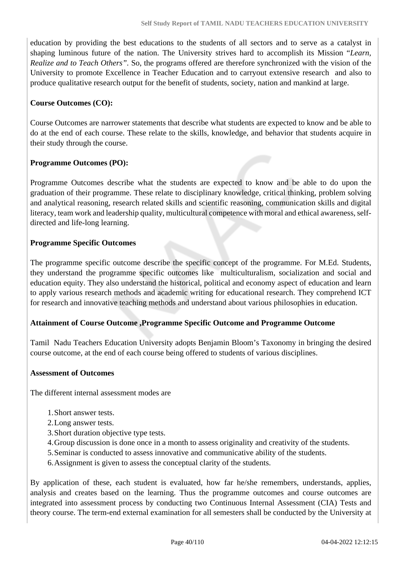education by providing the best educations to the students of all sectors and to serve as a catalyst in shaping luminous future of the nation. The University strives hard to accomplish its Mission "*Learn, Realize and to Teach Others".* So, the programs offered are therefore synchronized with the vision of the University to promote Excellence in Teacher Education and to carryout extensive research and also to produce qualitative research output for the benefit of students, society, nation and mankind at large.

### **Course Outcomes (CO):**

Course Outcomes are narrower statements that describe what students are expected to know and be able to do at the end of each course. These relate to the skills, knowledge, and behavior that students acquire in their study through the course.

#### **Programme Outcomes (PO):**

Programme Outcomes describe what the students are expected to know and be able to do upon the graduation of their programme. These relate to disciplinary knowledge, critical thinking, problem solving and analytical reasoning, research related skills and scientific reasoning, communication skills and digital literacy, team work and leadership quality, multicultural competence with moral and ethical awareness, selfdirected and life-long learning.

# **Programme Specific Outcomes**

The programme specific outcome describe the specific concept of the programme. For M.Ed. Students, they understand the programme specific outcomes like multiculturalism, socialization and social and education equity. They also understand the historical, political and economy aspect of education and learn to apply various research methods and academic writing for educational research. They comprehend ICT for research and innovative teaching methods and understand about various philosophies in education.

# **Attainment of Course Outcome ,Programme Specific Outcome and Programme Outcome**

Tamil Nadu Teachers Education University adopts Benjamin Bloom's Taxonomy in bringing the desired course outcome, at the end of each course being offered to students of various disciplines.

#### **Assessment of Outcomes**

The different internal assessment modes are

- 1.Short answer tests.
- 2.Long answer tests.
- 3.Short duration objective type tests.
- 4.Group discussion is done once in a month to assess originality and creativity of the students.
- 5.Seminar is conducted to assess innovative and communicative ability of the students.
- 6.Assignment is given to assess the conceptual clarity of the students.

By application of these, each student is evaluated, how far he/she remembers, understands, applies, analysis and creates based on the learning. Thus the programme outcomes and course outcomes are integrated into assessment process by conducting two Continuous Internal Assessment (CIA) Tests and theory course. The term-end external examination for all semesters shall be conducted by the University at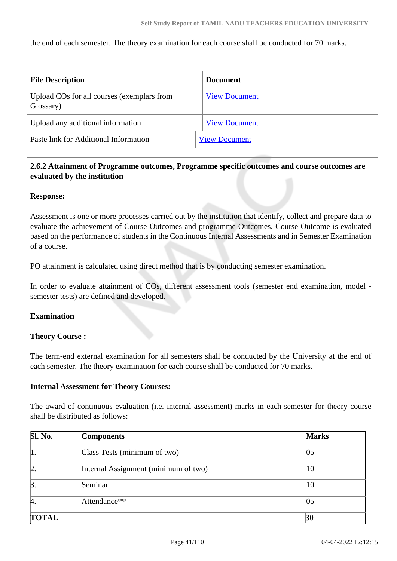the end of each semester. The theory examination for each course shall be conducted for 70 marks.

| <b>File Description</b>                                 | Document             |
|---------------------------------------------------------|----------------------|
| Upload COs for all courses (exemplars from<br>Glossary) | <b>View Document</b> |
| Upload any additional information                       | <b>View Document</b> |
| Paste link for Additional Information                   | <b>View Document</b> |

# **2.6.2 Attainment of Programme outcomes, Programme specific outcomes and course outcomes are evaluated by the institution**

#### **Response:**

Assessment is one or more processes carried out by the institution that identify, collect and prepare data to evaluate the achievement of Course Outcomes and programme Outcomes. Course Outcome is evaluated based on the performance of students in the Continuous Internal Assessments and in Semester Examination of a course.

PO attainment is calculated using direct method that is by conducting semester examination.

In order to evaluate attainment of COs, different assessment tools (semester end examination, model semester tests) are defined and developed.

#### **Examination**

#### **Theory Course :**

The term-end external examination for all semesters shall be conducted by the University at the end of each semester. The theory examination for each course shall be conducted for 70 marks.

#### **Internal Assessment for Theory Courses:**

The award of continuous evaluation (i.e. internal assessment) marks in each semester for theory course shall be distributed as follows:

| <b>Sl. No.</b> | <b>Components</b>                    | <b>Marks</b> |
|----------------|--------------------------------------|--------------|
| 1.             | Class Tests (minimum of two)         | 05           |
| 2.             | Internal Assignment (minimum of two) | 10           |
| $\beta$ .      | Seminar                              | 10           |
| И.             | Attendance**                         | 05           |
| <b>TOTAL</b>   |                                      | 30           |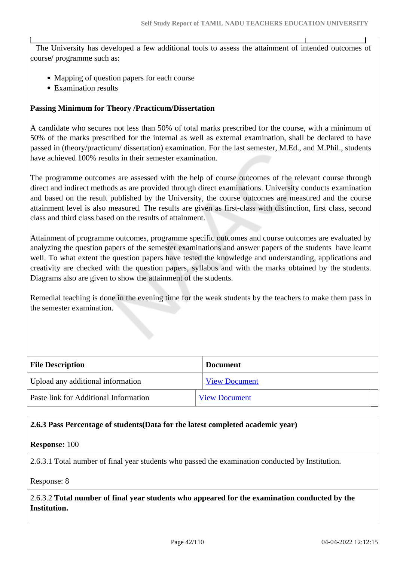The University has developed a few additional tools to assess the attainment of intended outcomes of course/ programme such as:

- Mapping of question papers for each course
- Examination results

#### **Passing Minimum for Theory /Practicum/Dissertation**

A candidate who secures not less than 50% of total marks prescribed for the course, with a minimum of 50% of the marks prescribed for the internal as well as external examination, shall be declared to have passed in (theory/practicum/ dissertation) examination. For the last semester, M.Ed., and M.Phil., students have achieved 100% results in their semester examination.

The programme outcomes are assessed with the help of course outcomes of the relevant course through direct and indirect methods as are provided through direct examinations. University conducts examination and based on the result published by the University, the course outcomes are measured and the course attainment level is also measured. The results are given as first-class with distinction, first class, second class and third class based on the results of attainment.

Attainment of programme outcomes, programme specific outcomes and course outcomes are evaluated by analyzing the question papers of the semester examinations and answer papers of the students have learnt well. To what extent the question papers have tested the knowledge and understanding, applications and creativity are checked with the question papers, syllabus and with the marks obtained by the students. Diagrams also are given to show the attainment of the students.

Remedial teaching is done in the evening time for the weak students by the teachers to make them pass in the semester examination.

| <b>File Description</b>               | <b>Document</b>      |  |  |
|---------------------------------------|----------------------|--|--|
| Upload any additional information     | <b>View Document</b> |  |  |
| Paste link for Additional Information | <b>View Document</b> |  |  |

#### **2.6.3 Pass Percentage of students(Data for the latest completed academic year)**

#### **Response:** 100

2.6.3.1 Total number of final year students who passed the examination conducted by Institution.

#### Response: 8

2.6.3.2 **Total number of final year students who appeared for the examination conducted by the Institution.**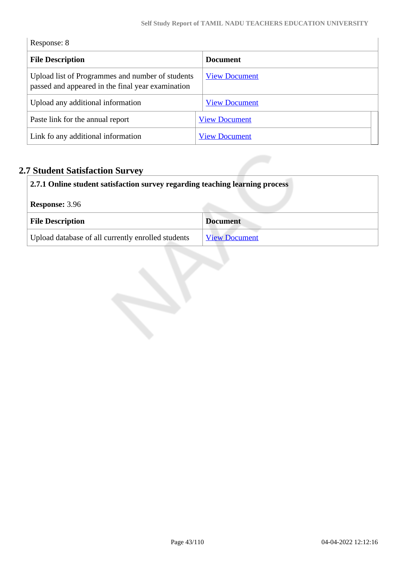| Response: 8 |  |  |
|-------------|--|--|
|-------------|--|--|

 $\begin{array}{c} \hline \end{array}$ 

| <b>File Description</b>                                                                               | <b>Document</b>      |  |  |
|-------------------------------------------------------------------------------------------------------|----------------------|--|--|
| Upload list of Programmes and number of students<br>passed and appeared in the final year examination | <b>View Document</b> |  |  |
| Upload any additional information                                                                     | <b>View Document</b> |  |  |
| Paste link for the annual report                                                                      | <b>View Document</b> |  |  |
| Link fo any additional information                                                                    | <b>View Document</b> |  |  |

# **2.7 Student Satisfaction Survey**

| 2.7.1 Online student satisfaction survey regarding teaching learning process |                      |  |
|------------------------------------------------------------------------------|----------------------|--|
| <b>Response: 3.96</b>                                                        |                      |  |
| <b>File Description</b>                                                      | <b>Document</b>      |  |
| Upload database of all currently enrolled students                           | <b>View Document</b> |  |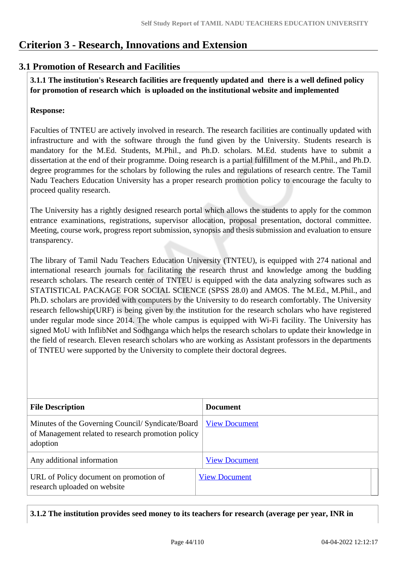# **Criterion 3 - Research, Innovations and Extension**

# **3.1 Promotion of Research and Facilities**

 **3.1.1 The institution's Research facilities are frequently updated and there is a well defined policy for promotion of research which is uploaded on the institutional website and implemented**

# **Response:**

Faculties of TNTEU are actively involved in research. The research facilities are continually updated with infrastructure and with the software through the fund given by the University. Students research is mandatory for the M.Ed. Students, M.Phil., and Ph.D. scholars. M.Ed. students have to submit a dissertation at the end of their programme. Doing research is a partial fulfillment of the M.Phil., and Ph.D. degree programmes for the scholars by following the rules and regulations of research centre. The Tamil Nadu Teachers Education University has a proper research promotion policy to encourage the faculty to proceed quality research.

The University has a rightly designed research portal which allows the students to apply for the common entrance examinations, registrations, supervisor allocation, proposal presentation, doctoral committee. Meeting, course work, progress report submission, synopsis and thesis submission and evaluation to ensure transparency.

The library of Tamil Nadu Teachers Education University (TNTEU), is equipped with 274 national and international research journals for facilitating the research thrust and knowledge among the budding research scholars. The research center of TNTEU is equipped with the data analyzing softwares such as STATISTICAL PACKAGE FOR SOCIAL SCIENCE (SPSS 28.0) and AMOS. The M.Ed., M.Phil., and Ph.D. scholars are provided with computers by the University to do research comfortably. The University research fellowship(URF) is being given by the institution for the research scholars who have registered under regular mode since 2014. The whole campus is equipped with Wi-Fi facility. The University has signed MoU with InflibNet and Sodhganga which helps the research scholars to update their knowledge in the field of research. Eleven research scholars who are working as Assistant professors in the departments of TNTEU were supported by the University to complete their doctoral degrees.

| <b>File Description</b>                                                                                             | <b>Document</b>      |
|---------------------------------------------------------------------------------------------------------------------|----------------------|
| Minutes of the Governing Council/ Syndicate/Board<br>of Management related to research promotion policy<br>adoption | <b>View Document</b> |
| Any additional information                                                                                          | <b>View Document</b> |
| URL of Policy document on promotion of<br>research uploaded on website                                              | <b>View Document</b> |

**3.1.2 The institution provides seed money to its teachers for research (average per year, INR in**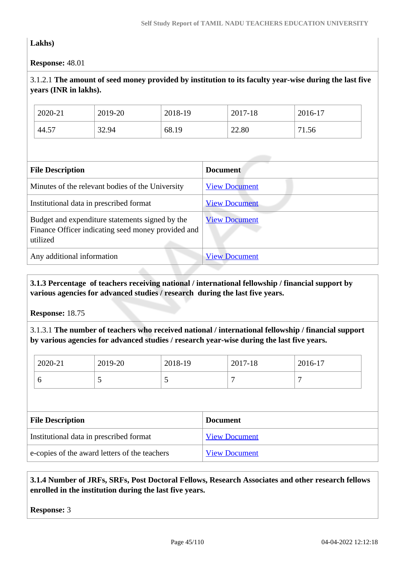# **Lakhs)**

**Response:** 48.01

# 3.1.2.1 **The amount of seed money provided by institution to its faculty year-wise during the last five years (INR in lakhs).**

| 2020-21 | 2019-20 | 2018-19 | 2017-18 | 2016-17    |
|---------|---------|---------|---------|------------|
| 44.57   | 32.94   | 68.19   | 22.80   | 1.56<br>71 |

| <b>File Description</b>                                                                                           | <b>Document</b>      |
|-------------------------------------------------------------------------------------------------------------------|----------------------|
| Minutes of the relevant bodies of the University                                                                  | <b>View Document</b> |
| Institutional data in prescribed format                                                                           | <b>View Document</b> |
| Budget and expenditure statements signed by the<br>Finance Officer indicating seed money provided and<br>utilized | <b>View Document</b> |
| Any additional information                                                                                        | <b>View Document</b> |

# **3.1.3 Percentage of teachers receiving national / international fellowship / financial support by various agencies for advanced studies / research during the last five years.**

**Response:** 18.75

3.1.3.1 **The number of teachers who received national / international fellowship / financial support by various agencies for advanced studies / research year-wise during the last five years.**

| 2020-21                                       | 2019-20 | 2018-19 |                      | 2017-18              | 2016-17 |
|-----------------------------------------------|---------|---------|----------------------|----------------------|---------|
| 6                                             | 5       | 5       |                      | 7                    |         |
|                                               |         |         |                      |                      |         |
| <b>File Description</b>                       |         |         | <b>Document</b>      |                      |         |
| Institutional data in prescribed format       |         |         | <b>View Document</b> |                      |         |
| e-copies of the award letters of the teachers |         |         |                      | <b>View Document</b> |         |

# **3.1.4 Number of JRFs, SRFs, Post Doctoral Fellows, Research Associates and other research fellows enrolled in the institution during the last five years.**

**Response:** 3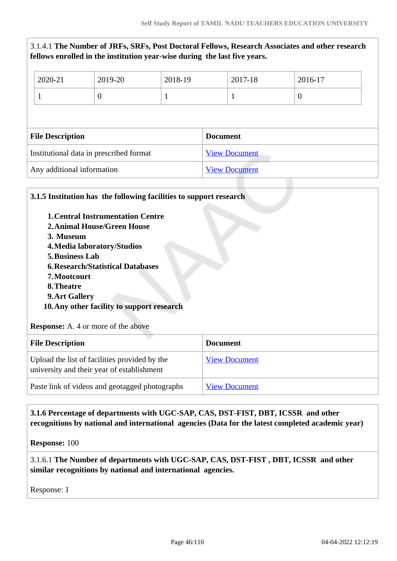|                                         | fellows enrolled in the institution year-wise during the last five years. |                      |                 |                  |  |
|-----------------------------------------|---------------------------------------------------------------------------|----------------------|-----------------|------------------|--|
| 2020-21                                 | 2019-20                                                                   | 2018-19              | 2017-18         | 2016-17          |  |
|                                         | $\theta$                                                                  |                      | 1               | $\boldsymbol{0}$ |  |
|                                         |                                                                           |                      |                 |                  |  |
| <b>File Description</b>                 |                                                                           |                      | <b>Document</b> |                  |  |
| Institutional data in prescribed format |                                                                           | <b>View Document</b> |                 |                  |  |
| Any additional information              |                                                                           | <b>View Document</b> |                 |                  |  |

3.1.4.1 **The Number of JRFs, SRFs, Post Doctoral Fellows, Research Associates and other research**

| <b>1. Central Instrumentation Centre</b><br><b>2. Animal House/Green House</b><br>3. Museum                                                                                              |                      |  |
|------------------------------------------------------------------------------------------------------------------------------------------------------------------------------------------|----------------------|--|
| 4. Media laboratory/Studios<br>5. Business Lab<br><b>6. Research/Statistical Databases</b><br>7. Mootcourt<br>8. Theatre<br>9. Art Gallery<br>10. Any other facility to support research |                      |  |
|                                                                                                                                                                                          |                      |  |
| <b>Response:</b> A. 4 or more of the above<br><b>File Description</b>                                                                                                                    | <b>Document</b>      |  |
| Upload the list of facilities provided by the<br>university and their year of establishment                                                                                              | <b>View Document</b> |  |

# **3.1.6 Percentage of departments with UGC-SAP, CAS, DST-FIST, DBT, ICSSR and other recognitions by national and international agencies (Data for the latest completed academic year)**

**Response:** 100

3.1.6.1 **The Number of departments with UGC-SAP, CAS, DST-FIST , DBT, ICSSR and other similar recognitions by national and international agencies.**

Response: 1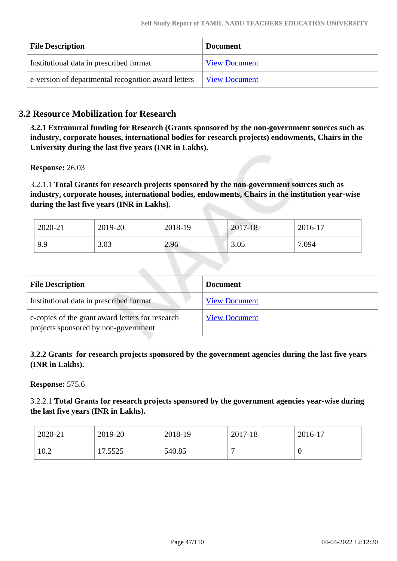| <b>File Description</b>                             | <b>Document</b>      |
|-----------------------------------------------------|----------------------|
| Institutional data in prescribed format             | <b>View Document</b> |
| e-version of departmental recognition award letters | <b>View Document</b> |

# **3.2 Resource Mobilization for Research**

 **3.2.1 Extramural funding for Research (Grants sponsored by the non-government sources such as industry, corporate houses, international bodies for research projects) endowments, Chairs in the University during the last five years (INR in Lakhs).**

**Response:** 26.03

3.2.1.1 **Total Grants for research projects sponsored by the non-government sources such as industry, corporate houses, international bodies, endowments, Chairs in the institution year-wise during the last five years (INR in Lakhs).**

| 2020-21 | 2019-20 | 2018-19 | 2017-18 | 2016-17 |
|---------|---------|---------|---------|---------|
| 9.9     | 3.03    | 2.96    | 3.05    | 7.094   |

| <b>File Description</b>                                                                  | <b>Document</b>      |
|------------------------------------------------------------------------------------------|----------------------|
| Institutional data in prescribed format                                                  | <b>View Document</b> |
| e-copies of the grant award letters for research<br>projects sponsored by non-government | <b>View Document</b> |

 **3.2.2 Grants for research projects sponsored by the government agencies during the last five years (INR in Lakhs).**

**Response:** 575.6

3.2.2.1 **Total Grants for research projects sponsored by the government agencies year-wise during the last five years (INR in Lakhs).**

| 2020-21 | 2019-20 | 2018-19 | 2017-18 | 2016-17 |
|---------|---------|---------|---------|---------|
| 10.2    | '.5525  | 540.85  | ┍       | v       |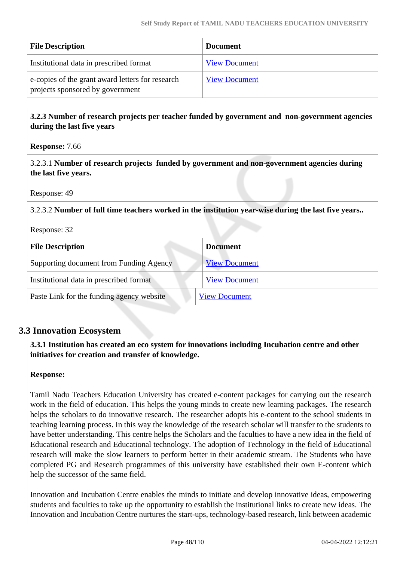| <b>File Description</b>                                                              | <b>Document</b>      |
|--------------------------------------------------------------------------------------|----------------------|
| Institutional data in prescribed format                                              | <b>View Document</b> |
| e-copies of the grant award letters for research<br>projects sponsored by government | <b>View Document</b> |

 **3.2.3 Number of research projects per teacher funded by government and non-government agencies during the last five years**

**Response:** 7.66

3.2.3.1 **Number of research projects funded by government and non-government agencies during the last five years.**

Response: 49

3.2.3.2 **Number of full time teachers worked in the institution year-wise during the last five years..**

Response: 32

| <b>File Description</b>                   | <b>Document</b>      |
|-------------------------------------------|----------------------|
| Supporting document from Funding Agency   | <b>View Document</b> |
| Institutional data in prescribed format   | <b>View Document</b> |
| Paste Link for the funding agency website | <b>View Document</b> |

# **3.3 Innovation Ecosystem**

 **3.3.1 Institution has created an eco system for innovations including Incubation centre and other initiatives for creation and transfer of knowledge.**

#### **Response:**

Tamil Nadu Teachers Education University has created e-content packages for carrying out the research work in the field of education. This helps the young minds to create new learning packages. The research helps the scholars to do innovative research. The researcher adopts his e-content to the school students in teaching learning process. In this way the knowledge of the research scholar will transfer to the students to have better understanding. This centre helps the Scholars and the faculties to have a new idea in the field of Educational research and Educational technology. The adoption of Technology in the field of Educational research will make the slow learners to perform better in their academic stream. The Students who have completed PG and Research programmes of this university have established their own E-content which help the successor of the same field.

Innovation and Incubation Centre enables the minds to initiate and develop innovative ideas, empowering students and faculties to take up the opportunity to establish the institutional links to create new ideas. The Innovation and Incubation Centre nurtures the start-ups, technology-based research, link between academic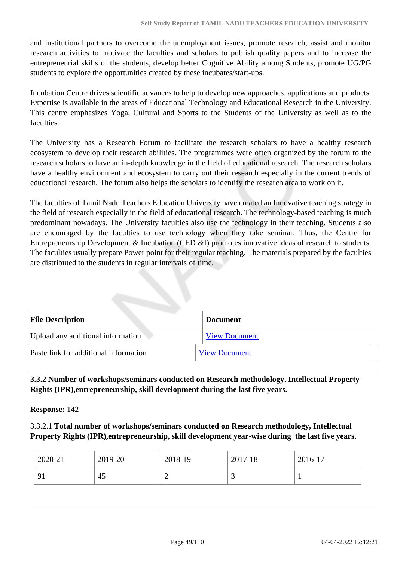and institutional partners to overcome the unemployment issues, promote research, assist and monitor research activities to motivate the faculties and scholars to publish quality papers and to increase the entrepreneurial skills of the students, develop better Cognitive Ability among Students, promote UG/PG students to explore the opportunities created by these incubates/start-ups.

Incubation Centre drives scientific advances to help to develop new approaches, applications and products. Expertise is available in the areas of Educational Technology and Educational Research in the University. This centre emphasizes Yoga, Cultural and Sports to the Students of the University as well as to the faculties.

The University has a Research Forum to facilitate the research scholars to have a healthy research ecosystem to develop their research abilities. The programmes were often organized by the forum to the research scholars to have an in-depth knowledge in the field of educational research. The research scholars have a healthy environment and ecosystem to carry out their research especially in the current trends of educational research. The forum also helps the scholars to identify the research area to work on it.

The faculties of Tamil Nadu Teachers Education University have created an Innovative teaching strategy in the field of research especially in the field of educational research. The technology-based teaching is much predominant nowadays. The University faculties also use the technology in their teaching. Students also are encouraged by the faculties to use technology when they take seminar. Thus, the Centre for Entrepreneurship Development & Incubation (CED &I) promotes innovative ideas of research to students. The faculties usually prepare Power point for their regular teaching. The materials prepared by the faculties are distributed to the students in regular intervals of time.

| <b>File Description</b>               | <b>Document</b>      |
|---------------------------------------|----------------------|
| Upload any additional information     | <b>View Document</b> |
| Paste link for additional information | <b>View Document</b> |

 **3.3.2 Number of workshops/seminars conducted on Research methodology, Intellectual Property Rights (IPR),entrepreneurship, skill development during the last five years.**

**Response:** 142

3.3.2.1 **Total number of workshops/seminars conducted on Research methodology, Intellectual Property Rights (IPR),entrepreneurship, skill development year-wise during the last five years.**

| 2019-20<br>2020-21 | 2018-19 | 2017-18 | 2016-17 |
|--------------------|---------|---------|---------|
| 91<br>45           |         | ت       |         |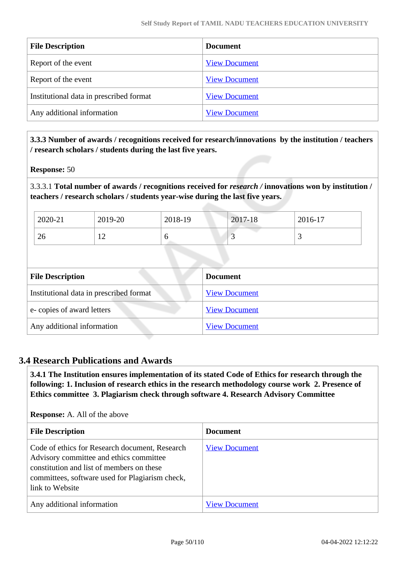| <b>File Description</b>                 | <b>Document</b>      |
|-----------------------------------------|----------------------|
| Report of the event                     | <b>View Document</b> |
| Report of the event                     | <b>View Document</b> |
| Institutional data in prescribed format | <b>View Document</b> |
| Any additional information              | <b>View Document</b> |

 **3.3.3 Number of awards / recognitions received for research/innovations by the institution / teachers / research scholars / students during the last five years.**

#### **Response:** 50

3.3.3.1 **Total number of awards / recognitions received for** *research /* **innovations won by institution / teachers / research scholars / students year-wise during the last five years.**

| 2020-21 | 2019-20               | 2018-19 | $2017 - 18$ | 2016-17 |
|---------|-----------------------|---------|-------------|---------|
| 26      | 1 ^<br>$\overline{1}$ | ◡       | ັ           | ~       |

| <b>File Description</b>                 | <b>Document</b>      |
|-----------------------------------------|----------------------|
| Institutional data in prescribed format | <b>View Document</b> |
| e-copies of award letters               | <b>View Document</b> |
| Any additional information              | <b>View Document</b> |

#### **3.4 Research Publications and Awards**

 **3.4.1 The Institution ensures implementation of its stated Code of Ethics for research through the following: 1. Inclusion of research ethics in the research methodology course work 2. Presence of Ethics committee 3. Plagiarism check through software 4. Research Advisory Committee**

**Response:** A. All of the above

| <b>File Description</b>                                                                                                                                                                                      | <b>Document</b>      |
|--------------------------------------------------------------------------------------------------------------------------------------------------------------------------------------------------------------|----------------------|
| Code of ethics for Research document, Research<br>Advisory committee and ethics committee<br>constitution and list of members on these<br>committees, software used for Plagiarism check,<br>link to Website | <b>View Document</b> |
| Any additional information                                                                                                                                                                                   | <b>View Document</b> |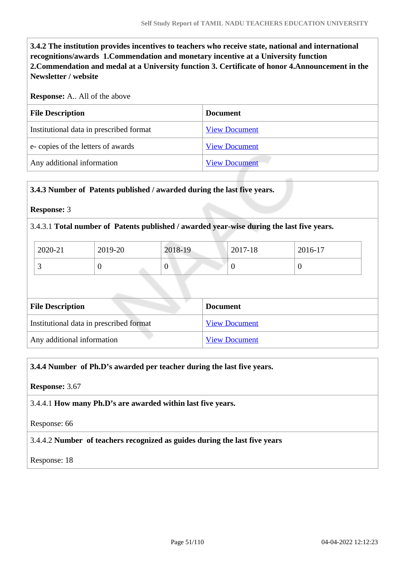**3.4.2 The institution provides incentives to teachers who receive state, national and international recognitions/awards 1.Commendation and monetary incentive at a University function 2.Commendation and medal at a University function 3. Certificate of honor 4.Announcement in the Newsletter / website**

#### **Response:** A.. All of the above

| <b>File Description</b>                 | <b>Document</b>      |
|-----------------------------------------|----------------------|
| Institutional data in prescribed format | <b>View Document</b> |
| e-copies of the letters of awards       | <b>View Document</b> |
| Any additional information              | <b>View Document</b> |

#### **3.4.3 Number of Patents published / awarded during the last five years.**

#### **Response:** 3

#### 3.4.3.1 **Total number of Patents published / awarded year-wise during the last five years.**

| 2020-21 | 2019-20 | 2018-19 | 2017-18 | 2016-17 |
|---------|---------|---------|---------|---------|
|         |         | ν       | ີ       |         |

| <b>File Description</b>                 | <b>Document</b>      |
|-----------------------------------------|----------------------|
| Institutional data in prescribed format | <b>View Document</b> |
| Any additional information              | <b>View Document</b> |

#### **3.4.4 Number of Ph.D's awarded per teacher during the last five years.**

#### **Response:** 3.67

3.4.4.1 **How many Ph.D's are awarded within last five years.**

Response: 66

#### 3.4.4.2 **Number of teachers recognized as guides during the last five years**

#### Response: 18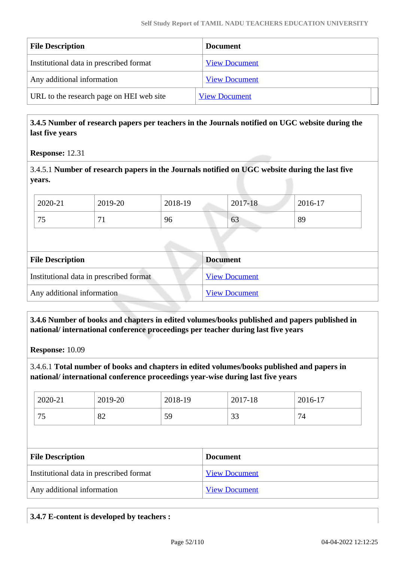| <b>File Description</b>                  | <b>Document</b>      |
|------------------------------------------|----------------------|
| Institutional data in prescribed format  | <b>View Document</b> |
| Any additional information               | <b>View Document</b> |
| URL to the research page on HEI web site | <b>View Document</b> |

# **3.4.5 Number of research papers per teachers in the Journals notified on UGC website during the last five years**

#### **Response:** 12.31

3.4.5.1 **Number of research papers in the Journals notified on UGC website during the last five years.**

| 2020-21   | 2019-20 | 2018-19 | 2017-18 | 2016-17 |
|-----------|---------|---------|---------|---------|
| 75<br>ر ، | –       | 96      | 63      | 89      |

| <b>File Description</b>                 | <b>Document</b>      |
|-----------------------------------------|----------------------|
| Institutional data in prescribed format | <b>View Document</b> |
| Any additional information              | <b>View Document</b> |

# **3.4.6 Number of books and chapters in edited volumes/books published and papers published in national/ international conference proceedings per teacher during last five years**

**Response:** 10.09

3.4.6.1 **Total number of books and chapters in edited volumes/books published and papers in national/ international conference proceedings year-wise during last five years**

| 2020-21 | 2019-20           | 2018-19 | 2017-18 | 2016-17      |
|---------|-------------------|---------|---------|--------------|
| 75      | $\mathbf{O} \cap$ | 59      | $\sim$  | $\mathbf{r}$ |
| ر ر     | 0Ź                |         | ر ر     | 74           |

| <b>File Description</b>                 | <b>Document</b>      |
|-----------------------------------------|----------------------|
| Institutional data in prescribed format | <b>View Document</b> |
| Any additional information              | <b>View Document</b> |

#### **3.4.7 E-content is developed by teachers :**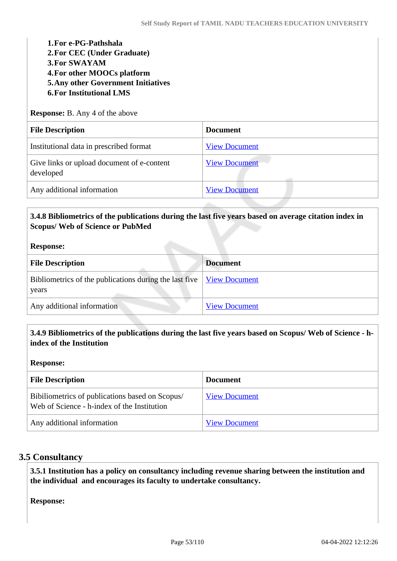**1.For e-PG-Pathshala 2.For CEC (Under Graduate) 3.For SWAYAM 4.For other MOOCs platform 5.Any other Government Initiatives 6.For Institutional LMS**

**Response:** B. Any 4 of the above

| <b>File Description</b>                                 | <b>Document</b>      |
|---------------------------------------------------------|----------------------|
| Institutional data in prescribed format                 | <b>View Document</b> |
| Give links or upload document of e-content<br>developed | <b>View Document</b> |
| Any additional information                              | <b>View Document</b> |

# **3.4.8 Bibliometrics of the publications during the last five years based on average citation index in Scopus/ Web of Science or PubMed**

#### **Response:**

| <b>File Description</b>                                                                                        | <b>Document</b>      |
|----------------------------------------------------------------------------------------------------------------|----------------------|
| Bibliometrics of the publications during the last five $\sqrt{\frac{V_{\text{icW}}}{V_{\text{icW}}}}$<br>years |                      |
| Any additional information                                                                                     | <b>View Document</b> |

# **3.4.9 Bibliometrics of the publications during the last five years based on Scopus/ Web of Science - hindex of the Institution**

#### **Response:**

| <b>File Description</b>                                                                        | <b>Document</b>      |
|------------------------------------------------------------------------------------------------|----------------------|
| Bibiliometrics of publications based on Scopus/<br>Web of Science - h-index of the Institution | <b>View Document</b> |
| Any additional information                                                                     | <b>View Document</b> |

#### **3.5 Consultancy**

 **3.5.1 Institution has a policy on consultancy including revenue sharing between the institution and the individual and encourages its faculty to undertake consultancy.**

**Response:**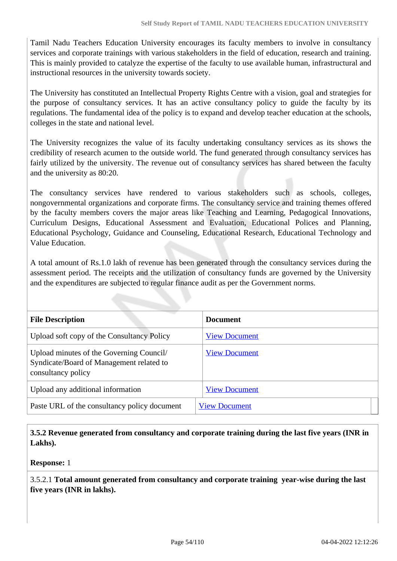Tamil Nadu Teachers Education University encourages its faculty members to involve in consultancy services and corporate trainings with various stakeholders in the field of education, research and training. This is mainly provided to catalyze the expertise of the faculty to use available human, infrastructural and instructional resources in the university towards society.

The University has constituted an Intellectual Property Rights Centre with a vision, goal and strategies for the purpose of consultancy services. It has an active consultancy policy to guide the faculty by its regulations. The fundamental idea of the policy is to expand and develop teacher education at the schools, colleges in the state and national level.

The University recognizes the value of its faculty undertaking consultancy services as its shows the credibility of research acumen to the outside world. The fund generated through consultancy services has fairly utilized by the university. The revenue out of consultancy services has shared between the faculty and the university as 80:20.

The consultancy services have rendered to various stakeholders such as schools, colleges, nongovernmental organizations and corporate firms. The consultancy service and training themes offered by the faculty members covers the major areas like Teaching and Learning, Pedagogical Innovations, Curriculum Designs, Educational Assessment and Evaluation, Educational Polices and Planning, Educational Psychology, Guidance and Counseling, Educational Research, Educational Technology and Value Education.

A total amount of Rs.1.0 lakh of revenue has been generated through the consultancy services during the assessment period. The receipts and the utilization of consultancy funds are governed by the University and the expenditures are subjected to regular finance audit as per the Government norms.

| <b>File Description</b>                                                                                    | <b>Document</b>      |
|------------------------------------------------------------------------------------------------------------|----------------------|
| Upload soft copy of the Consultancy Policy                                                                 | <b>View Document</b> |
| Upload minutes of the Governing Council/<br>Syndicate/Board of Management related to<br>consultancy policy | <b>View Document</b> |
| Upload any additional information                                                                          | <b>View Document</b> |
| Paste URL of the consultancy policy document                                                               | <b>View Document</b> |

 **3.5.2 Revenue generated from consultancy and corporate training during the last five years (INR in Lakhs).**

**Response:** 1

3.5.2.1 **Total amount generated from consultancy and corporate training year-wise during the last five years (INR in lakhs).**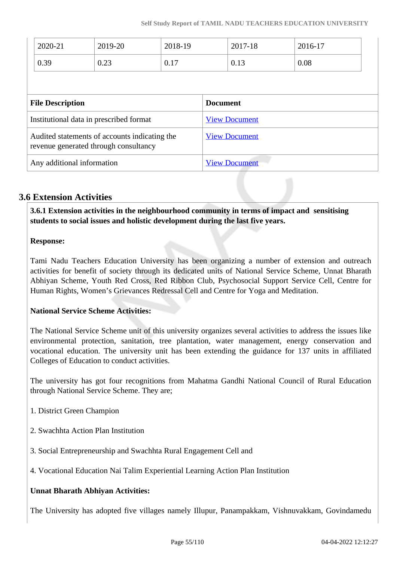|                                                                                        | 2020-21 | 2019-20              | 2018-19              |                      | 2017-18 | 2016-17 |  |
|----------------------------------------------------------------------------------------|---------|----------------------|----------------------|----------------------|---------|---------|--|
|                                                                                        | 0.39    | 0.23                 | 0.17                 |                      | 0.13    | 0.08    |  |
|                                                                                        |         |                      |                      |                      |         |         |  |
| <b>File Description</b>                                                                |         |                      | <b>Document</b>      |                      |         |         |  |
| Institutional data in prescribed format                                                |         |                      | <b>View Document</b> |                      |         |         |  |
| Audited statements of accounts indicating the<br>revenue generated through consultancy |         | <b>View Document</b> |                      |                      |         |         |  |
| Any additional information                                                             |         |                      |                      | <b>View Document</b> |         |         |  |

# **3.6 Extension Activities**

 **3.6.1 Extension activities in the neighbourhood community in terms of impact and sensitising students to social issues and holistic development during the last five years.**

#### **Response:**

Tami Nadu Teachers Education University has been organizing a number of extension and outreach activities for benefit of society through its dedicated units of National Service Scheme, Unnat Bharath Abhiyan Scheme, Youth Red Cross, Red Ribbon Club, Psychosocial Support Service Cell, Centre for Human Rights, Women's Grievances Redressal Cell and Centre for Yoga and Meditation.

#### **National Service Scheme Activities:**

The National Service Scheme unit of this university organizes several activities to address the issues like environmental protection, sanitation, tree plantation, water management, energy conservation and vocational education. The university unit has been extending the guidance for 137 units in affiliated Colleges of Education to conduct activities.

The university has got four recognitions from Mahatma Gandhi National Council of Rural Education through National Service Scheme. They are;

- 1. District Green Champion
- 2. Swachhta Action Plan Institution
- 3. Social Entrepreneurship and Swachhta Rural Engagement Cell and
- 4. Vocational Education Nai Talim Experiential Learning Action Plan Institution

#### **Unnat Bharath Abhiyan Activities:**

The University has adopted five villages namely Illupur, Panampakkam, Vishnuvakkam, Govindamedu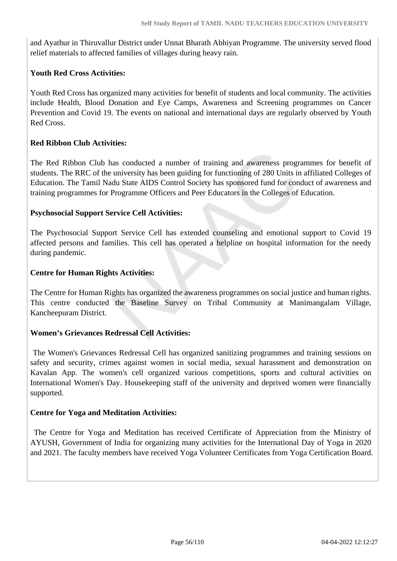and Ayathur in Thiruvallur District under Unnat Bharath Abhiyan Programme. The university served flood relief materials to affected families of villages during heavy rain.

#### **Youth Red Cross Activities:**

Youth Red Cross has organized many activities for benefit of students and local community. The activities include Health, Blood Donation and Eye Camps, Awareness and Screening programmes on Cancer Prevention and Covid 19. The events on national and international days are regularly observed by Youth Red Cross.

# **Red Ribbon Club Activities:**

The Red Ribbon Club has conducted a number of training and awareness programmes for benefit of students. The RRC of the university has been guiding for functioning of 280 Units in affiliated Colleges of Education. The Tamil Nadu State AIDS Control Society has sponsored fund for conduct of awareness and training programmes for Programme Officers and Peer Educators in the Colleges of Education.

#### **Psychosocial Support Service Cell Activities:**

The Psychosocial Support Service Cell has extended counseling and emotional support to Covid 19 affected persons and families. This cell has operated a helpline on hospital information for the needy during pandemic.

# **Centre for Human Rights Activities:**

The Centre for Human Rights has organized the awareness programmes on social justice and human rights. This centre conducted the Baseline Survey on Tribal Community at Manimangalam Village, Kancheepuram District.

#### **Women's Grievances Redressal Cell Activities:**

 The Women's Grievances Redressal Cell has organized sanitizing programmes and training sessions on safety and security, crimes against women in social media, sexual harassment and demonstration on Kavalan App. The women's cell organized various competitions, sports and cultural activities on International Women's Day. Housekeeping staff of the university and deprived women were financially supported.

#### **Centre for Yoga and Meditation Activities:**

 The Centre for Yoga and Meditation has received Certificate of Appreciation from the Ministry of AYUSH, Government of India for organizing many activities for the International Day of Yoga in 2020 and 2021. The faculty members have received Yoga Volunteer Certificates from Yoga Certification Board.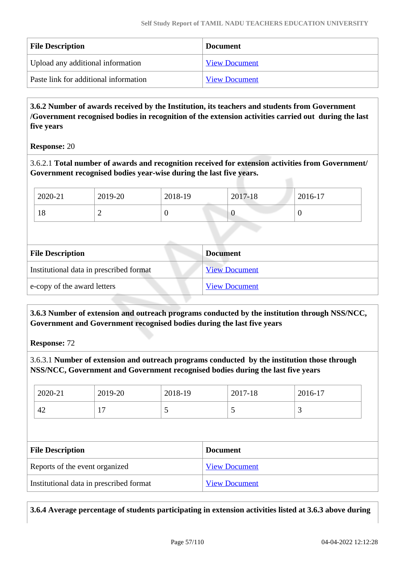| <b>File Description</b>               | <b>Document</b>      |
|---------------------------------------|----------------------|
| Upload any additional information     | <b>View Document</b> |
| Paste link for additional information | <b>View Document</b> |

 **3.6.2 Number of awards received by the Institution, its teachers and students from Government /Government recognised bodies in recognition of the extension activities carried out during the last five years**

**Response:** 20

3.6.2.1 **Total number of awards and recognition received for extension activities from Government/ Government recognised bodies year-wise during the last five years.**

| 2020-21                     | 2019-20                                 | 2018-19        | 2017-18              | 2016-17  |
|-----------------------------|-----------------------------------------|----------------|----------------------|----------|
| 18                          | $\overline{2}$                          | $\overline{0}$ | $\theta$             | $\theta$ |
|                             |                                         |                |                      |          |
| <b>File Description</b>     |                                         |                | <b>Document</b>      |          |
|                             | Institutional data in prescribed format |                | <b>View Document</b> |          |
| e-copy of the award letters |                                         |                | <b>View Document</b> |          |

 **3.6.3 Number of extension and outreach programs conducted by the institution through NSS/NCC, Government and Government recognised bodies during the last five years**

**Response:** 72

3.6.3.1 **Number of extension and outreach programs conducted by the institution those through NSS/NCC, Government and Government recognised bodies during the last five years**

| 2020-21 | $2019-20$                | 2018-19 | 2017-18 | 2016-17  |
|---------|--------------------------|---------|---------|----------|
| 42      | $\overline{\phantom{0}}$ | ັ       |         | <u>ب</u> |

| <b>File Description</b>                 | <b>Document</b>      |
|-----------------------------------------|----------------------|
| Reports of the event organized          | <b>View Document</b> |
| Institutional data in prescribed format | <b>View Document</b> |

**3.6.4 Average percentage of students participating in extension activities listed at 3.6.3 above during**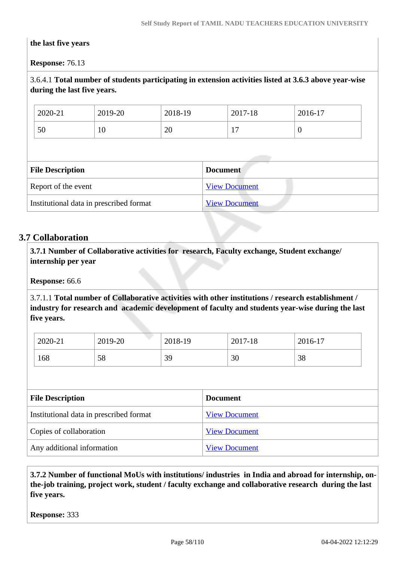#### **the last five years**

**Response:** 76.13

# 3.6.4.1 **Total number of students participating in extension activities listed at 3.6.3 above year-wise during the last five years.**

| 2020-21 | 2019-20 | 2018-19 | 2017-18 | $2016-17$ |
|---------|---------|---------|---------|-----------|
| 50      | 10      | 20      | .       | ν         |

| <b>File Description</b>                 | <b>Document</b>      |
|-----------------------------------------|----------------------|
| Report of the event                     | <b>View Document</b> |
| Institutional data in prescribed format | <b>View Document</b> |

# **3.7 Collaboration**

 **3.7.1 Number of Collaborative activities for research, Faculty exchange, Student exchange/ internship per year**

**Response:** 66.6

3.7.1.1 **Total number of Collaborative activities with other institutions / research establishment / industry for research and academic development of faculty and students year-wise during the last five years.**

| 2020-21 | 2019-20 | 2018-19 | 2017-18 | 2016-17 |
|---------|---------|---------|---------|---------|
| 168     | 58      | 39      | 30      | 38      |

| <b>File Description</b>                 | <b>Document</b>      |
|-----------------------------------------|----------------------|
| Institutional data in prescribed format | <b>View Document</b> |
| Copies of collaboration                 | <b>View Document</b> |
| Any additional information              | <b>View Document</b> |

 **3.7.2 Number of functional MoUs with institutions/ industries in India and abroad for internship, onthe-job training, project work, student / faculty exchange and collaborative research during the last five years.**

**Response:** 333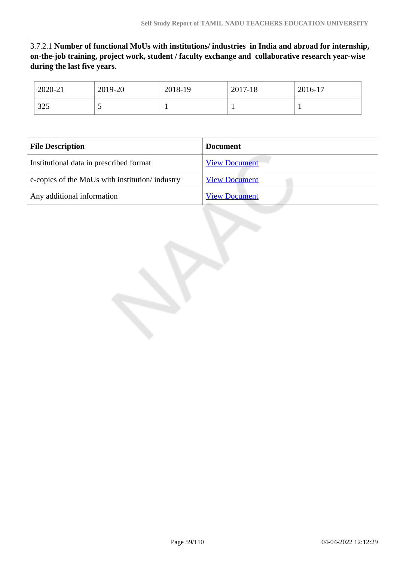3.7.2.1 **Number of functional MoUs with institutions/ industries in India and abroad for internship, on-the-job training, project work, student / faculty exchange and collaborative research year-wise during the last five years.**

| 2020-21                                        | 2019-20 | 2018-19              |                 | 2017-18              | 2016-17 |
|------------------------------------------------|---------|----------------------|-----------------|----------------------|---------|
| 325                                            | 5       | 1                    |                 | 1                    | 1       |
|                                                |         |                      |                 |                      |         |
| <b>File Description</b>                        |         |                      | <b>Document</b> |                      |         |
| Institutional data in prescribed format        |         |                      |                 | <b>View Document</b> |         |
| e-copies of the MoUs with institution/industry |         | <b>View Document</b> |                 |                      |         |
| Any additional information                     |         |                      |                 | <b>View Document</b> |         |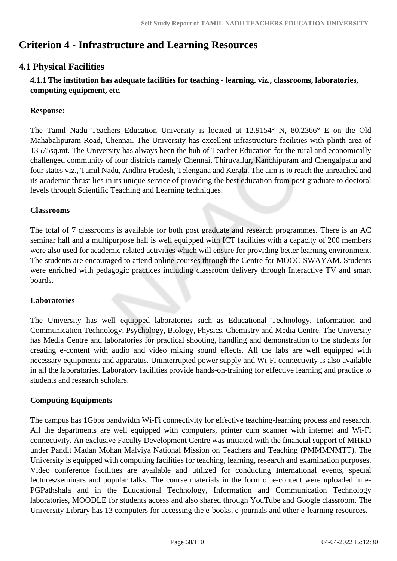# **Criterion 4 - Infrastructure and Learning Resources**

# **4.1 Physical Facilities**

 **4.1.1 The institution has adequate facilities for teaching - learning. viz., classrooms, laboratories, computing equipment, etc.**

# **Response:**

The Tamil Nadu Teachers Education University is located at 12.9154° N, 80.2366° E on the Old Mahabalipuram Road, Chennai. The University has excellent infrastructure facilities with plinth area of 13575sq.mt. The University has always been the hub of Teacher Education for the rural and economically challenged community of four districts namely Chennai, Thiruvallur, Kanchipuram and Chengalpattu and four states viz., Tamil Nadu, Andhra Pradesh, Telengana and Kerala. The aim is to reach the unreached and its academic thrust lies in its unique service of providing the best education from post graduate to doctoral levels through Scientific Teaching and Learning techniques.

# **Classrooms**

The total of 7 classrooms is available for both post graduate and research programmes. There is an AC seminar hall and a multipurpose hall is well equipped with ICT facilities with a capacity of 200 members were also used for academic related activities which will ensure for providing better learning environment. The students are encouraged to attend online courses through the Centre for MOOC-SWAYAM. Students were enriched with pedagogic practices including classroom delivery through Interactive TV and smart boards.

#### **Laboratories**

The University has well equipped laboratories such as Educational Technology, Information and Communication Technology, Psychology, Biology, Physics, Chemistry and Media Centre. The University has Media Centre and laboratories for practical shooting, handling and demonstration to the students for creating e-content with audio and video mixing sound effects. All the labs are well equipped with necessary equipments and apparatus. Uninterrupted power supply and Wi-Fi connectivity is also available in all the laboratories. Laboratory facilities provide hands-on-training for effective learning and practice to students and research scholars.

# **Computing Equipments**

The campus has 1Gbps bandwidth Wi-Fi connectivity for effective teaching-learning process and research. All the departments are well equipped with computers, printer cum scanner with internet and Wi-Fi connectivity. An exclusive Faculty Development Centre was initiated with the financial support of MHRD under Pandit Madan Mohan Malviya National Mission on Teachers and Teaching (PMMMNMTT). The University is equipped with computing facilities for teaching, learning, research and examination purposes. Video conference facilities are available and utilized for conducting International events, special lectures/seminars and popular talks. The course materials in the form of e-content were uploaded in e-PGPathshala and in the Educational Technology, Information and Communication Technology laboratories, MOODLE for students access and also shared through YouTube and Google classroom. The University Library has 13 computers for accessing the e-books, e-journals and other e-learning resources.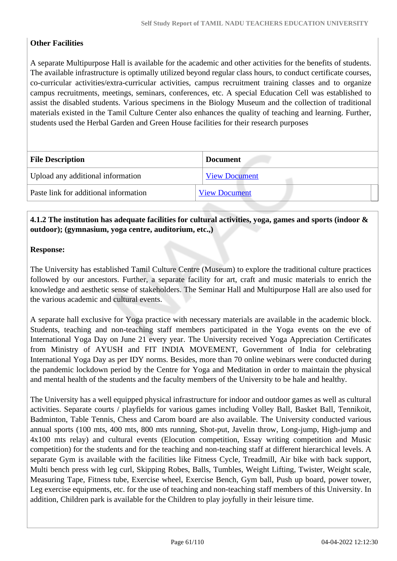# **Other Facilities**

A separate Multipurpose Hall is available for the academic and other activities for the benefits of students. The available infrastructure is optimally utilized beyond regular class hours, to conduct certificate courses, co-curricular activities/extra-curricular activities, campus recruitment training classes and to organize campus recruitments, meetings, seminars, conferences, etc. A special Education Cell was established to assist the disabled students. Various specimens in the Biology Museum and the collection of traditional materials existed in the Tamil Culture Center also enhances the quality of teaching and learning. Further, students used the Herbal Garden and Green House facilities for their research purposes

| <b>File Description</b>               | <b>Document</b>      |
|---------------------------------------|----------------------|
| Upload any additional information     | <b>View Document</b> |
| Paste link for additional information | <b>View Document</b> |

# **4.1.2 The institution has adequate facilities for cultural activities, yoga, games and sports (indoor & outdoor); (gymnasium, yoga centre, auditorium, etc.,)**

# **Response:**

The University has established Tamil Culture Centre (Museum) to explore the traditional culture practices followed by our ancestors. Further, a separate facility for art, craft and music materials to enrich the knowledge and aesthetic sense of stakeholders. The Seminar Hall and Multipurpose Hall are also used for the various academic and cultural events.

A separate hall exclusive for Yoga practice with necessary materials are available in the academic block. Students, teaching and non-teaching staff members participated in the Yoga events on the eve of International Yoga Day on June 21 every year. The University received Yoga Appreciation Certificates from Ministry of AYUSH and FIT INDIA MOVEMENT, Government of India for celebrating International Yoga Day as per IDY norms. Besides, more than 70 online webinars were conducted during the pandemic lockdown period by the Centre for Yoga and Meditation in order to maintain the physical and mental health of the students and the faculty members of the University to be hale and healthy.

The University has a well equipped physical infrastructure for indoor and outdoor games as well as cultural activities. Separate courts / playfields for various games including Volley Ball, Basket Ball, Tennikoit, Badminton, Table Tennis, Chess and Carom board are also available. The University conducted various annual sports (100 mts, 400 mts, 800 mts running, Shot-put, Javelin throw, Long-jump, High-jump and 4x100 mts relay) and cultural events (Elocution competition, Essay writing competition and Music competition) for the students and for the teaching and non-teaching staff at different hierarchical levels. A separate Gym is available with the facilities like Fitness Cycle, Treadmill, Air bike with back support, Multi bench press with leg curl, Skipping Robes, Balls, Tumbles, Weight Lifting, Twister, Weight scale, Measuring Tape, Fitness tube, Exercise wheel, Exercise Bench, Gym ball, Push up board, power tower, Leg exercise equipments, etc. for the use of teaching and non-teaching staff members of this University. In addition, Children park is available for the Children to play joyfully in their leisure time.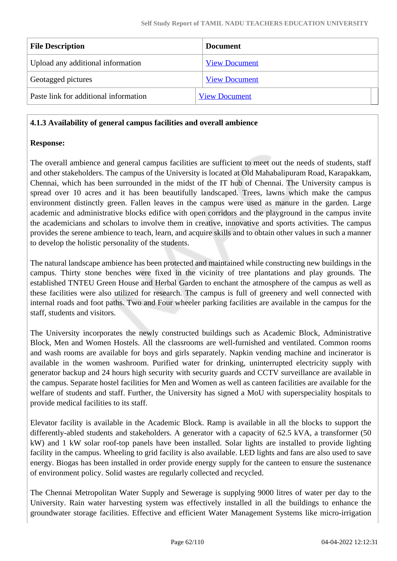| <b>Document</b>      |                      |
|----------------------|----------------------|
| <b>View Document</b> |                      |
| <b>View Document</b> |                      |
|                      |                      |
|                      | <b>View Document</b> |

#### **4.1.3 Availability of general campus facilities and overall ambience**

#### **Response:**

The overall ambience and general campus facilities are sufficient to meet out the needs of students, staff and other stakeholders. The campus of the University is located at Old Mahabalipuram Road, Karapakkam, Chennai, which has been surrounded in the midst of the IT hub of Chennai. The University campus is spread over 10 acres and it has been beautifully landscaped. Trees, lawns which make the campus environment distinctly green. Fallen leaves in the campus were used as manure in the garden. Large academic and administrative blocks edifice with open corridors and the playground in the campus invite the academicians and scholars to involve them in creative, innovative and sports activities. The campus provides the serene ambience to teach, learn, and acquire skills and to obtain other values in such a manner to develop the holistic personality of the students.

The natural landscape ambience has been protected and maintained while constructing new buildings in the campus. Thirty stone benches were fixed in the vicinity of tree plantations and play grounds. The established TNTEU Green House and Herbal Garden to enchant the atmosphere of the campus as well as these facilities were also utilized for research. The campus is full of greenery and well connected with internal roads and foot paths. Two and Four wheeler parking facilities are available in the campus for the staff, students and visitors.

The University incorporates the newly constructed buildings such as Academic Block, Administrative Block, Men and Women Hostels. All the classrooms are well-furnished and ventilated. Common rooms and wash rooms are available for boys and girls separately. Napkin vending machine and incinerator is available in the women washroom. Purified water for drinking, uninterrupted electricity supply with generator backup and 24 hours high security with security guards and CCTV surveillance are available in the campus. Separate hostel facilities for Men and Women as well as canteen facilities are available for the welfare of students and staff. Further, the University has signed a MoU with superspeciality hospitals to provide medical facilities to its staff.

Elevator facility is available in the Academic Block. Ramp is available in all the blocks to support the differently-abled students and stakeholders. A generator with a capacity of 62.5 kVA, a transformer (50 kW) and 1 kW solar roof-top panels have been installed. Solar lights are installed to provide lighting facility in the campus. Wheeling to grid facility is also available. LED lights and fans are also used to save energy. Biogas has been installed in order provide energy supply for the canteen to ensure the sustenance of environment policy. Solid wastes are regularly collected and recycled.

The Chennai Metropolitan Water Supply and Sewerage is supplying 9000 litres of water per day to the University. Rain water harvesting system was effectively installed in all the buildings to enhance the groundwater storage facilities. Effective and efficient Water Management Systems like micro-irrigation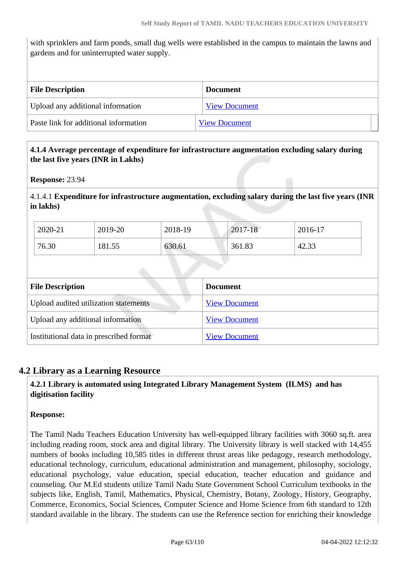with sprinklers and farm ponds, small dug wells were established in the campus to maintain the lawns and gardens and for uninterrupted water supply.

| <b>File Description</b>               | <b>Document</b>      |  |
|---------------------------------------|----------------------|--|
| Upload any additional information     | <b>View Document</b> |  |
| Paste link for additional information | <b>View Document</b> |  |

# **4.1.4 Average percentage of expenditure for infrastructure augmentation excluding salary during the last five years (INR in Lakhs)**

**Response:** 23.94

4.1.4.1 **Expenditure for infrastructure augmentation, excluding salary during the last five years (INR in lakhs)** 

| 2020-21 | 2019-20 | 2018-19 | 2017-18 | 2016-17 |
|---------|---------|---------|---------|---------|
| 76.30   | 181.55  | 630.61  | 361.83  | 42.33   |

| <b>File Description</b>                 | <b>Document</b>      |
|-----------------------------------------|----------------------|
| Upload audited utilization statements   | <b>View Document</b> |
| Upload any additional information       | <b>View Document</b> |
| Institutional data in prescribed format | <b>View Document</b> |

# **4.2 Library as a Learning Resource**

 **4.2.1 Library is automated using Integrated Library Management System (ILMS) and has digitisation facility**

#### **Response:**

The Tamil Nadu Teachers Education University has well-equipped library facilities with 3060 sq.ft. area including reading room, stock area and digital library. The University library is well stacked with 14,455 numbers of books including 10,585 titles in different thrust areas like pedagogy, research methodology, educational technology, curriculum, educational administration and management, philosophy, sociology, educational psychology, value education, special education, teacher education and guidance and counseling. Our M.Ed students utilize Tamil Nadu State Government School Curriculum textbooks in the subjects like, English, Tamil, Mathematics, Physical, Chemistry, Botany, Zoology, History, Geography, Commerce, Economics, Social Sciences, Computer Science and Home Science from 6th standard to 12th standard available in the library. The students can use the Reference section for enriching their knowledge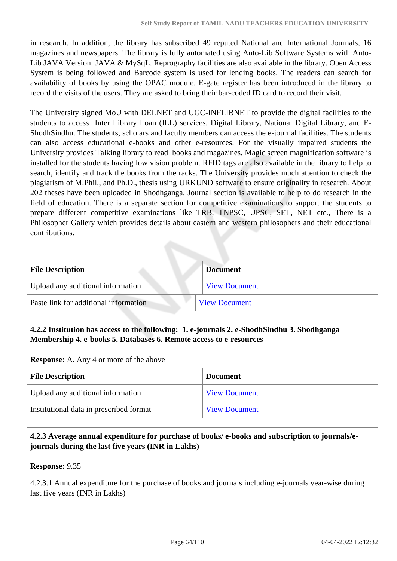in research. In addition, the library has subscribed 49 reputed National and International Journals, 16 magazines and newspapers. The library is fully automated using Auto-Lib Software Systems with Auto-Lib JAVA Version: JAVA & MySqL. Reprography facilities are also available in the library. Open Access System is being followed and Barcode system is used for lending books. The readers can search for availability of books by using the OPAC module. E-gate register has been introduced in the library to record the visits of the users. They are asked to bring their bar-coded ID card to record their visit.

The University signed MoU with DELNET and UGC-INFLIBNET to provide the digital facilities to the students to access Inter Library Loan (ILL) services, Digital Library, National Digital Library, and E-ShodhSindhu. The students, scholars and faculty members can access the e-journal facilities. The students can also access educational e-books and other e-resources. For the visually impaired students the University provides Talking library to read books and magazines. Magic screen magnification software is installed for the students having low vision problem. RFID tags are also available in the library to help to search, identify and track the books from the racks. The University provides much attention to check the plagiarism of M.Phil., and Ph.D., thesis using URKUND software to ensure originality in research. About 202 theses have been uploaded in Shodhganga. Journal section is available to help to do research in the field of education. There is a separate section for competitive examinations to support the students to prepare different competitive examinations like TRB, TNPSC, UPSC, SET, NET etc., There is a Philosopher Gallery which provides details about eastern and western philosophers and their educational contributions.

| <b>File Description</b>               | <b>Document</b>      |
|---------------------------------------|----------------------|
| Upload any additional information     | <b>View Document</b> |
| Paste link for additional information | <b>View Document</b> |

# **4.2.2 Institution has access to the following: 1. e-journals 2. e-ShodhSindhu 3. Shodhganga Membership 4. e-books 5. Databases 6. Remote access to e-resources**

**Response:** A. Any 4 or more of the above

| <b>File Description</b>                 | <b>Document</b>      |
|-----------------------------------------|----------------------|
| Upload any additional information       | <b>View Document</b> |
| Institutional data in prescribed format | <b>View Document</b> |

# **4.2.3 Average annual expenditure for purchase of books/ e-books and subscription to journals/ejournals during the last five years (INR in Lakhs)**

**Response:** 9.35

4.2.3.1 Annual expenditure for the purchase of books and journals including e-journals year-wise during last five years (INR in Lakhs)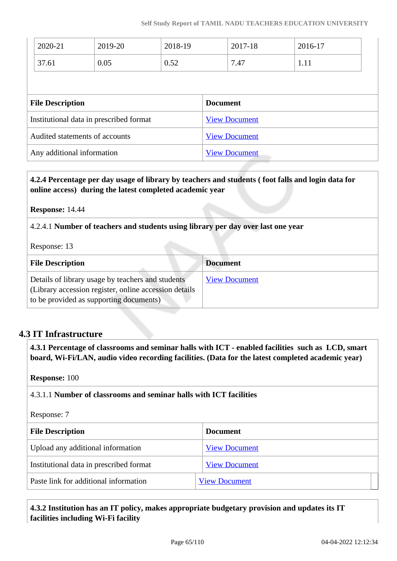| 2020-21                                 | 2019-20 | 2018-19              |                      | 2017-18 | 2016-17 |  |
|-----------------------------------------|---------|----------------------|----------------------|---------|---------|--|
| 37.61                                   | 0.05    | 0.52                 |                      | 7.47    | 1.11    |  |
|                                         |         |                      |                      |         |         |  |
| <b>File Description</b>                 |         |                      | <b>Document</b>      |         |         |  |
| Institutional data in prescribed format |         | <b>View Document</b> |                      |         |         |  |
| Audited statements of accounts          |         | <b>View Document</b> |                      |         |         |  |
| Any additional information              |         |                      | <b>View Document</b> |         |         |  |

# **4.2.4 Percentage per day usage of library by teachers and students ( foot falls and login data for online access) during the latest completed academic year**

#### **Response:** 14.44

4.2.4.1 **Number of teachers and students using library per day over last one year**

Response: 13

| <b>File Description</b>                                                                                                                                | <b>Document</b>      |
|--------------------------------------------------------------------------------------------------------------------------------------------------------|----------------------|
| Details of library usage by teachers and students<br>(Library accession register, online accession details)<br>to be provided as supporting documents) | <b>View Document</b> |

# **4.3 IT Infrastructure**

 **4.3.1 Percentage of classrooms and seminar halls with ICT - enabled facilities such as LCD, smart board, Wi-Fi/LAN, audio video recording facilities. (Data for the latest completed academic year)**

#### **Response:** 100

4.3.1.1 **Number of classrooms and seminar halls with ICT facilities**

#### Response: 7

| <b>File Description</b>                 | Document             |  |
|-----------------------------------------|----------------------|--|
| Upload any additional information       | <b>View Document</b> |  |
| Institutional data in prescribed format | <b>View Document</b> |  |
| Paste link for additional information   | <b>View Document</b> |  |

 **4.3.2 Institution has an IT policy, makes appropriate budgetary provision and updates its IT facilities including Wi-Fi facility**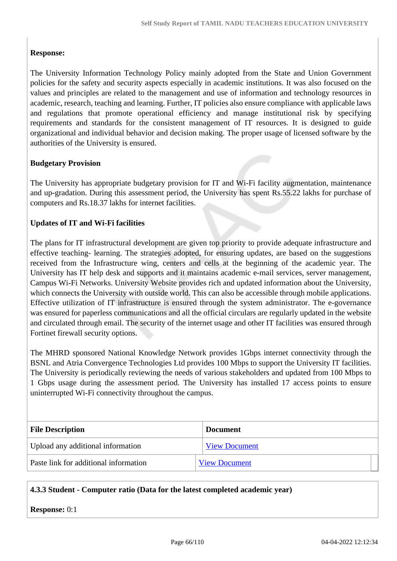# **Response:**

The University Information Technology Policy mainly adopted from the State and Union Government policies for the safety and security aspects especially in academic institutions. It was also focused on the values and principles are related to the management and use of information and technology resources in academic, research, teaching and learning. Further, IT policies also ensure compliance with applicable laws and regulations that promote operational efficiency and manage institutional risk by specifying requirements and standards for the consistent management of IT resources. It is designed to guide organizational and individual behavior and decision making. The proper usage of licensed software by the authorities of the University is ensured.

#### **Budgetary Provision**

The University has appropriate budgetary provision for IT and Wi-Fi facility augmentation, maintenance and up-gradation. During this assessment period, the University has spent Rs.55.22 lakhs for purchase of computers and Rs.18.37 lakhs for internet facilities.

#### **Updates of IT and Wi-Fi facilities**

The plans for IT infrastructural development are given top priority to provide adequate infrastructure and effective teaching- learning. The strategies adopted, for ensuring updates, are based on the suggestions received from the Infrastructure wing, centers and cells at the beginning of the academic year. The University has IT help desk and supports and it maintains academic e-mail services, server management, Campus Wi-Fi Networks. University Website provides rich and updated information about the University, which connects the University with outside world. This can also be accessible through mobile applications. Effective utilization of IT infrastructure is ensured through the system administrator. The e-governance was ensured for paperless communications and all the official circulars are regularly updated in the website and circulated through email. The security of the internet usage and other IT facilities was ensured through Fortinet firewall security options.

The MHRD sponsored National Knowledge Network provides 1Gbps internet connectivity through the BSNL and Atria Convergence Technologies Ltd provides 100 Mbps to support the University IT facilities. The University is periodically reviewing the needs of various stakeholders and updated from 100 Mbps to 1 Gbps usage during the assessment period. The University has installed 17 access points to ensure uninterrupted Wi-Fi connectivity throughout the campus.

| <b>File Description</b>               | <b>Document</b>      |
|---------------------------------------|----------------------|
| Upload any additional information     | <b>View Document</b> |
| Paste link for additional information | <b>View Document</b> |

#### **4.3.3 Student - Computer ratio (Data for the latest completed academic year)**

**Response:** 0:1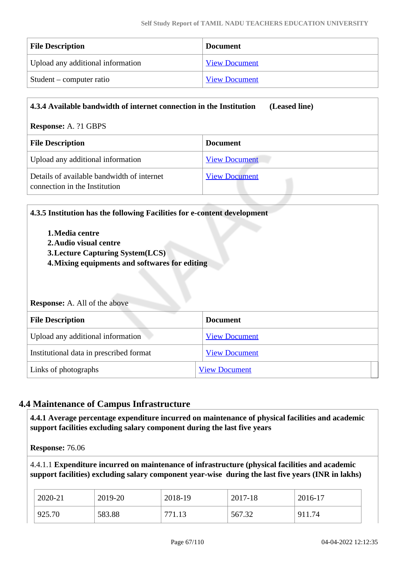| <b>File Description</b>           | <b>Document</b>      |
|-----------------------------------|----------------------|
| Upload any additional information | <b>View Document</b> |
| Student – computer ratio          | <b>View Document</b> |

| 4.3.4 Available bandwidth of internet connection in the Institution<br>(Leased line) |                      |  |  |
|--------------------------------------------------------------------------------------|----------------------|--|--|
| <b>Response: A. ?1 GBPS</b>                                                          |                      |  |  |
| <b>File Description</b>                                                              | <b>Document</b>      |  |  |
| Upload any additional information                                                    | <b>View Document</b> |  |  |
| Details of available bandwidth of internet<br>connection in the Institution          | <b>View Document</b> |  |  |

| 4.3.5 Institution has the following Facilities for e-content development |  |
|--------------------------------------------------------------------------|--|
|--------------------------------------------------------------------------|--|

- **1.Media centre**
- **2.Audio visual centre**
- **3.Lecture Capturing System(LCS)**
- **4.Mixing equipments and softwares for editing**

#### **Response:** A. All of the above

| <b>File Description</b>                 | <b>Document</b>      |  |
|-----------------------------------------|----------------------|--|
| Upload any additional information       | <b>View Document</b> |  |
| Institutional data in prescribed format | <b>View Document</b> |  |
| Links of photographs                    | <b>View Document</b> |  |

# **4.4 Maintenance of Campus Infrastructure**

 **4.4.1 Average percentage expenditure incurred on maintenance of physical facilities and academic support facilities excluding salary component during the last five years**

**Response:** 76.06

4.4.1.1 **Expenditure incurred on maintenance of infrastructure (physical facilities and academic support facilities) excluding salary component year-wise during the last five years (INR in lakhs)**

| 2020-21 | 2019-20 | 2018-19      | 2017-18 | 2016-17 |
|---------|---------|--------------|---------|---------|
| 925.70  | 583.88  | 771<br>/1.13 | 567.32  | 911.74  |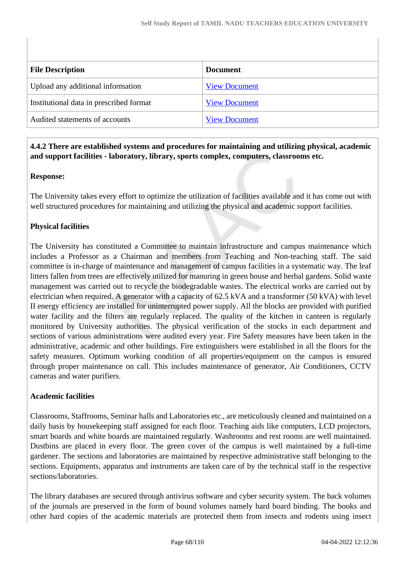| <b>File Description</b>                 | <b>Document</b>      |
|-----------------------------------------|----------------------|
| Upload any additional information       | <b>View Document</b> |
| Institutional data in prescribed format | <b>View Document</b> |
| Audited statements of accounts          | <b>View Document</b> |

# **4.4.2 There are established systems and procedures for maintaining and utilizing physical, academic and support facilities - laboratory, library, sports complex, computers, classrooms etc.**

# **Response:**

The University takes every effort to optimize the utilization of facilities available and it has come out with well structured procedures for maintaining and utilizing the physical and academic support facilities.

# **Physical facilities**

The University has constituted a Committee to maintain infrastructure and campus maintenance which includes a Professor as a Chairman and members from Teaching and Non-teaching staff. The said committee is in-charge of maintenance and management of campus facilities in a systematic way. The leaf litters fallen from trees are effectively utilized for manuring in green house and herbal gardens. Solid waste management was carried out to recycle the biodegradable wastes. The electrical works are carried out by electrician when required. A generator with a capacity of 62.5 kVA and a transformer (50 kVA) with level II energy efficiency are installed for uninterrupted power supply. All the blocks are provided with purified water facility and the filters are regularly replaced. The quality of the kitchen in canteen is regularly monitored by University authorities. The physical verification of the stocks in each department and sections of various administrations were audited every year. Fire Safety measures have been taken in the administrative, academic and other buildings. Fire extinguishers were established in all the floors for the safety measures. Optimum working condition of all properties/equipment on the campus is ensured through proper maintenance on call. This includes maintenance of generator, Air Conditioners, CCTV cameras and water purifiers.

#### **Academic facilities**

Classrooms, Staffrooms, Seminar halls and Laboratories etc., are meticulously cleaned and maintained on a daily basis by housekeeping staff assigned for each floor. Teaching aids like computers, LCD projectors, smart boards and white boards are maintained regularly. Washrooms and rest rooms are well maintained. Dustbins are placed in every floor. The green cover of the campus is well maintained by a full-time gardener. The sections and laboratories are maintained by respective administrative staff belonging to the sections. Equipments, apparatus and instruments are taken care of by the technical staff in the respective sections/laboratories.

The library databases are secured through antivirus software and cyber security system. The back volumes of the journals are preserved in the form of bound volumes namely hard board binding. The books and other hard copies of the academic materials are protected them from insects and rodents using insect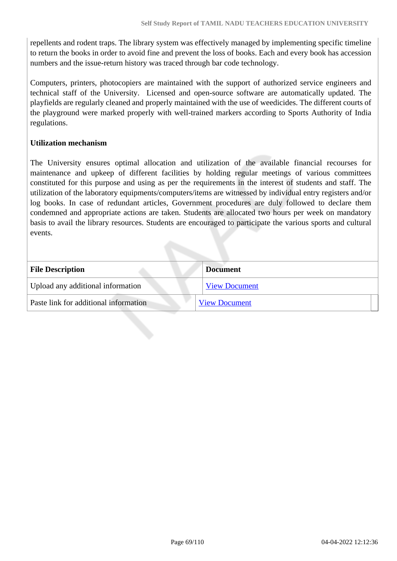repellents and rodent traps. The library system was effectively managed by implementing specific timeline to return the books in order to avoid fine and prevent the loss of books. Each and every book has accession numbers and the issue-return history was traced through bar code technology.

Computers, printers, photocopiers are maintained with the support of authorized service engineers and technical staff of the University. Licensed and open-source software are automatically updated. The playfields are regularly cleaned and properly maintained with the use of weedicides. The different courts of the playground were marked properly with well-trained markers according to Sports Authority of India regulations.

#### **Utilization mechanism**

The University ensures optimal allocation and utilization of the available financial recourses for maintenance and upkeep of different facilities by holding regular meetings of various committees constituted for this purpose and using as per the requirements in the interest of students and staff. The utilization of the laboratory equipments/computers/items are witnessed by individual entry registers and/or log books. In case of redundant articles, Government procedures are duly followed to declare them condemned and appropriate actions are taken. Students are allocated two hours per week on mandatory basis to avail the library resources. Students are encouraged to participate the various sports and cultural events.

| <b>File Description</b>               | <b>Document</b>      |
|---------------------------------------|----------------------|
| Upload any additional information     | <b>View Document</b> |
| Paste link for additional information | <b>View Document</b> |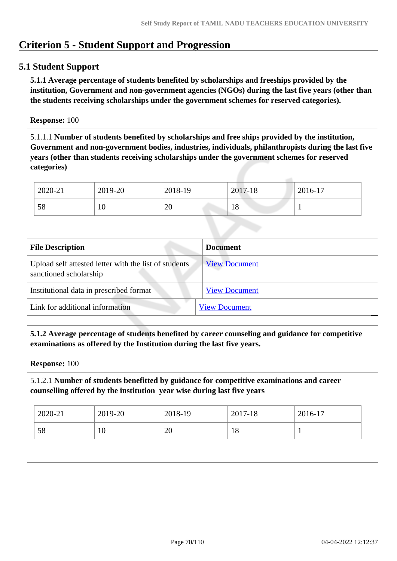# **Criterion 5 - Student Support and Progression**

# **5.1 Student Support**

 **5.1.1 Average percentage of students benefited by scholarships and freeships provided by the institution, Government and non-government agencies (NGOs) during the last five years (other than the students receiving scholarships under the government schemes for reserved categories).**

### **Response:** 100

5.1.1.1 **Number of students benefited by scholarships and free ships provided by the institution, Government and non-government bodies, industries, individuals, philanthropists during the last five years (other than students receiving scholarships under the government schemes for reserved categories)** 

| 2020-21 | 2019-20 | 2018-19 | 2017-18   | 2016-17 |
|---------|---------|---------|-----------|---------|
| 58      | 10      | 20      | 1 ດ<br>10 |         |

| <b>File Description</b>                                                         | <b>Document</b>      |
|---------------------------------------------------------------------------------|----------------------|
| Upload self attested letter with the list of students<br>sanctioned scholarship | <b>View Document</b> |
| Institutional data in prescribed format                                         | <b>View Document</b> |
| Link for additional information                                                 | <b>View Document</b> |

 **5.1.2 Average percentage of students benefited by career counseling and guidance for competitive examinations as offered by the Institution during the last five years.**

**Response:** 100

5.1.2.1 **Number of students benefitted by guidance for competitive examinations and career counselling offered by the institution year wise during last five years**

| $2020 - 21$ | 2019-20 | 2018-19 | 2017-18 | 2016-17 |
|-------------|---------|---------|---------|---------|
| 58          | 10      | 20      | 18      |         |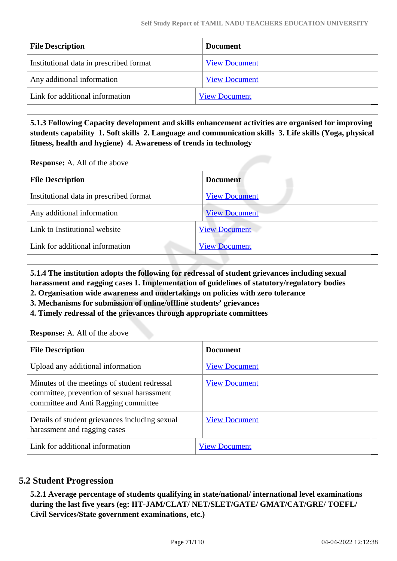| <b>File Description</b>                 | Document             |
|-----------------------------------------|----------------------|
| Institutional data in prescribed format | <b>View Document</b> |
| Any additional information              | <b>View Document</b> |
| Link for additional information         | <b>View Document</b> |

 **5.1.3 Following Capacity development and skills enhancement activities are organised for improving students capability 1. Soft skills 2. Language and communication skills 3. Life skills (Yoga, physical fitness, health and hygiene) 4. Awareness of trends in technology**

**Response:** A. All of the above

| <b>Document</b>      |
|----------------------|
| <b>View Document</b> |
| <b>View Document</b> |
| <b>View Document</b> |
| <b>View Document</b> |
|                      |

 **5.1.4 The institution adopts the following for redressal of student grievances including sexual harassment and ragging cases 1. Implementation of guidelines of statutory/regulatory bodies**

**2. Organisation wide awareness and undertakings on policies with zero tolerance**

**3. Mechanisms for submission of online/offline students' grievances**

**4. Timely redressal of the grievances through appropriate committees**

**Response:** A. All of the above

| <b>File Description</b>                                                                                                            | <b>Document</b>      |
|------------------------------------------------------------------------------------------------------------------------------------|----------------------|
| Upload any additional information                                                                                                  | <b>View Document</b> |
| Minutes of the meetings of student redressal<br>committee, prevention of sexual harassment<br>committee and Anti Ragging committee | <b>View Document</b> |
| Details of student grievances including sexual<br>harassment and ragging cases                                                     | <b>View Document</b> |
| Link for additional information                                                                                                    | <b>View Document</b> |

# **5.2 Student Progression**

 **5.2.1 Average percentage of students qualifying in state/national/ international level examinations during the last five years (eg: IIT-JAM/CLAT/ NET/SLET/GATE/ GMAT/CAT/GRE/ TOEFL/ Civil Services/State government examinations, etc.)**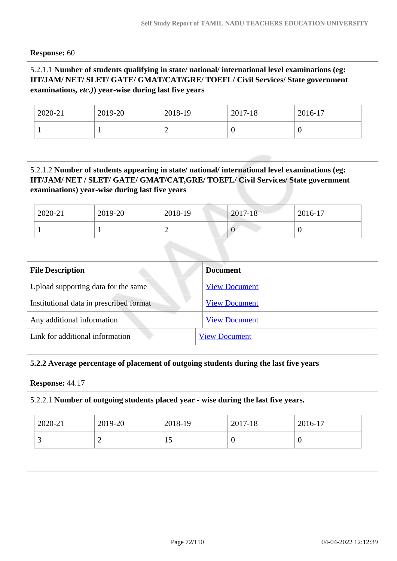**Response:** 60

# 5.2.1.1 **Number of students qualifying in state/ national/ international level examinations (eg: IIT/JAM/ NET/ SLET/ GATE/ GMAT/CAT/GRE/ TOEFL/ Civil Services/ State government examinations***, etc.)***) year-wise during last five years**

| 2020-21 | 2019-20 | 2018-19 | 2017-18 | 2016-17 |
|---------|---------|---------|---------|---------|
|         |         | ∽       | ν       | U       |

# 5.2.1.2 **Number of students appearing in state/ national/ international level examinations (eg: IIT/JAM/ NET / SLET/ GATE/ GMAT/CAT,GRE/ TOEFL/ Civil Services/ State government examinations) year-wise during last five years**

| 2020-21 | 2019-20 | 2018-19 | $2017 - 18$ | 2016-17 |
|---------|---------|---------|-------------|---------|
|         |         | -<br>_  |             |         |

| <b>File Description</b>                 | <b>Document</b>      |
|-----------------------------------------|----------------------|
| Upload supporting data for the same     | <b>View Document</b> |
| Institutional data in prescribed format | <b>View Document</b> |
| Any additional information              | <b>View Document</b> |
| Link for additional information         | <b>View Document</b> |

# **5.2.2 Average percentage of placement of outgoing students during the last five years**

#### **Response:** 44.17

#### 5.2.2.1 **Number of outgoing students placed year - wise during the last five years.**

| 2020-21 | 2019-20 | 2018-19 | 2017-18 | 2016-17 |  |
|---------|---------|---------|---------|---------|--|
|         |         | 15      | 0       | J       |  |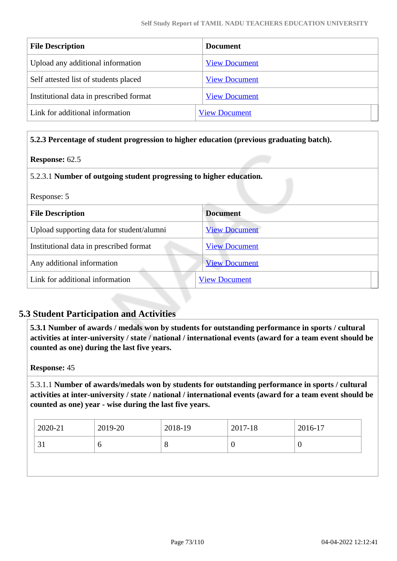| <b>File Description</b>                 | <b>Document</b>      |
|-----------------------------------------|----------------------|
| Upload any additional information       | <b>View Document</b> |
| Self attested list of students placed   | <b>View Document</b> |
| Institutional data in prescribed format | <b>View Document</b> |
| Link for additional information         | <b>View Document</b> |

**5.2.3 Percentage of student progression to higher education (previous graduating batch).**

#### **Response:** 62.5

# 5.2.3.1 **Number of outgoing student progressing to higher education.**

| Response: 5                               |                      |  |
|-------------------------------------------|----------------------|--|
| <b>File Description</b>                   | <b>Document</b>      |  |
| Upload supporting data for student/alumni | <b>View Document</b> |  |
| Institutional data in prescribed format   | <b>View Document</b> |  |
| Any additional information                | <b>View Document</b> |  |
| Link for additional information           | <b>View Document</b> |  |

# **5.3 Student Participation and Activities**

 **5.3.1 Number of awards / medals won by students for outstanding performance in sports / cultural activities at inter-university / state / national / international events (award for a team event should be counted as one) during the last five years.**

#### **Response:** 45

5.3.1.1 **Number of awards/medals won by students for outstanding performance in sports / cultural activities at inter-university / state / national / international events (award for a team event should be counted as one) year - wise during the last five years.**

| 2020-21 | 2019-20 | 2018-19 | 2017-18 | 2016-17 |
|---------|---------|---------|---------|---------|
| IJ      | v       | $\circ$ |         | ν       |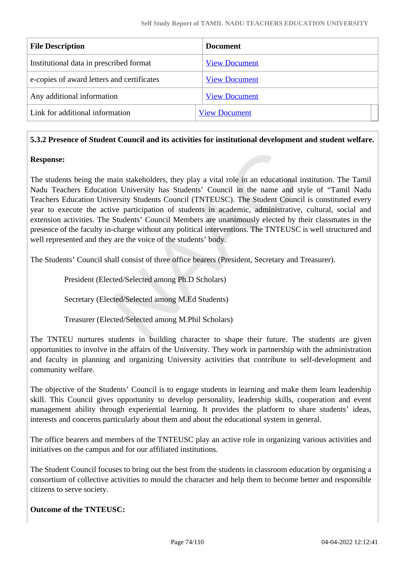| <b>File Description</b>                    | <b>Document</b>      |
|--------------------------------------------|----------------------|
| Institutional data in prescribed format    | <b>View Document</b> |
| e-copies of award letters and certificates | <b>View Document</b> |
| Any additional information                 | <b>View Document</b> |
| Link for additional information            | <b>View Document</b> |
|                                            |                      |

# **5.3.2 Presence of Student Council and its activities for institutional development and student welfare.**

# **Response:**

The students being the main stakeholders, they play a vital role in an educational institution. The Tamil Nadu Teachers Education University has Students' Council in the name and style of "Tamil Nadu Teachers Education University Students Council (TNTEUSC). The Student Council is constituted every year to execute the active participation of students in academic, administrative, cultural, social and extension activities. The Students' Council Members are unanimously elected by their classmates in the presence of the faculty in-charge without any political interventions. The TNTEUSC is well structured and well represented and they are the voice of the students' body.

The Students' Council shall consist of three office bearers (President, Secretary and Treasurer).

President (Elected/Selected among Ph.D Scholars)

Secretary (Elected/Selected among M.Ed Students)

Treasurer (Elected/Selected among M.Phil Scholars)

The TNTEU nurtures students in building character to shape their future. The students are given opportunities to involve in the affairs of the University. They work in partnership with the administration and faculty in planning and organizing University activities that contribute to self-development and community welfare.

The objective of the Students' Council is to engage students in learning and make them learn leadership skill. This Council gives opportunity to develop personality, leadership skills, cooperation and event management ability through experiential learning. It provides the platform to share students' ideas, interests and concerns particularly about them and about the educational system in general.

The office bearers and members of the TNTEUSC play an active role in organizing various activities and initiatives on the campus and for our affiliated institutions.

The Student Council focuses to bring out the best from the students in classroom education by organising a consortium of collective activities to mould the character and help them to become better and responsible citizens to serve society.

# **Outcome of the TNTEUSC:**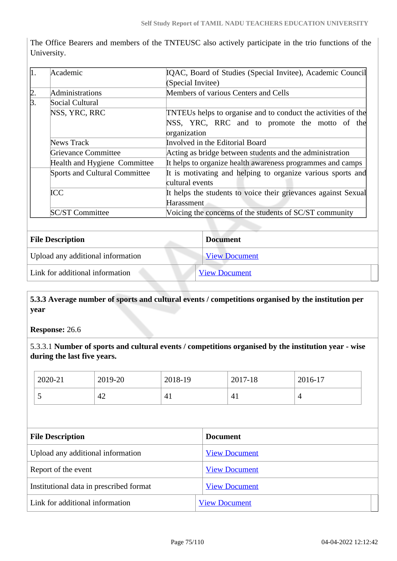The Office Bearers and members of the TNTEUSC also actively participate in the trio functions of the University.

| $\mathbf{1}$ . | Academic                             | IQAC, Board of Studies (Special Invitee), Academic Council     |  |
|----------------|--------------------------------------|----------------------------------------------------------------|--|
|                |                                      | (Special Invitee)                                              |  |
| $\frac{2}{3}$  | Administrations                      | Members of various Centers and Cells                           |  |
|                | Social Cultural                      |                                                                |  |
|                | NSS, YRC, RRC                        | TNTEUs helps to organise and to conduct the activities of the  |  |
|                |                                      | NSS, YRC, RRC and to promote the motto of the                  |  |
|                |                                      | organization                                                   |  |
|                | News Track                           | Involved in the Editorial Board                                |  |
|                | <b>Grievance Committee</b>           | Acting as bridge between students and the administration       |  |
|                | Health and Hygiene Committee         | It helps to organize health awareness programmes and camps     |  |
|                | <b>Sports and Cultural Committee</b> | It is motivating and helping to organize various sports and    |  |
|                |                                      | cultural events                                                |  |
|                | <b>ICC</b>                           | It helps the students to voice their grievances against Sexual |  |
|                |                                      | Harassment                                                     |  |
|                | <b>SC/ST Committee</b>               | Voicing the concerns of the students of SC/ST community        |  |

| <b>File Description</b>           | <b>Document</b>      |
|-----------------------------------|----------------------|
| Upload any additional information | <b>View Document</b> |
| Link for additional information   | <b>View Document</b> |

# **5.3.3 Average number of sports and cultural events / competitions organised by the institution per year**

**Response:** 26.6

5.3.3.1 **Number of sports and cultural events / competitions organised by the institution year - wise during the last five years.**

| 2020-21                                 | 2019-20 | 2018-19              |                      | 2017-18 | 2016-17        |  |
|-----------------------------------------|---------|----------------------|----------------------|---------|----------------|--|
| 5                                       | 42      | 41                   |                      | 41      | $\overline{4}$ |  |
|                                         |         |                      |                      |         |                |  |
| <b>File Description</b>                 |         |                      | <b>Document</b>      |         |                |  |
| Upload any additional information       |         |                      | <b>View Document</b> |         |                |  |
| Report of the event                     |         |                      | <b>View Document</b> |         |                |  |
| Institutional data in prescribed format |         |                      | <b>View Document</b> |         |                |  |
| Link for additional information         |         | <b>View Document</b> |                      |         |                |  |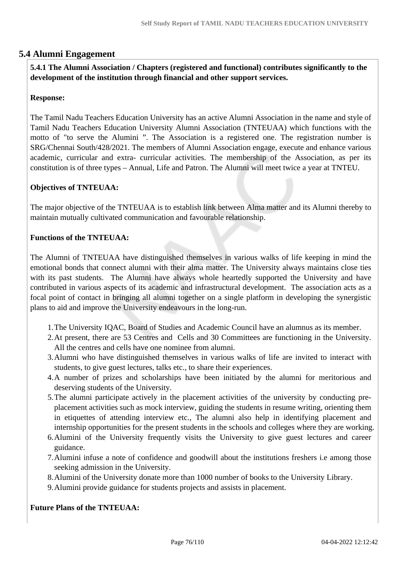# **5.4 Alumni Engagement**

 **5.4.1 The Alumni Association / Chapters (registered and functional) contributes significantly to the development of the institution through financial and other support services.**

# **Response:**

The Tamil Nadu Teachers Education University has an active Alumni Association in the name and style of Tamil Nadu Teachers Education University Alumni Association (TNTEUAA) which functions with the motto of "to serve the Alumini ". The Association is a registered one. The registration number is SRG/Chennai South/428/2021. The members of Alumni Association engage, execute and enhance various academic, curricular and extra- curricular activities. The membership of the Association, as per its constitution is of three types – Annual, Life and Patron. The Alumni will meet twice a year at TNTEU.

# **Objectives of TNTEUAA:**

The major objective of the TNTEUAA is to establish link between Alma matter and its Alumni thereby to maintain mutually cultivated communication and favourable relationship.

#### **Functions of the TNTEUAA:**

The Alumni of TNTEUAA have distinguished themselves in various walks of life keeping in mind the emotional bonds that connect alumni with their alma matter. The University always maintains close ties with its past students. The Alumni have always whole heartedly supported the University and have contributed in various aspects of its academic and infrastructural development. The association acts as a focal point of contact in bringing all alumni together on a single platform in developing the synergistic plans to aid and improve the University endeavours in the long-run.

- 1.The University IQAC, Board of Studies and Academic Council have an alumnus as its member.
- 2.At present, there are 53 Centres and Cells and 30 Committees are functioning in the University. All the centres and cells have one nominee from alumni.
- 3.Alumni who have distinguished themselves in various walks of life are invited to interact with students, to give guest lectures, talks etc., to share their experiences.
- 4.A number of prizes and scholarships have been initiated by the alumni for meritorious and deserving students of the University.
- 5.The alumni participate actively in the placement activities of the university by conducting preplacement activities such as mock interview, guiding the students in resume writing, orienting them in etiquettes of attending interview etc., The alumni also help in identifying placement and internship opportunities for the present students in the schools and colleges where they are working.
- 6.Alumini of the University frequently visits the University to give guest lectures and career guidance.
- 7.Alumini infuse a note of confidence and goodwill about the institutions freshers i.e among those seeking admission in the University.
- 8.Alumini of the University donate more than 1000 number of books to the University Library.
- 9.Alumini provide guidance for students projects and assists in placement.

#### **Future Plans of the TNTEUAA:**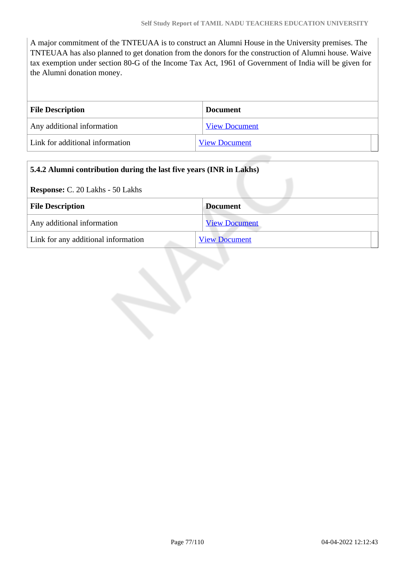A major commitment of the TNTEUAA is to construct an Alumni House in the University premises. The TNTEUAA has also planned to get donation from the donors for the construction of Alumni house. Waive tax exemption under section 80-G of the Income Tax Act, 1961 of Government of India will be given for the Alumni donation money.

| <b>File Description</b>         | <b>Document</b>      |
|---------------------------------|----------------------|
| Any additional information      | <b>View Document</b> |
| Link for additional information | <b>View Document</b> |

| 5.4.2 Alumni contribution during the last five years (INR in Lakhs) |                      |  |
|---------------------------------------------------------------------|----------------------|--|
| <b>Response:</b> C. 20 Lakhs - 50 Lakhs                             |                      |  |
| <b>File Description</b>                                             | <b>Document</b>      |  |
| Any additional information                                          | <b>View Document</b> |  |
| Link for any additional information                                 | <b>View Document</b> |  |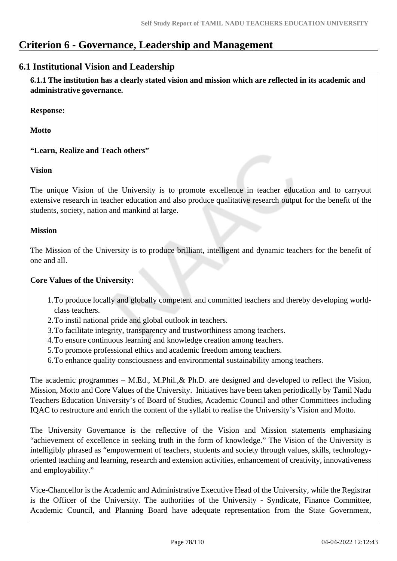# **Criterion 6 - Governance, Leadership and Management**

# **6.1 Institutional Vision and Leadership**

 **6.1.1 The institution has a clearly stated vision and mission which are reflected in its academic and administrative governance.**

**Response:** 

**Motto**

**"Learn, Realize and Teach others"**

**Vision**

The unique Vision of the University is to promote excellence in teacher education and to carryout extensive research in teacher education and also produce qualitative research output for the benefit of the students, society, nation and mankind at large.

# **Mission**

The Mission of the University is to produce brilliant, intelligent and dynamic teachers for the benefit of one and all.

# **Core Values of the University:**

- 1.To produce locally and globally competent and committed teachers and thereby developing worldclass teachers.
- 2.To instil national pride and global outlook in teachers.
- 3.To facilitate integrity, transparency and trustworthiness among teachers.
- 4.To ensure continuous learning and knowledge creation among teachers.
- 5.To promote professional ethics and academic freedom among teachers.
- 6.To enhance quality consciousness and environmental sustainability among teachers.

The academic programmes – M.Ed., M.Phil.,& Ph.D. are designed and developed to reflect the Vision, Mission, Motto and Core Values of the University. Initiatives have been taken periodically by Tamil Nadu Teachers Education University's of Board of Studies, Academic Council and other Committees including IQAC to restructure and enrich the content of the syllabi to realise the University's Vision and Motto.

The University Governance is the reflective of the Vision and Mission statements emphasizing "achievement of excellence in seeking truth in the form of knowledge." The Vision of the University is intelligibly phrased as "empowerment of teachers, students and society through values, skills, technologyoriented teaching and learning, research and extension activities, enhancement of creativity, innovativeness and employability."

Vice-Chancellor is the Academic and Administrative Executive Head of the University, while the Registrar is the Officer of the University. The authorities of the University - Syndicate, Finance Committee, Academic Council, and Planning Board have adequate representation from the State Government,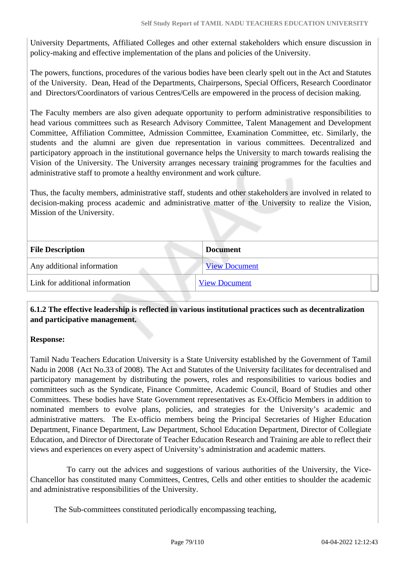University Departments, Affiliated Colleges and other external stakeholders which ensure discussion in policy-making and effective implementation of the plans and policies of the University.

The powers, functions, procedures of the various bodies have been clearly spelt out in the Act and Statutes of the University. Dean, Head of the Departments, Chairpersons, Special Officers, Research Coordinator and Directors/Coordinators of various Centres/Cells are empowered in the process of decision making.

The Faculty members are also given adequate opportunity to perform administrative responsibilities to head various committees such as Research Advisory Committee, Talent Management and Development Committee, Affiliation Committee, Admission Committee, Examination Committee, etc. Similarly, the students and the alumni are given due representation in various committees. Decentralized and participatory approach in the institutional governance helps the University to march towards realising the Vision of the University. The University arranges necessary training programmes for the faculties and administrative staff to promote a healthy environment and work culture.

Thus, the faculty members, administrative staff, students and other stakeholders are involved in related to decision-making process academic and administrative matter of the University to realize the Vision, Mission of the University.

| <b>File Description</b>         | <b>Document</b>      |
|---------------------------------|----------------------|
| Any additional information      | <b>View Document</b> |
| Link for additional information | <b>View Document</b> |
|                                 |                      |

# **6.1.2 The effective leadership is reflected in various institutional practices such as decentralization and participative management.**

#### **Response:**

Tamil Nadu Teachers Education University is a State University established by the Government of Tamil Nadu in 2008 (Act No.33 of 2008). The Act and Statutes of the University facilitates for decentralised and participatory management by distributing the powers, roles and responsibilities to various bodies and committees such as the Syndicate, Finance Committee, Academic Council, Board of Studies and other Committees. These bodies have State Government representatives as Ex-Officio Members in addition to nominated members to evolve plans, policies, and strategies for the University's academic and administrative matters. The Ex-officio members being the Principal Secretaries of Higher Education Department, Finance Department, Law Department, School Education Department, Director of Collegiate Education, and Director of Directorate of Teacher Education Research and Training are able to reflect their views and experiences on every aspect of University's administration and academic matters.

 To carry out the advices and suggestions of various authorities of the University, the Vice-Chancellor has constituted many Committees, Centres, Cells and other entities to shoulder the academic and administrative responsibilities of the University.

The Sub-committees constituted periodically encompassing teaching,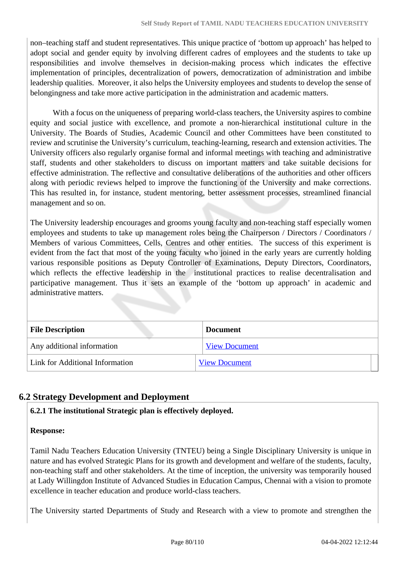non–teaching staff and student representatives. This unique practice of 'bottom up approach' has helped to adopt social and gender equity by involving different cadres of employees and the students to take up responsibilities and involve themselves in decision-making process which indicates the effective implementation of principles, decentralization of powers, democratization of administration and imbibe leadership qualities. Moreover, it also helps the University employees and students to develop the sense of belongingness and take more active participation in the administration and academic matters.

With a focus on the uniqueness of preparing world-class teachers, the University aspires to combine equity and social justice with excellence, and promote a non-hierarchical institutional culture in the University. The Boards of Studies, Academic Council and other Committees have been constituted to review and scrutinise the University's curriculum, teaching-learning, research and extension activities. The University officers also regularly organise formal and informal meetings with teaching and administrative staff, students and other stakeholders to discuss on important matters and take suitable decisions for effective administration. The reflective and consultative deliberations of the authorities and other officers along with periodic reviews helped to improve the functioning of the University and make corrections. This has resulted in, for instance, student mentoring, better assessment processes, streamlined financial management and so on.

The University leadership encourages and grooms young faculty and non-teaching staff especially women employees and students to take up management roles being the Chairperson / Directors / Coordinators / Members of various Committees, Cells, Centres and other entities. The success of this experiment is evident from the fact that most of the young faculty who joined in the early years are currently holding various responsible positions as Deputy Controller of Examinations, Deputy Directors, Coordinators, which reflects the effective leadership in the institutional practices to realise decentralisation and participative management. Thus it sets an example of the 'bottom up approach' in academic and administrative matters.

| <b>File Description</b>         | <b>Document</b>      |
|---------------------------------|----------------------|
| Any additional information      | <b>View Document</b> |
| Link for Additional Information | <b>View Document</b> |

# **6.2 Strategy Development and Deployment**

# **6.2.1 The institutional Strategic plan is effectively deployed.**

# **Response:**

Tamil Nadu Teachers Education University (TNTEU) being a Single Disciplinary University is unique in nature and has evolved Strategic Plans for its growth and development and welfare of the students, faculty, non-teaching staff and other stakeholders. At the time of inception, the university was temporarily housed at Lady Willingdon Institute of Advanced Studies in Education Campus, Chennai with a vision to promote excellence in teacher education and produce world-class teachers.

The University started Departments of Study and Research with a view to promote and strengthen the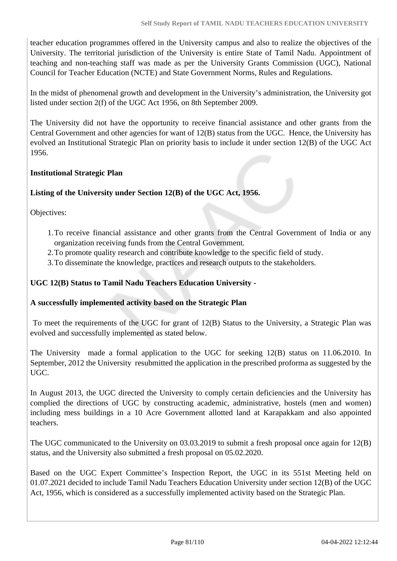teacher education programmes offered in the University campus and also to realize the objectives of the University. The territorial jurisdiction of the University is entire State of Tamil Nadu. Appointment of teaching and non-teaching staff was made as per the University Grants Commission (UGC), National Council for Teacher Education (NCTE) and State Government Norms, Rules and Regulations.

In the midst of phenomenal growth and development in the University's administration, the University got listed under section 2(f) of the UGC Act 1956, on 8th September 2009.

The University did not have the opportunity to receive financial assistance and other grants from the Central Government and other agencies for want of 12(B) status from the UGC. Hence, the University has evolved an Institutional Strategic Plan on priority basis to include it under section 12(B) of the UGC Act 1956.

# **Institutional Strategic Plan**

# **Listing of the University under Section 12(B) of the UGC Act, 1956.**

Objectives:

- 1.To receive financial assistance and other grants from the Central Government of India or any organization receiving funds from the Central Government.
- 2.To promote quality research and contribute knowledge to the specific field of study.
- 3.To disseminate the knowledge, practices and research outputs to the stakeholders.

# **UGC 12(B) Status to Tamil Nadu Teachers Education University -**

# **A successfully implemented activity based on the Strategic Plan**

To meet the requirements of the UGC for grant of 12(B) Status to the University, a Strategic Plan was evolved and successfully implemented as stated below.

The University made a formal application to the UGC for seeking 12(B) status on 11.06.2010. In September, 2012 the University resubmitted the application in the prescribed proforma as suggested by the UGC.

In August 2013, the UGC directed the University to comply certain deficiencies and the University has complied the directions of UGC by constructing academic, administrative, hostels (men and women) including mess buildings in a 10 Acre Government allotted land at Karapakkam and also appointed teachers.

The UGC communicated to the University on 03.03.2019 to submit a fresh proposal once again for 12(B) status, and the University also submitted a fresh proposal on 05.02.2020.

Based on the UGC Expert Committee's Inspection Report, the UGC in its 551st Meeting held on 01.07.2021 decided to include Tamil Nadu Teachers Education University under section 12(B) of the UGC Act, 1956, which is considered as a successfully implemented activity based on the Strategic Plan.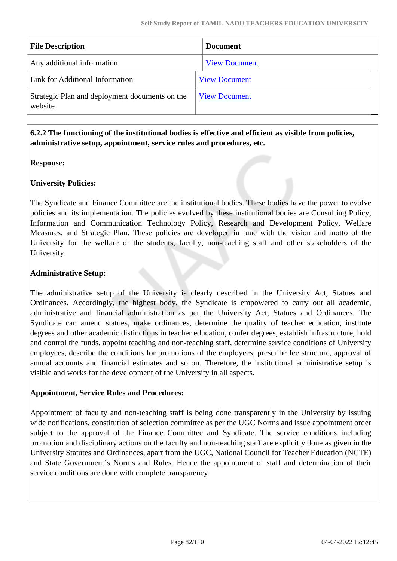| <b>File Description</b>                                   | <b>Document</b>      |
|-----------------------------------------------------------|----------------------|
| Any additional information                                | <b>View Document</b> |
| Link for Additional Information                           | <b>View Document</b> |
| Strategic Plan and deployment documents on the<br>website | <b>View Document</b> |

# **6.2.2 The functioning of the institutional bodies is effective and efficient as visible from policies, administrative setup, appointment, service rules and procedures, etc.**

# **Response:**

# **University Policies:**

The Syndicate and Finance Committee are the institutional bodies. These bodies have the power to evolve policies and its implementation. The policies evolved by these institutional bodies are Consulting Policy, Information and Communication Technology Policy, Research and Development Policy, Welfare Measures, and Strategic Plan. These policies are developed in tune with the vision and motto of the University for the welfare of the students, faculty, non-teaching staff and other stakeholders of the University.

#### **Administrative Setup:**

The administrative setup of the University is clearly described in the University Act, Statues and Ordinances. Accordingly, the highest body, the Syndicate is empowered to carry out all academic, administrative and financial administration as per the University Act, Statues and Ordinances. The Syndicate can amend statues, make ordinances, determine the quality of teacher education, institute degrees and other academic distinctions in teacher education, confer degrees, establish infrastructure, hold and control the funds, appoint teaching and non-teaching staff, determine service conditions of University employees, describe the conditions for promotions of the employees, prescribe fee structure, approval of annual accounts and financial estimates and so on. Therefore, the institutional administrative setup is visible and works for the development of the University in all aspects.

#### **Appointment, Service Rules and Procedures:**

Appointment of faculty and non-teaching staff is being done transparently in the University by issuing wide notifications, constitution of selection committee as per the UGC Norms and issue appointment order subject to the approval of the Finance Committee and Syndicate. The service conditions including promotion and disciplinary actions on the faculty and non-teaching staff are explicitly done as given in the University Statutes and Ordinances, apart from the UGC, National Council for Teacher Education (NCTE) and State Government's Norms and Rules. Hence the appointment of staff and determination of their service conditions are done with complete transparency.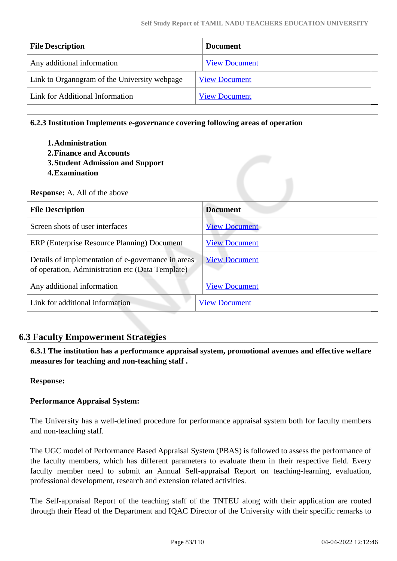| <b>File Description</b>                      | <b>Document</b>      |
|----------------------------------------------|----------------------|
| Any additional information                   | <b>View Document</b> |
| Link to Organogram of the University webpage | <b>View Document</b> |
| Link for Additional Information              | <b>View Document</b> |

#### **6.2.3 Institution Implements e-governance covering following areas of operation**

- **1.Administration 2.Finance and Accounts**
- **3.Student Admission and Support**
- **4.Examination**

|  | <b>Response:</b> A. All of the above |  |
|--|--------------------------------------|--|
|--|--------------------------------------|--|

| <b>File Description</b>                                                                                | <b>Document</b>      |  |
|--------------------------------------------------------------------------------------------------------|----------------------|--|
| Screen shots of user interfaces                                                                        | <b>View Document</b> |  |
| ERP (Enterprise Resource Planning) Document                                                            | <b>View Document</b> |  |
| Details of implementation of e-governance in areas<br>of operation, Administration etc (Data Template) | <b>View Document</b> |  |
| Any additional information                                                                             | <b>View Document</b> |  |
| Link for additional information                                                                        | <b>View Document</b> |  |

# **6.3 Faculty Empowerment Strategies**

 **6.3.1 The institution has a performance appraisal system, promotional avenues and effective welfare measures for teaching and non-teaching staff .**

**Response:** 

# **Performance Appraisal System:**

The University has a well-defined procedure for performance appraisal system both for faculty members and non-teaching staff.

The UGC model of Performance Based Appraisal System (PBAS) is followed to assess the performance of the faculty members, which has different parameters to evaluate them in their respective field. Every faculty member need to submit an Annual Self-appraisal Report on teaching-learning, evaluation, professional development, research and extension related activities.

The Self-appraisal Report of the teaching staff of the TNTEU along with their application are routed through their Head of the Department and IQAC Director of the University with their specific remarks to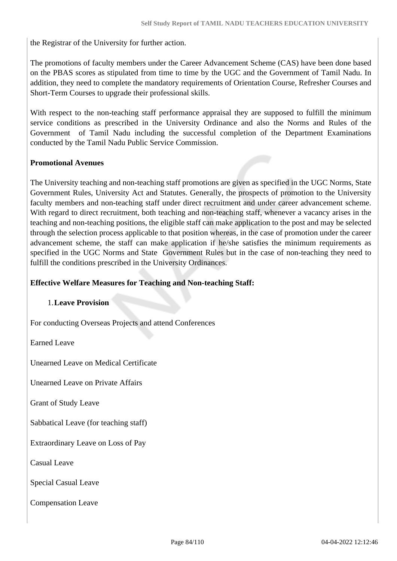the Registrar of the University for further action.

The promotions of faculty members under the Career Advancement Scheme (CAS) have been done based on the PBAS scores as stipulated from time to time by the UGC and the Government of Tamil Nadu. In addition, they need to complete the mandatory requirements of Orientation Course, Refresher Courses and Short-Term Courses to upgrade their professional skills.

With respect to the non-teaching staff performance appraisal they are supposed to fulfill the minimum service conditions as prescribed in the University Ordinance and also the Norms and Rules of the Government of Tamil Nadu including the successful completion of the Department Examinations conducted by the Tamil Nadu Public Service Commission.

# **Promotional Avenues**

The University teaching and non-teaching staff promotions are given as specified in the UGC Norms, State Government Rules, University Act and Statutes. Generally, the prospects of promotion to the University faculty members and non-teaching staff under direct recruitment and under career advancement scheme. With regard to direct recruitment, both teaching and non-teaching staff, whenever a vacancy arises in the teaching and non-teaching positions, the eligible staff can make application to the post and may be selected through the selection process applicable to that position whereas, in the case of promotion under the career advancement scheme, the staff can make application if he/she satisfies the minimum requirements as specified in the UGC Norms and State Government Rules but in the case of non-teaching they need to fulfill the conditions prescribed in the University Ordinances.

# **Effective Welfare Measures for Teaching and Non-teaching Staff:**

# 1.**Leave Provision**

For conducting Overseas Projects and attend Conferences

Earned Leave

Unearned Leave on Medical Certificate

Unearned Leave on Private Affairs

Grant of Study Leave

Sabbatical Leave (for teaching staff)

Extraordinary Leave on Loss of Pay

Casual Leave

Special Casual Leave

Compensation Leave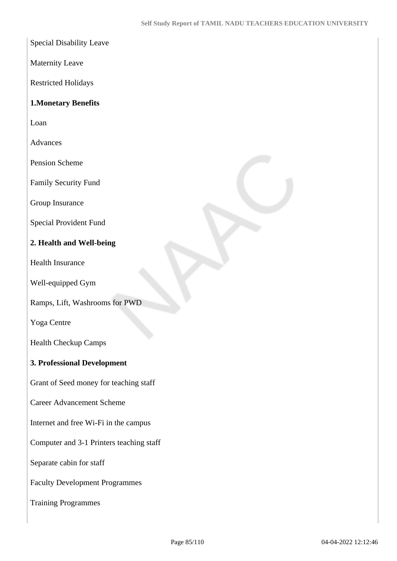Special Disability Leave

Maternity Leave

Restricted Holidays

# **1.Monetary Benefits**

Loan

Advances

Pension Scheme

Family Security Fund

Group Insurance

Special Provident Fund

# **2. Health and Well-being**

Health Insurance

Well-equipped Gym

Ramps, Lift, Washrooms for PWD

Yoga Centre

Health Checkup Camps

# **3. Professional Development**

Grant of Seed money for teaching staff

Career Advancement Scheme

Internet and free Wi-Fi in the campus

Computer and 3-1 Printers teaching staff

Separate cabin for staff

Faculty Development Programmes

Training Programmes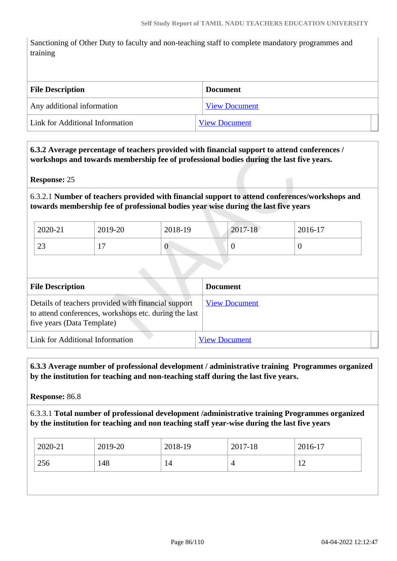Sanctioning of Other Duty to faculty and non-teaching staff to complete mandatory programmes and training

| <b>File Description</b>         | <b>Document</b>      |  |
|---------------------------------|----------------------|--|
| Any additional information      | <b>View Document</b> |  |
| Link for Additional Information | <b>View Document</b> |  |

 **6.3.2 Average percentage of teachers provided with financial support to attend conferences / workshops and towards membership fee of professional bodies during the last five years.**

#### **Response:** 25

6.3.2.1 **Number of teachers provided with financial support to attend conferences/workshops and towards membership fee of professional bodies year wise during the last five years**

| 2020-21      | 2019-20                | 2018-19 | 2017-18 | 2016-17 |
|--------------|------------------------|---------|---------|---------|
| $\cap$<br>23 | -<br><b>A</b> <i>i</i> | 0       | ◡       |         |

| <b>File Description</b>                                                                                                                    | <b>Document</b>      |
|--------------------------------------------------------------------------------------------------------------------------------------------|----------------------|
| Details of teachers provided with financial support<br>to attend conferences, workshops etc. during the last<br>five years (Data Template) | <b>View Document</b> |
| Link for Additional Information                                                                                                            | <b>View Document</b> |

 **6.3.3 Average number of professional development / administrative training Programmes organized by the institution for teaching and non-teaching staff during the last five years.**

**Response:** 86.8

6.3.3.1 **Total number of professional development /administrative training Programmes organized by the institution for teaching and non teaching staff year-wise during the last five years**

| 2020-21    | 2019-20 | 2018-19 | 2017-18 | 2016-17 |
|------------|---------|---------|---------|---------|
| 256<br>148 |         | 14      | 4       | 12      |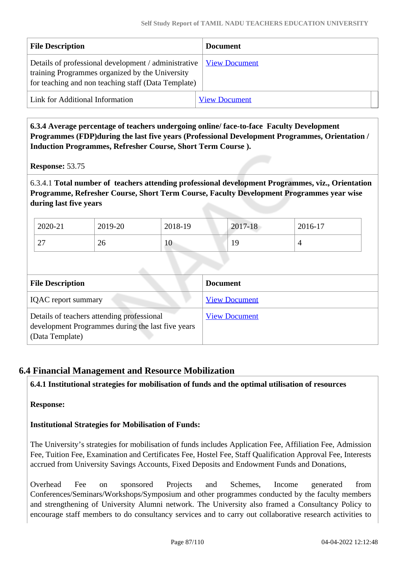| <b>File Description</b>                                                                                                                                          | <b>Document</b>      |
|------------------------------------------------------------------------------------------------------------------------------------------------------------------|----------------------|
| Details of professional development / administrative  <br>training Programmes organized by the University<br>for teaching and non teaching staff (Data Template) | <b>View Document</b> |
| Link for Additional Information                                                                                                                                  | <b>View Document</b> |

 **6.3.4 Average percentage of teachers undergoing online/ face-to-face Faculty Development Programmes (FDP)during the last five years (Professional Development Programmes, Orientation / Induction Programmes, Refresher Course, Short Term Course ).**

**Response:** 53.75

6.3.4.1 **Total number of teachers attending professional development Programmes, viz., Orientation Programme, Refresher Course, Short Term Course, Faculty Development Programmes year wise during last five years**

| 2020-21            | 2019-20 | 2018-19 | 2017-18   | 2016-17 |
|--------------------|---------|---------|-----------|---------|
| $\bigcap$<br>ا ہے۔ | 26      | 10      | $\lambda$ |         |

| <b>File Description</b>                                                                                            | <b>Document</b>      |
|--------------------------------------------------------------------------------------------------------------------|----------------------|
| <b>IQAC</b> report summary                                                                                         | <b>View Document</b> |
| Details of teachers attending professional<br>development Programmes during the last five years<br>(Data Template) | <b>View Document</b> |

# **6.4 Financial Management and Resource Mobilization**

**6.4.1 Institutional strategies for mobilisation of funds and the optimal utilisation of resources**

**Response:** 

**Institutional Strategies for Mobilisation of Funds:**

The University's strategies for mobilisation of funds includes Application Fee, Affiliation Fee, Admission Fee, Tuition Fee, Examination and Certificates Fee, Hostel Fee, Staff Qualification Approval Fee, Interests accrued from University Savings Accounts, Fixed Deposits and Endowment Funds and Donations,

Overhead Fee on sponsored Projects and Schemes, Income generated from Conferences/Seminars/Workshops/Symposium and other programmes conducted by the faculty members and strengthening of University Alumni network. The University also framed a Consultancy Policy to encourage staff members to do consultancy services and to carry out collaborative research activities to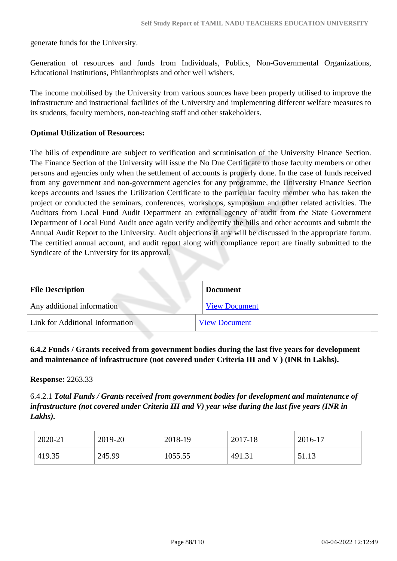generate funds for the University.

Generation of resources and funds from Individuals, Publics, Non-Governmental Organizations, Educational Institutions, Philanthropists and other well wishers.

The income mobilised by the University from various sources have been properly utilised to improve the infrastructure and instructional facilities of the University and implementing different welfare measures to its students, faculty members, non-teaching staff and other stakeholders.

#### **Optimal Utilization of Resources:**

The bills of expenditure are subject to verification and scrutinisation of the University Finance Section. The Finance Section of the University will issue the No Due Certificate to those faculty members or other persons and agencies only when the settlement of accounts is properly done. In the case of funds received from any government and non-government agencies for any programme, the University Finance Section keeps accounts and issues the Utilization Certificate to the particular faculty member who has taken the project or conducted the seminars, conferences, workshops, symposium and other related activities. The Auditors from Local Fund Audit Department an external agency of audit from the State Government Department of Local Fund Audit once again verify and certify the bills and other accounts and submit the Annual Audit Report to the University. Audit objections if any will be discussed in the appropriate forum. The certified annual account, and audit report along with compliance report are finally submitted to the Syndicate of the University for its approval.

| <b>File Description</b>         | <b>Document</b>      |
|---------------------------------|----------------------|
| Any additional information      | <b>View Document</b> |
| Link for Additional Information | <b>View Document</b> |

 **6.4.2 Funds / Grants received from government bodies during the last five years for development and maintenance of infrastructure (not covered under Criteria III and V ) (INR in Lakhs).**

#### **Response:** 2263.33

6.4.2.1 *Total Funds / Grants received from government bodies for development and maintenance of infrastructure (not covered under Criteria III and V) year wise during the last five years (INR in Lakhs).*

| 2020-21 | 2019-20 | 2018-19 | 2017-18 | 2016-17 |
|---------|---------|---------|---------|---------|
| 419.35  | 245.99  | 1055.55 | 491.31  | 51.13   |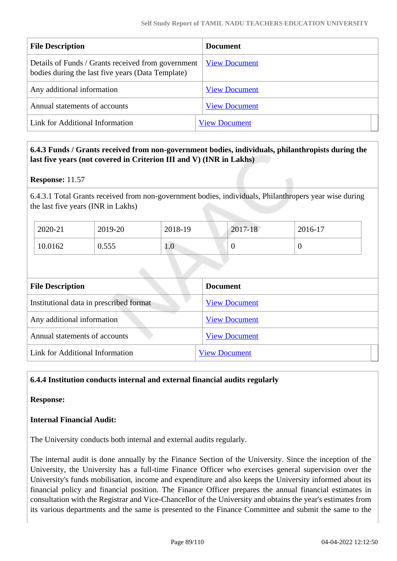| <b>File Description</b>                                                                                 | <b>Document</b>      |
|---------------------------------------------------------------------------------------------------------|----------------------|
| Details of Funds / Grants received from government<br>bodies during the last five years (Data Template) | <b>View Document</b> |
| Any additional information                                                                              | <b>View Document</b> |
| Annual statements of accounts                                                                           | <b>View Document</b> |
| Link for Additional Information                                                                         | <b>View Document</b> |

# **6.4.3 Funds / Grants received from non-government bodies, individuals, philanthropists during the last five years (not covered in Criterion III and V) (INR in Lakhs)**

#### **Response:** 11.57

6.4.3.1 Total Grants received from non-government bodies, individuals, Philanthropers year wise during the last five years (INR in Lakhs)

| 2020-21 | 2019-20 | 2018-19 | 2017-18 | $2016 - 17$ |
|---------|---------|---------|---------|-------------|
| 10.0162 | 0.555   | 1.0     |         |             |

| <b>File Description</b>                 | <b>Document</b>      |
|-----------------------------------------|----------------------|
| Institutional data in prescribed format | <b>View Document</b> |
| Any additional information              | <b>View Document</b> |
| Annual statements of accounts           | <b>View Document</b> |
| Link for Additional Information         | <b>View Document</b> |

# **6.4.4 Institution conducts internal and external financial audits regularly**

#### **Response:**

# **Internal Financial Audit:**

The University conducts both internal and external audits regularly.

The internal audit is done annually by the Finance Section of the University. Since the inception of the University, the University has a full-time Finance Officer who exercises general supervision over the University's funds mobilisation, income and expenditure and also keeps the University informed about its financial policy and financial position. The Finance Officer prepares the annual financial estimates in consultation with the Registrar and Vice-Chancellor of the University and obtains the year's estimates from its various departments and the same is presented to the Finance Committee and submit the same to the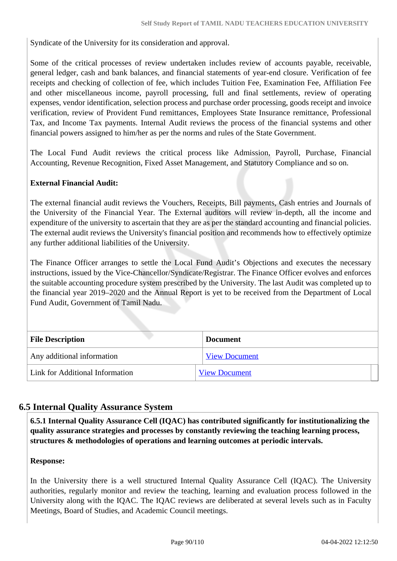Syndicate of the University for its consideration and approval.

Some of the critical processes of review undertaken includes review of accounts payable, receivable, general ledger, cash and bank balances, and financial statements of year-end closure. Verification of fee receipts and checking of collection of fee, which includes Tuition Fee, Examination Fee, Affiliation Fee and other miscellaneous income, payroll processing, full and final settlements, review of operating expenses, vendor identification, selection process and purchase order processing, goods receipt and invoice verification, review of Provident Fund remittances, Employees State Insurance remittance, Professional Tax, and Income Tax payments. Internal Audit reviews the process of the financial systems and other financial powers assigned to him/her as per the norms and rules of the State Government.

The Local Fund Audit reviews the critical process like Admission, Payroll, Purchase, Financial Accounting, Revenue Recognition, Fixed Asset Management, and Statutory Compliance and so on.

# **External Financial Audit:**

The external financial audit reviews the Vouchers, Receipts, Bill payments, Cash entries and Journals of the University of the Financial Year. The External auditors will review in-depth, all the income and expenditure of the university to ascertain that they are as per the standard accounting and financial policies. The external audit reviews the University's financial position and recommends how to effectively optimize any further additional liabilities of the University.

The Finance Officer arranges to settle the Local Fund Audit's Objections and executes the necessary instructions, issued by the Vice-Chancellor/Syndicate/Registrar. The Finance Officer evolves and enforces the suitable accounting procedure system prescribed by the University. The last Audit was completed up to the financial year 2019–2020 and the Annual Report is yet to be received from the Department of Local Fund Audit, Government of Tamil Nadu.

| <b>File Description</b>         | <b>Document</b>      |
|---------------------------------|----------------------|
| Any additional information      | <b>View Document</b> |
| Link for Additional Information | <b>View Document</b> |

# **6.5 Internal Quality Assurance System**

 **6.5.1 Internal Quality Assurance Cell (IQAC) has contributed significantly for institutionalizing the quality assurance strategies and processes by constantly reviewing the teaching learning process, structures & methodologies of operations and learning outcomes at periodic intervals.**

# **Response:**

In the University there is a well structured Internal Quality Assurance Cell (IQAC). The University authorities, regularly monitor and review the teaching, learning and evaluation process followed in the University along with the IQAC. The IQAC reviews are deliberated at several levels such as in Faculty Meetings, Board of Studies, and Academic Council meetings.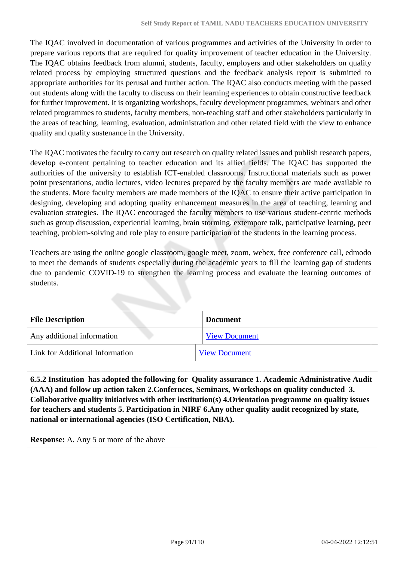The IQAC involved in documentation of various programmes and activities of the University in order to prepare various reports that are required for quality improvement of teacher education in the University. The IQAC obtains feedback from alumni, students, faculty, employers and other stakeholders on quality related process by employing structured questions and the feedback analysis report is submitted to appropriate authorities for its perusal and further action. The IQAC also conducts meeting with the passed out students along with the faculty to discuss on their learning experiences to obtain constructive feedback for further improvement. It is organizing workshops, faculty development programmes, webinars and other related programmes to students, faculty members, non-teaching staff and other stakeholders particularly in the areas of teaching, learning, evaluation, administration and other related field with the view to enhance quality and quality sustenance in the University.

The IQAC motivates the faculty to carry out research on quality related issues and publish research papers, develop e-content pertaining to teacher education and its allied fields. The IQAC has supported the authorities of the university to establish ICT-enabled classrooms. Instructional materials such as power point presentations, audio lectures, video lectures prepared by the faculty members are made available to the students. More faculty members are made members of the IQAC to ensure their active participation in designing, developing and adopting quality enhancement measures in the area of teaching, learning and evaluation strategies. The IQAC encouraged the faculty members to use various student-centric methods such as group discussion, experiential learning, brain storming, extempore talk, participative learning, peer teaching, problem-solving and role play to ensure participation of the students in the learning process.

Teachers are using the online google classroom, google meet, zoom, webex, free conference call, edmodo to meet the demands of students especially during the academic years to fill the learning gap of students due to pandemic COVID-19 to strengthen the learning process and evaluate the learning outcomes of students.

| <b>File Description</b>         | Document             |
|---------------------------------|----------------------|
| Any additional information      | <b>View Document</b> |
| Link for Additional Information | <b>View Document</b> |

 **6.5.2 Institution has adopted the following for Quality assurance 1. Academic Administrative Audit (AAA) and follow up action taken 2.Confernces, Seminars, Workshops on quality conducted 3. Collaborative quality initiatives with other institution(s) 4.Orientation programme on quality issues for teachers and students 5. Participation in NIRF 6.Any other quality audit recognized by state, national or international agencies (ISO Certification, NBA).**

**Response:** A. Any 5 or more of the above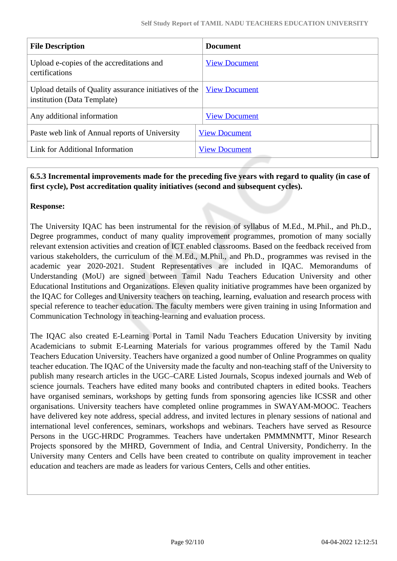| <b>File Description</b>                                                               | <b>Document</b>      |
|---------------------------------------------------------------------------------------|----------------------|
| Upload e-copies of the accreditations and<br>certifications                           | <b>View Document</b> |
| Upload details of Quality assurance initiatives of the<br>institution (Data Template) | <b>View Document</b> |
| Any additional information                                                            | <b>View Document</b> |
| Paste web link of Annual reports of University                                        | <b>View Document</b> |
| Link for Additional Information                                                       | <b>View Document</b> |

# **6.5.3 Incremental improvements made for the preceding five years with regard to quality (in case of first cycle), Post accreditation quality initiatives (second and subsequent cycles).**

# **Response:**

The University IQAC has been instrumental for the revision of syllabus of M.Ed., M.Phil., and Ph.D., Degree programmes, conduct of many quality improvement programmes, promotion of many socially relevant extension activities and creation of ICT enabled classrooms. Based on the feedback received from various stakeholders, the curriculum of the M.Ed., M.Phil., and Ph.D., programmes was revised in the academic year 2020-2021. Student Representatives are included in IQAC. Memorandums of Understanding (MoU) are signed between Tamil Nadu Teachers Education University and other Educational Institutions and Organizations. Eleven quality initiative programmes have been organized by the IQAC for Colleges and University teachers on teaching, learning, evaluation and research process with special reference to teacher education. The faculty members were given training in using Information and Communication Technology in teaching-learning and evaluation process.

The IQAC also created E-Learning Portal in Tamil Nadu Teachers Education University by inviting Academicians to submit E-Learning Materials for various programmes offered by the Tamil Nadu Teachers Education University. Teachers have organized a good number of Online Programmes on quality teacher education. The IQAC of the University made the faculty and non-teaching staff of the University to publish many research articles in the UGC–CARE Listed Journals, Scopus indexed journals and Web of science journals. Teachers have edited many books and contributed chapters in edited books. Teachers have organised seminars, workshops by getting funds from sponsoring agencies like ICSSR and other organisations. University teachers have completed online programmes in SWAYAM-MOOC. Teachers have delivered key note address, special address, and invited lectures in plenary sessions of national and international level conferences, seminars, workshops and webinars. Teachers have served as Resource Persons in the UGC-HRDC Programmes. Teachers have undertaken PMMMNMTT, Minor Research Projects sponsored by the MHRD, Government of India, and Central University, Pondicherry. In the University many Centers and Cells have been created to contribute on quality improvement in teacher education and teachers are made as leaders for various Centers, Cells and other entities.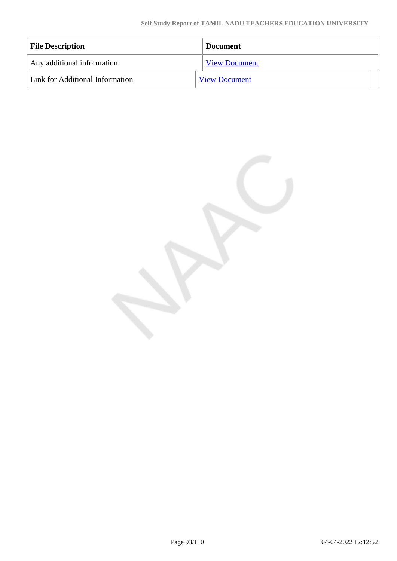| <b>File Description</b>         | <b>Document</b>      |
|---------------------------------|----------------------|
| Any additional information      | <b>View Document</b> |
| Link for Additional Information | <b>View Document</b> |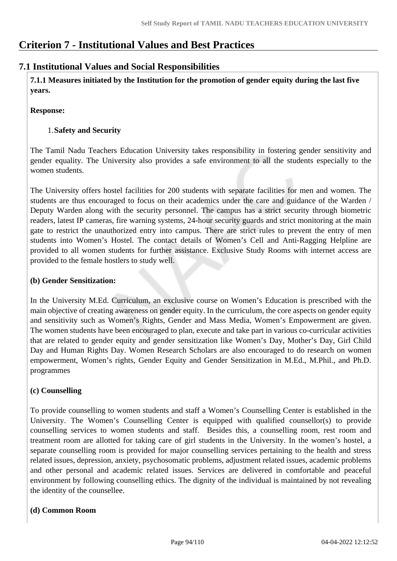# **Criterion 7 - Institutional Values and Best Practices**

# **7.1 Institutional Values and Social Responsibilities**

 **7.1.1 Measures initiated by the Institution for the promotion of gender equity during the last five years.**

# **Response:**

# 1.**Safety and Security**

The Tamil Nadu Teachers Education University takes responsibility in fostering gender sensitivity and gender equality. The University also provides a safe environment to all the students especially to the women students.

The University offers hostel facilities for 200 students with separate facilities for men and women. The students are thus encouraged to focus on their academics under the care and guidance of the Warden / Deputy Warden along with the security personnel. The campus has a strict security through biometric readers, latest IP cameras, fire warning systems, 24-hour security guards and strict monitoring at the main gate to restrict the unauthorized entry into campus. There are strict rules to prevent the entry of men students into Women's Hostel. The contact details of Women's Cell and Anti-Ragging Helpline are provided to all women students for further assistance. Exclusive Study Rooms with internet access are provided to the female hostlers to study well.

# **(b) Gender Sensitization:**

In the University M.Ed. Curriculum, an exclusive course on Women's Education is prescribed with the main objective of creating awareness on gender equity. In the curriculum, the core aspects on gender equity and sensitivity such as Women's Rights, Gender and Mass Media, Women's Empowerment are given. The women students have been encouraged to plan, execute and take part in various co-curricular activities that are related to gender equity and gender sensitization like Women's Day, Mother's Day, Girl Child Day and Human Rights Day. Women Research Scholars are also encouraged to do research on women empowerment, Women's rights, Gender Equity and Gender Sensitization in M.Ed., M.Phil., and Ph.D. programmes

# **(c) Counselling**

To provide counselling to women students and staff a Women's Counselling Center is established in the University. The Women's Counselling Center is equipped with qualified counsellor(s) to provide counselling services to women students and staff. Besides this, a counselling room, rest room and treatment room are allotted for taking care of girl students in the University. In the women's hostel, a separate counselling room is provided for major counselling services pertaining to the health and stress related issues, depression, anxiety, psychosomatic problems, adjustment related issues, academic problems and other personal and academic related issues. Services are delivered in comfortable and peaceful environment by following counselling ethics. The dignity of the individual is maintained by not revealing the identity of the counsellee.

# **(d) Common Room**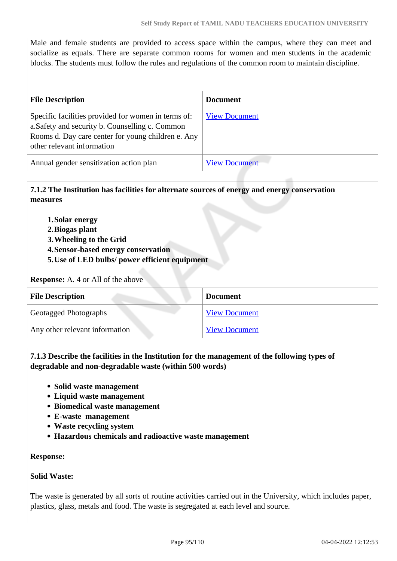Male and female students are provided to access space within the campus, where they can meet and socialize as equals. There are separate common rooms for women and men students in the academic blocks. The students must follow the rules and regulations of the common room to maintain discipline.

| <b>File Description</b>                                                                                                                                                                    | <b>Document</b>      |
|--------------------------------------------------------------------------------------------------------------------------------------------------------------------------------------------|----------------------|
| Specific facilities provided for women in terms of:<br>a. Safety and security b. Counselling c. Common<br>Rooms d. Day care center for young children e. Any<br>other relevant information | <b>View Document</b> |
| Annual gender sensitization action plan                                                                                                                                                    | <b>View Document</b> |

# **7.1.2 The Institution has facilities for alternate sources of energy and energy conservation measures**

- **1.Solar energy**
- **2.Biogas plant**
- **3.Wheeling to the Grid**
- **4.Sensor-based energy conservation**
- **5.Use of LED bulbs/ power efficient equipment**

#### **Response:** A. 4 or All of the above

| <b>File Description</b>        | <b>Document</b>      |
|--------------------------------|----------------------|
| <b>Geotagged Photographs</b>   | <b>View Document</b> |
| Any other relevant information | <b>View Document</b> |

# **7.1.3 Describe the facilities in the Institution for the management of the following types of degradable and non-degradable waste (within 500 words)**

- **Solid waste management**
- **Liquid waste management**
- **Biomedical waste management**
- **E-waste management**
- **Waste recycling system**
- **Hazardous chemicals and radioactive waste management**

# **Response:**

# **Solid Waste:**

The waste is generated by all sorts of routine activities carried out in the University, which includes paper, plastics, glass, metals and food. The waste is segregated at each level and source.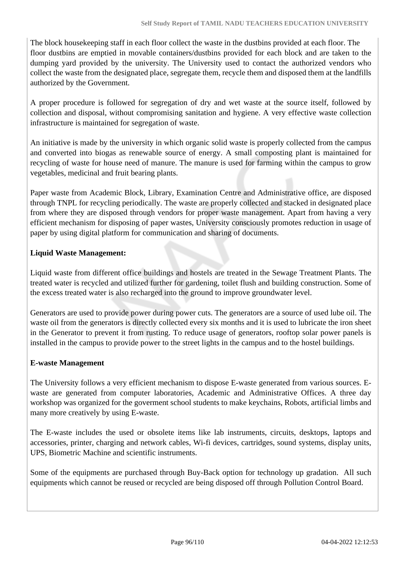The block housekeeping staff in each floor collect the waste in the dustbins provided at each floor. The floor dustbins are emptied in movable containers/dustbins provided for each block and are taken to the dumping yard provided by the university. The University used to contact the authorized vendors who collect the waste from the designated place, segregate them, recycle them and disposed them at the landfills authorized by the Government.

A proper procedure is followed for segregation of dry and wet waste at the source itself, followed by collection and disposal, without compromising sanitation and hygiene. A very effective waste collection infrastructure is maintained for segregation of waste.

An initiative is made by the university in which organic solid waste is properly collected from the campus and converted into biogas as renewable source of energy. A small composting plant is maintained for recycling of waste for house need of manure. The manure is used for farming within the campus to grow vegetables, medicinal and fruit bearing plants.

Paper waste from Academic Block, Library, Examination Centre and Administrative office, are disposed through TNPL for recycling periodically. The waste are properly collected and stacked in designated place from where they are disposed through vendors for proper waste management. Apart from having a very efficient mechanism for disposing of paper wastes, University consciously promotes reduction in usage of paper by using digital platform for communication and sharing of documents.

# **Liquid Waste Management:**

Liquid waste from different office buildings and hostels are treated in the Sewage Treatment Plants. The treated water is recycled and utilized further for gardening, toilet flush and building construction. Some of the excess treated water is also recharged into the ground to improve groundwater level.

Generators are used to provide power during power cuts. The generators are a source of used lube oil. The waste oil from the generators is directly collected every six months and it is used to lubricate the iron sheet in the Generator to prevent it from rusting. To reduce usage of generators, rooftop solar power panels is installed in the campus to provide power to the street lights in the campus and to the hostel buildings.

# **E-waste Management**

The University follows a very efficient mechanism to dispose E-waste generated from various sources. Ewaste are generated from computer laboratories, Academic and Administrative Offices. A three day workshop was organized for the goverment school students to make keychains, Robots, artificial limbs and many more creatively by using E-waste.

The E-waste includes the used or obsolete items like lab instruments, circuits, desktops, laptops and accessories, printer, charging and network cables, Wi-fi devices, cartridges, sound systems, display units, UPS, Biometric Machine and scientific instruments.

Some of the equipments are purchased through Buy-Back option for technology up gradation. All such equipments which cannot be reused or recycled are being disposed off through Pollution Control Board.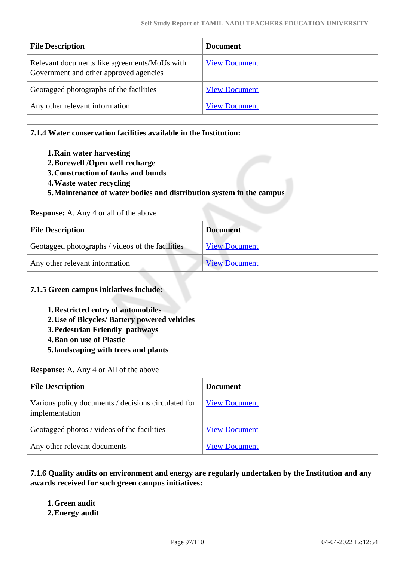| <b>File Description</b>                                                                | <b>Document</b>      |
|----------------------------------------------------------------------------------------|----------------------|
| Relevant documents like agreements/MoUs with<br>Government and other approved agencies | <b>View Document</b> |
| Geotagged photographs of the facilities                                                | <b>View Document</b> |
| Any other relevant information                                                         | <b>View Document</b> |

# **7.1.4 Water conservation facilities available in the Institution:**

- **1.Rain water harvesting**
- **2.Borewell /Open well recharge**
- **3.Construction of tanks and bunds**
- **4.Waste water recycling**
- **5.Maintenance of water bodies and distribution system in the campus**

#### **Response:** A. Any 4 or all of the above

| <b>File Description</b>                          | <b>Document</b>      |
|--------------------------------------------------|----------------------|
| Geotagged photographs / videos of the facilities | <b>View Document</b> |
| Any other relevant information                   | <b>View Document</b> |

#### **7.1.5 Green campus initiatives include:**

- **1.Restricted entry of automobiles**
- **2.Use of Bicycles/ Battery powered vehicles**
- **3.Pedestrian Friendly pathways**
- **4.Ban on use of Plastic**
- **5.landscaping with trees and plants**

#### **Response:** A. Any 4 or All of the above

| <b>File Description</b>                                               | <b>Document</b>      |
|-----------------------------------------------------------------------|----------------------|
| Various policy documents / decisions circulated for<br>implementation | <b>View Document</b> |
| Geotagged photos / videos of the facilities                           | <b>View Document</b> |
| Any other relevant documents                                          | <b>View Document</b> |

 **7.1.6 Quality audits on environment and energy are regularly undertaken by the Institution and any awards received for such green campus initiatives:**

**1.Green audit**

**2.Energy audit**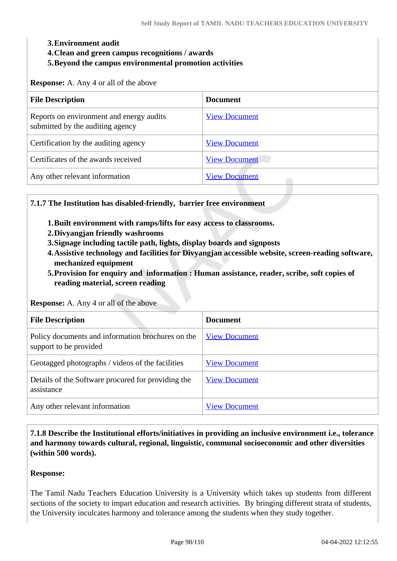#### **3.Environment audit**

- **4.Clean and green campus recognitions / awards**
- **5.Beyond the campus environmental promotion activities**

**Response:** A. Any 4 or all of the above

| <b>File Description</b>                                                      | <b>Document</b>      |
|------------------------------------------------------------------------------|----------------------|
| Reports on environment and energy audits<br>submitted by the auditing agency | <b>View Document</b> |
| Certification by the auditing agency                                         | <b>View Document</b> |
| Certificates of the awards received                                          | <b>View Document</b> |
| Any other relevant information                                               | <b>View Document</b> |

# **7.1.7 The Institution has disabled-friendly, barrier free environment**

- **1.Built environment with ramps/lifts for easy access to classrooms.**
- **2.Divyangjan friendly washrooms**
- **3.Signage including tactile path, lights, display boards and signposts**
- **4.Assistive technology and facilities for Divyangjan accessible website, screen-reading software, mechanized equipment**
- **5.Provision for enquiry and information : Human assistance, reader, scribe, soft copies of reading material, screen reading**

**Response:** A. Any 4 or all of the above

| <b>File Description</b>                                                     | <b>Document</b>      |
|-----------------------------------------------------------------------------|----------------------|
| Policy documents and information brochures on the<br>support to be provided | <b>View Document</b> |
| Geotagged photographs / videos of the facilities                            | <b>View Document</b> |
| Details of the Software procured for providing the<br>assistance            | <b>View Document</b> |
| Any other relevant information                                              | <b>View Document</b> |

 **7.1.8 Describe the Institutional efforts/initiatives in providing an inclusive environment i.e., tolerance and harmony towards cultural, regional, linguistic, communal socioeconomic and other diversities (within 500 words).**

#### **Response:**

The Tamil Nadu Teachers Education University is a University which takes up students from different sections of the society to impart education and research activities. By bringing different strata of students, the University inculcates harmony and tolerance among the students when they study together.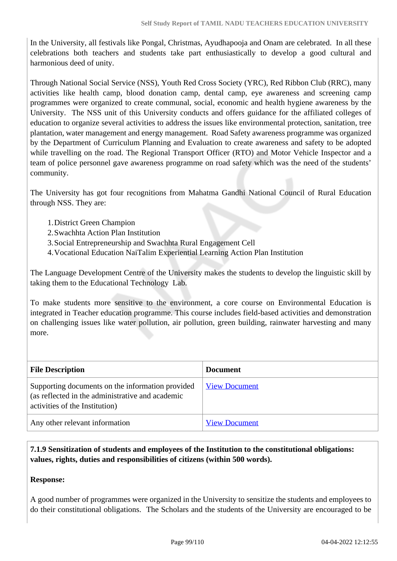In the University, all festivals like Pongal, Christmas, Ayudhapooja and Onam are celebrated. In all these celebrations both teachers and students take part enthusiastically to develop a good cultural and harmonious deed of unity.

Through National Social Service (NSS), Youth Red Cross Society (YRC), Red Ribbon Club (RRC), many activities like health camp, blood donation camp, dental camp, eye awareness and screening camp programmes were organized to create communal, social, economic and health hygiene awareness by the University. The NSS unit of this University conducts and offers guidance for the affiliated colleges of education to organize several activities to address the issues like environmental protection, sanitation, tree plantation, water management and energy management. Road Safety awareness programme was organized by the Department of Curriculum Planning and Evaluation to create awareness and safety to be adopted while travelling on the road. The Regional Transport Officer (RTO) and Motor Vehicle Inspector and a team of police personnel gave awareness programme on road safety which was the need of the students' community.

The University has got four recognitions from Mahatma Gandhi National Council of Rural Education through NSS. They are:

- 1.District Green Champion
- 2.Swachhta Action Plan Institution
- 3.Social Entrepreneurship and Swachhta Rural Engagement Cell
- 4.Vocational Education NaiTalim Experiential Learning Action Plan Institution

The Language Development Centre of the University makes the students to develop the linguistic skill by taking them to the Educational Technology Lab.

To make students more sensitive to the environment, a core course on Environmental Education is integrated in Teacher education programme. This course includes field-based activities and demonstration on challenging issues like water pollution, air pollution, green building, rainwater harvesting and many more.

| <b>File Description</b>                                                                                                                | <b>Document</b>      |
|----------------------------------------------------------------------------------------------------------------------------------------|----------------------|
| Supporting documents on the information provided<br>(as reflected in the administrative and academic<br>activities of the Institution) | <b>View Document</b> |
| Any other relevant information                                                                                                         | <b>View Document</b> |

 **7.1.9 Sensitization of students and employees of the Institution to the constitutional obligations: values, rights, duties and responsibilities of citizens (within 500 words).**

# **Response:**

A good number of programmes were organized in the University to sensitize the students and employees to do their constitutional obligations. The Scholars and the students of the University are encouraged to be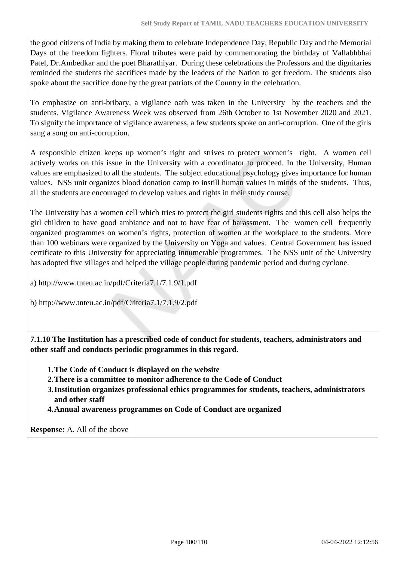the good citizens of India by making them to celebrate Independence Day, Republic Day and the Memorial Days of the freedom fighters. Floral tributes were paid by commemorating the birthday of Vallabhbhai Patel, Dr.Ambedkar and the poet Bharathiyar. During these celebrations the Professors and the dignitaries reminded the students the sacrifices made by the leaders of the Nation to get freedom. The students also spoke about the sacrifice done by the great patriots of the Country in the celebration.

To emphasize on anti-bribary, a vigilance oath was taken in the University by the teachers and the students. Vigilance Awareness Week was observed from 26th October to 1st November 2020 and 2021. To signify the importance of vigilance awareness, a few students spoke on anti-corruption. One of the girls sang a song on anti-corruption.

A responsible citizen keeps up women's right and strives to protect women's right. A women cell actively works on this issue in the University with a coordinator to proceed. In the University, Human values are emphasized to all the students. The subject educational psychology gives importance for human values. NSS unit organizes blood donation camp to instill human values in minds of the students. Thus, all the students are encouraged to develop values and rights in their study course.

The University has a women cell which tries to protect the girl students rights and this cell also helps the girl children to have good ambiance and not to have fear of harassment. The women cell frequently organized programmes on women's rights, protection of women at the workplace to the students. More than 100 webinars were organized by the University on Yoga and values. Central Government has issued certificate to this University for appreciating innumerable programmes. The NSS unit of the University has adopted five villages and helped the village people during pandemic period and during cyclone.

a) http://www.tnteu.ac.in/pdf/Criteria7.1/7.1.9/1.pdf

b) http://www.tnteu.ac.in/pdf/Criteria7.1/7.1.9/2.pdf

 **7.1.10 The Institution has a prescribed code of conduct for students, teachers, administrators and other staff and conducts periodic programmes in this regard.** 

- **1.The Code of Conduct is displayed on the website**
- **2.There is a committee to monitor adherence to the Code of Conduct**
- **3.Institution organizes professional ethics programmes for students, teachers, administrators and other staff**
- **4.Annual awareness programmes on Code of Conduct are organized**

**Response:** A. All of the above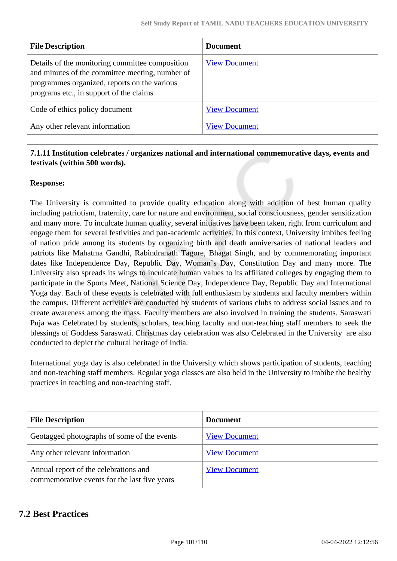| <b>File Description</b>                                                                                                                                                                       | <b>Document</b>      |
|-----------------------------------------------------------------------------------------------------------------------------------------------------------------------------------------------|----------------------|
| Details of the monitoring committee composition<br>and minutes of the committee meeting, number of<br>programmes organized, reports on the various<br>programs etc., in support of the claims | <b>View Document</b> |
| Code of ethics policy document                                                                                                                                                                | <b>View Document</b> |
| Any other relevant information                                                                                                                                                                | <b>View Document</b> |

# **7.1.11 Institution celebrates / organizes national and international commemorative days, events and festivals (within 500 words).**

# **Response:**

The University is committed to provide quality education along with addition of best human quality including patriotism, fraternity, care for nature and environment, social consciousness, gender sensitization and many more. To inculcate human quality, several initiatives have been taken, right from curriculum and engage them for several festivities and pan-academic activities. In this context, University imbibes feeling of nation pride among its students by organizing birth and death anniversaries of national leaders and patriots like Mahatma Gandhi, Rabindranath Tagore, Bhagat Singh, and by commemorating important dates like Independence Day, Republic Day, Woman's Day, Constitution Day and many more. The University also spreads its wings to inculcate human values to its affiliated colleges by engaging them to participate in the Sports Meet, National Science Day, Independence Day, Republic Day and International Yoga day. Each of these events is celebrated with full enthusiasm by students and faculty members within the campus. Different activities are conducted by students of various clubs to address social issues and to create awareness among the mass. Faculty members are also involved in training the students. Saraswati Puja was Celebrated by students, scholars, teaching faculty and non-teaching staff members to seek the blessings of Goddess Saraswati. Christmas day celebration was also Celebrated in the University are also conducted to depict the cultural heritage of India.

International yoga day is also celebrated in the University which shows participation of students, teaching and non-teaching staff members. Regular yoga classes are also held in the University to imbibe the healthy practices in teaching and non-teaching staff.

| <b>File Description</b>                                                               | <b>Document</b>      |
|---------------------------------------------------------------------------------------|----------------------|
| Geotagged photographs of some of the events                                           | <b>View Document</b> |
| Any other relevant information                                                        | <b>View Document</b> |
| Annual report of the celebrations and<br>commemorative events for the last five years | <b>View Document</b> |

# **7.2 Best Practices**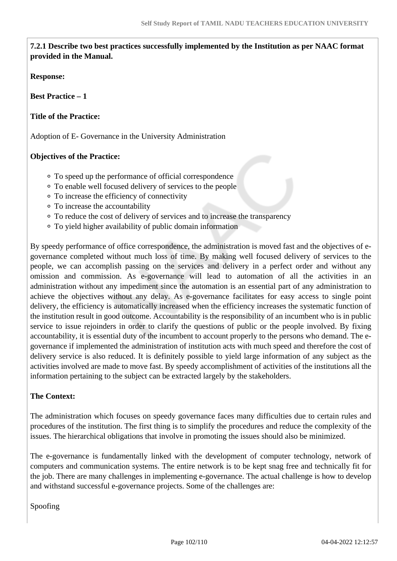**7.2.1 Describe two best practices successfully implemented by the Institution as per NAAC format provided in the Manual.**

**Response:** 

**Best Practice – 1**

**Title of the Practice:**

Adoption of E- Governance in the University Administration

# **Objectives of the Practice:**

- To speed up the performance of official correspondence
- To enable well focused delivery of services to the people
- To increase the efficiency of connectivity
- To increase the accountability
- To reduce the cost of delivery of services and to increase the transparency
- To yield higher availability of public domain information

By speedy performance of office correspondence, the administration is moved fast and the objectives of egovernance completed without much loss of time. By making well focused delivery of services to the people, we can accomplish passing on the services and delivery in a perfect order and without any omission and commission. As e-governance will lead to automation of all the activities in an administration without any impediment since the automation is an essential part of any administration to achieve the objectives without any delay. As e-governance facilitates for easy access to single point delivery, the efficiency is automatically increased when the efficiency increases the systematic function of the institution result in good outcome. Accountability is the responsibility of an incumbent who is in public service to issue rejoinders in order to clarify the questions of public or the people involved. By fixing accountability, it is essential duty of the incumbent to account properly to the persons who demand. The egovernance if implemented the administration of institution acts with much speed and therefore the cost of delivery service is also reduced. It is definitely possible to yield large information of any subject as the activities involved are made to move fast. By speedy accomplishment of activities of the institutions all the information pertaining to the subject can be extracted largely by the stakeholders.

# **The Context:**

The administration which focuses on speedy governance faces many difficulties due to certain rules and procedures of the institution. The first thing is to simplify the procedures and reduce the complexity of the issues. The hierarchical obligations that involve in promoting the issues should also be minimized.

The e-governance is fundamentally linked with the development of computer technology, network of computers and communication systems. The entire network is to be kept snag free and technically fit for the job. There are many challenges in implementing e-governance. The actual challenge is how to develop and withstand successful e-governance projects. Some of the challenges are:

Spoofing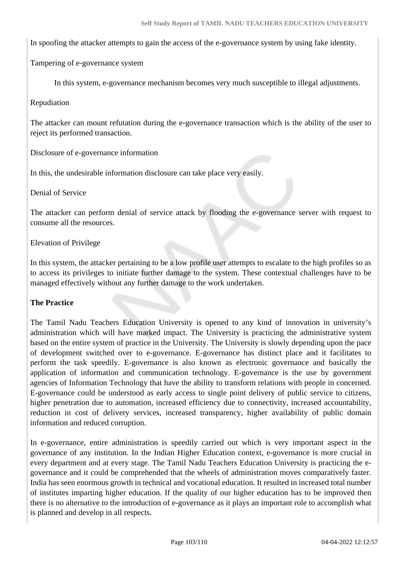In spoofing the attacker attempts to gain the access of the e-governance system by using fake identity.

Tampering of e-governance system

In this system, e-governance mechanism becomes very much susceptible to illegal adjustments.

#### Repudiation

The attacker can mount refutation during the e-governance transaction which is the ability of the user to reject its performed transaction.

Disclosure of e-governance information

In this, the undesirable information disclosure can take place very easily.

Denial of Service

The attacker can perform denial of service attack by flooding the e-governance server with request to consume all the resources.

Elevation of Privilege

In this system, the attacker pertaining to be a low profile user attempts to escalate to the high profiles so as to access its privileges to initiate further damage to the system. These contextual challenges have to be managed effectively without any further damage to the work undertaken.

#### **The Practice**

The Tamil Nadu Teachers Education University is opened to any kind of innovation in university's administration which will have marked impact. The University is practicing the administrative system based on the entire system of practice in the University. The University is slowly depending upon the pace of development switched over to e-governance. E-governance has distinct place and it facilitates to perform the task speedily. E-governance is also known as electronic governance and basically the application of information and communication technology. E-governance is the use by government agencies of Information Technology that have the ability to transform relations with people in concerned. E-governance could be understood as early access to single point delivery of public service to citizens, higher penetration due to automation, increased efficiency due to connectivity, increased accountability, reduction in cost of delivery services, increased transparency, higher availability of public domain information and reduced corruption.

In e-governance, entire administration is speedily carried out which is very important aspect in the governance of any institution. In the Indian Higher Education context, e-governance is more crucial in every department and at every stage. The Tamil Nadu Teachers Education University is practicing the egovernance and it could be comprehended that the wheels of administration moves comparatively faster. India has seen enormous growth in technical and vocational education. It resulted in increased total number of institutes imparting higher education. If the quality of our higher education has to be improved then there is no alternative to the introduction of e-governance as it plays an important role to accomplish what is planned and develop in all respects.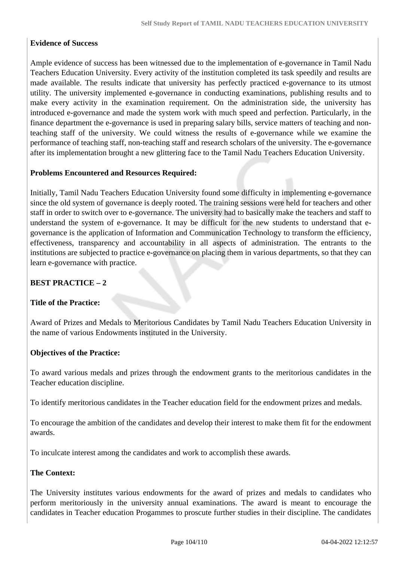# **Evidence of Success**

Ample evidence of success has been witnessed due to the implementation of e-governance in Tamil Nadu Teachers Education University. Every activity of the institution completed its task speedily and results are made available. The results indicate that university has perfectly practiced e-governance to its utmost utility. The university implemented e-governance in conducting examinations, publishing results and to make every activity in the examination requirement. On the administration side, the university has introduced e-governance and made the system work with much speed and perfection. Particularly, in the finance department the e-governance is used in preparing salary bills, service matters of teaching and nonteaching staff of the university. We could witness the results of e-governance while we examine the performance of teaching staff, non-teaching staff and research scholars of the university. The e-governance after its implementation brought a new glittering face to the Tamil Nadu Teachers Education University.

# **Problems Encountered and Resources Required:**

Initially, Tamil Nadu Teachers Education University found some difficulty in implementing e-governance since the old system of governance is deeply rooted. The training sessions were held for teachers and other staff in order to switch over to e-governance. The university had to basically make the teachers and staff to understand the system of e-governance. It may be difficult for the new students to understand that egovernance is the application of Information and Communication Technology to transform the efficiency, effectiveness, transparency and accountability in all aspects of administration. The entrants to the institutions are subjected to practice e-governance on placing them in various departments, so that they can learn e-governance with practice.

# **BEST PRACTICE – 2**

# **Title of the Practice:**

Award of Prizes and Medals to Meritorious Candidates by Tamil Nadu Teachers Education University in the name of various Endowments instituted in the University.

# **Objectives of the Practice:**

To award various medals and prizes through the endowment grants to the meritorious candidates in the Teacher education discipline.

To identify meritorious candidates in the Teacher education field for the endowment prizes and medals.

To encourage the ambition of the candidates and develop their interest to make them fit for the endowment awards.

To inculcate interest among the candidates and work to accomplish these awards.

# **The Context:**

The University institutes various endowments for the award of prizes and medals to candidates who perform meritoriously in the university annual examinations. The award is meant to encourage the candidates in Teacher education Progammes to proscute further studies in their discipline. The candidates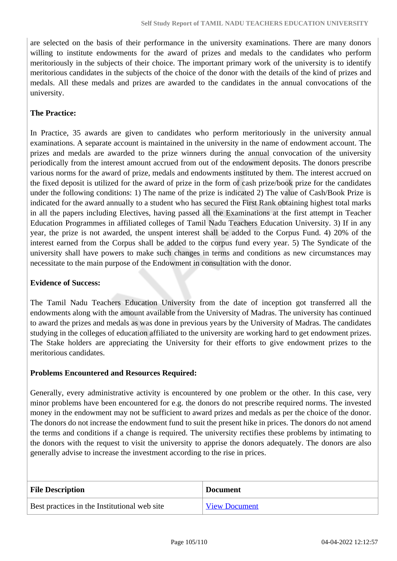are selected on the basis of their performance in the university examinations. There are many donors willing to institute endowments for the award of prizes and medals to the candidates who perform meritoriously in the subjects of their choice. The important primary work of the university is to identify meritorious candidates in the subjects of the choice of the donor with the details of the kind of prizes and medals. All these medals and prizes are awarded to the candidates in the annual convocations of the university.

# **The Practice:**

In Practice, 35 awards are given to candidates who perform meritoriously in the university annual examinations. A separate account is maintained in the university in the name of endowment account. The prizes and medals are awarded to the prize winners during the annual convocation of the university periodically from the interest amount accrued from out of the endowment deposits. The donors prescribe various norms for the award of prize, medals and endowments instituted by them. The interest accrued on the fixed deposit is utilized for the award of prize in the form of cash prize/book prize for the candidates under the following conditions: 1) The name of the prize is indicated 2) The value of Cash/Book Prize is indicated for the award annually to a student who has secured the First Rank obtaining highest total marks in all the papers including Electives, having passed all the Examinations at the first attempt in Teacher Education Programmes in affiliated colleges of Tamil Nadu Teachers Education University. 3) If in any year, the prize is not awarded, the unspent interest shall be added to the Corpus Fund. 4) 20% of the interest earned from the Corpus shall be added to the corpus fund every year. 5) The Syndicate of the university shall have powers to make such changes in terms and conditions as new circumstances may necessitate to the main purpose of the Endowment in consultation with the donor.

# **Evidence of Success:**

The Tamil Nadu Teachers Education University from the date of inception got transferred all the endowments along with the amount available from the University of Madras. The university has continued to award the prizes and medals as was done in previous years by the University of Madras. The candidates studying in the colleges of education affiliated to the university are working hard to get endowment prizes. The Stake holders are appreciating the University for their efforts to give endowment prizes to the meritorious candidates.

# **Problems Encountered and Resources Required:**

Generally, every administrative activity is encountered by one problem or the other. In this case, very minor problems have been encountered for e.g. the donors do not prescribe required norms. The invested money in the endowment may not be sufficient to award prizes and medals as per the choice of the donor. The donors do not increase the endowment fund to suit the present hike in prices. The donors do not amend the terms and conditions if a change is required. The university rectifies these problems by intimating to the donors with the request to visit the university to apprise the donors adequately. The donors are also generally advise to increase the investment according to the rise in prices.

| <b>File Description</b>                      | <b>Document</b>      |
|----------------------------------------------|----------------------|
| Best practices in the Institutional web site | <b>View Document</b> |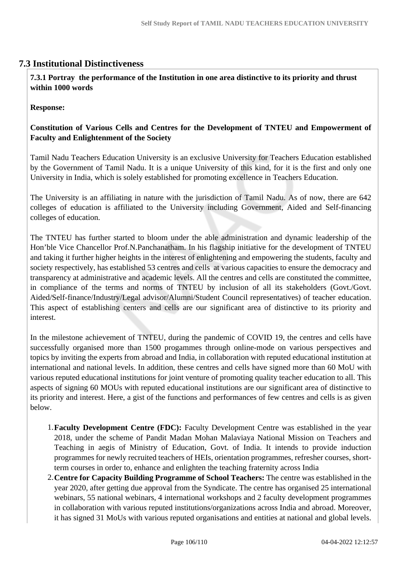# **7.3 Institutional Distinctiveness**

 **7.3.1 Portray the performance of the Institution in one area distinctive to its priority and thrust within 1000 words**

**Response:** 

# **Constitution of Various Cells and Centres for the Development of TNTEU and Empowerment of Faculty and Enlightenment of the Society**

Tamil Nadu Teachers Education University is an exclusive University for Teachers Education established by the Government of Tamil Nadu. It is a unique University of this kind, for it is the first and only one University in India, which is solely established for promoting excellence in Teachers Education.

The University is an affiliating in nature with the jurisdiction of Tamil Nadu. As of now, there are 642 colleges of education is affiliated to the University including Government, Aided and Self-financing colleges of education.

The TNTEU has further started to bloom under the able administration and dynamic leadership of the Hon'ble Vice Chancellor Prof.N.Panchanatham. In his flagship initiative for the development of TNTEU and taking it further higher heights in the interest of enlightening and empowering the students, faculty and society respectively, has established 53 centres and cells at various capacities to ensure the democracy and transparency at administrative and academic levels. All the centres and cells are constituted the committee, in compliance of the terms and norms of TNTEU by inclusion of all its stakeholders (Govt./Govt. Aided/Self-finance/Industry/Legal advisor/Alumni/Student Council representatives) of teacher education. This aspect of establishing centers and cells are our significant area of distinctive to its priority and interest.

In the milestone achievement of TNTEU, during the pandemic of COVID 19, the centres and cells have successfully organised more than 1500 progammes through online-mode on various perspectives and topics by inviting the experts from abroad and India, in collaboration with reputed educational institution at international and national levels. In addition, these centres and cells have signed more than 60 MoU with various reputed educational institutions for joint venture of promoting quality teacher education to all. This aspects of signing 60 MOUs with reputed educational institutions are our significant area of distinctive to its priority and interest. Here, a gist of the functions and performances of few centres and cells is as given below.

- 1.**Faculty Development Centre (FDC):** Faculty Development Centre was established in the year 2018, under the scheme of Pandit Madan Mohan Malaviaya National Mission on Teachers and Teaching in aegis of Ministry of Education, Govt. of India. It intends to provide induction programmes for newly recruited teachers of HEIs, orientation programmes, refresher courses, shortterm courses in order to, enhance and enlighten the teaching fraternity across India
- 2.**Centre for Capacity Building Programme of School Teachers:** The centre was established in the year 2020, after getting due approval from the Syndicate. The centre has organised 25 international webinars, 55 national webinars, 4 international workshops and 2 faculty development programmes in collaboration with various reputed institutions/organizations across India and abroad. Moreover, it has signed 31 MoUs with various reputed organisations and entities at national and global levels.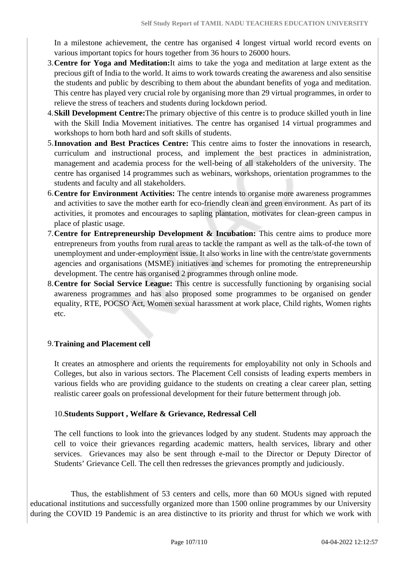In a milestone achievement, the centre has organised 4 longest virtual world record events on various important topics for hours together from 36 hours to 26000 hours.

- 3.**Centre for Yoga and Meditation:**It aims to take the yoga and meditation at large extent as the precious gift of India to the world. It aims to work towards creating the awareness and also sensitise the students and public by describing to them about the abundant benefits of yoga and meditation. This centre has played very crucial role by organising more than 29 virtual programmes, in order to relieve the stress of teachers and students during lockdown period.
- 4.**Skill Development Centre:**The primary objective of this centre is to produce skilled youth in line with the Skill India Movement initiatives. The centre has organised 14 virtual programmes and workshops to horn both hard and soft skills of students.
- 5.**Innovation and Best Practices Centre:** This centre aims to foster the innovations in research, curriculum and instructional process, and implement the best practices in administration, management and academia process for the well-being of all stakeholders of the university. The centre has organised 14 programmes such as webinars, workshops, orientation programmes to the students and faculty and all stakeholders.
- 6.**Centre for Environment Activities:** The centre intends to organise more awareness programmes and activities to save the mother earth for eco-friendly clean and green environment. As part of its activities, it promotes and encourages to sapling plantation, motivates for clean-green campus in place of plastic usage.
- 7.**Centre for Entrepreneurship Development & Incubation:** This centre aims to produce more entrepreneurs from youths from rural areas to tackle the rampant as well as the talk-of-the town of unemployment and under-employment issue. It also works in line with the centre/state governments agencies and organisations (MSME) initiatives and schemes for promoting the entrepreneurship development. The centre has organised 2 programmes through online mode.
- 8.**Centre for Social Service League:** This centre is successfully functioning by organising social awareness programmes and has also proposed some programmes to be organised on gender equality, RTE, POCSO Act, Women sexual harassment at work place, Child rights, Women rights etc.

# 9.**Training and Placement cell**

It creates an atmosphere and orients the requirements for employability not only in Schools and Colleges, but also in various sectors. The Placement Cell consists of leading experts members in various fields who are providing guidance to the students on creating a clear career plan, setting realistic career goals on professional development for their future betterment through job.

# 10.**Students Support , Welfare & Grievance, Redressal Cell**

The cell functions to look into the grievances lodged by any student. Students may approach the cell to voice their grievances regarding academic matters, health services, library and other services. Grievances may also be sent through e-mail to the Director or Deputy Director of Students' Grievance Cell. The cell then redresses the grievances promptly and judiciously.

 Thus, the establishment of 53 centers and cells, more than 60 MOUs signed with reputed educational institutions and successfully organized more than 1500 online programmes by our University during the COVID 19 Pandemic is an area distinctive to its priority and thrust for which we work with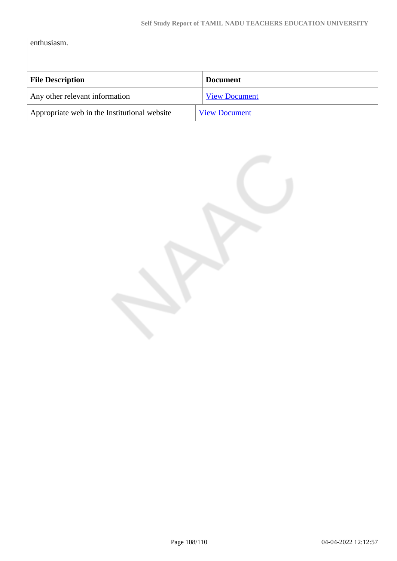enthusiasm.

| <b>File Description</b>                      | <b>Document</b>      |
|----------------------------------------------|----------------------|
| Any other relevant information               | <b>View Document</b> |
| Appropriate web in the Institutional website | <b>View Document</b> |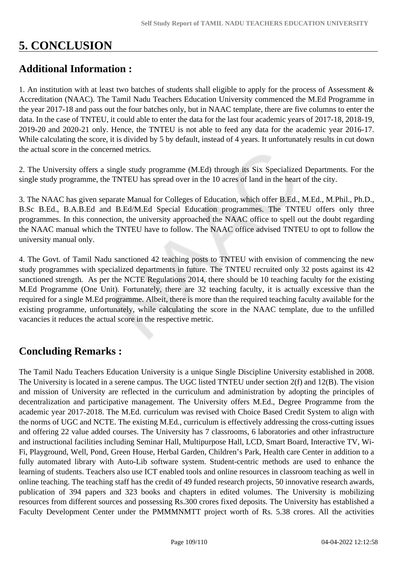## **5. CONCLUSION**

## **Additional Information :**

1. An institution with at least two batches of students shall eligible to apply for the process of Assessment & Accreditation (NAAC). The Tamil Nadu Teachers Education University commenced the M.Ed Programme in the year 2017-18 and pass out the four batches only, but in NAAC template, there are five columns to enter the data. In the case of TNTEU, it could able to enter the data for the last four academic years of 2017-18, 2018-19, 2019-20 and 2020-21 only. Hence, the TNTEU is not able to feed any data for the academic year 2016-17. While calculating the score, it is divided by 5 by default, instead of 4 years. It unfortunately results in cut down the actual score in the concerned metrics.

2. The University offers a single study programme (M.Ed) through its Six Specialized Departments. For the single study programme, the TNTEU has spread over in the 10 acres of land in the heart of the city.

3. The NAAC has given separate Manual for Colleges of Education, which offer B.Ed., M.Ed., M.Phil., Ph.D., B.Sc B.Ed., B.A.B.Ed and B.Ed/M.Ed Special Education programmes. The TNTEU offers only three programmes. In this connection, the university approached the NAAC office to spell out the doubt regarding the NAAC manual which the TNTEU have to follow. The NAAC office advised TNTEU to opt to follow the university manual only.

4. The Govt. of Tamil Nadu sanctioned 42 teaching posts to TNTEU with envision of commencing the new study programmes with specialized departments in future. The TNTEU recruited only 32 posts against its 42 sanctioned strength. As per the NCTE Regulations 2014, there should be 10 teaching faculty for the existing M.Ed Programme (One Unit). Fortunately, there are 32 teaching faculty, it is actually excessive than the required for a single M.Ed programme. Albeit, there is more than the required teaching faculty available for the existing programme, unfortunately, while calculating the score in the NAAC template, due to the unfilled vacancies it reduces the actual score in the respective metric.

## **Concluding Remarks :**

The Tamil Nadu Teachers Education University is a unique Single Discipline University established in 2008. The University is located in a serene campus. The UGC listed TNTEU under section 2(f) and 12(B). The vision and mission of University are reflected in the curriculum and administration by adopting the principles of decentralization and participative management. The University offers M.Ed., Degree Programme from the academic year 2017-2018. The M.Ed. curriculum was revised with Choice Based Credit System to align with the norms of UGC and NCTE. The existing M.Ed., curriculum is effectively addressing the cross-cutting issues and offering 22 value added courses. The University has 7 classrooms, 6 laboratories and other infrastructure and instructional facilities including Seminar Hall, Multipurpose Hall, LCD, Smart Board, Interactive TV, Wi-Fi, Playground, Well, Pond, Green House, Herbal Garden, Children's Park, Health care Center in addition to a fully automated library with Auto-Lib software system. Student-centric methods are used to enhance the learning of students. Teachers also use ICT enabled tools and online resources in classroom teaching as well in online teaching. The teaching staff has the credit of 49 funded research projects, 50 innovative research awards, publication of 394 papers and 323 books and chapters in edited volumes. The University is mobilizing resources from different sources and possessing Rs.300 crores fixed deposits. The University has established a Faculty Development Center under the PMMMNMTT project worth of Rs. 5.38 crores. All the activities